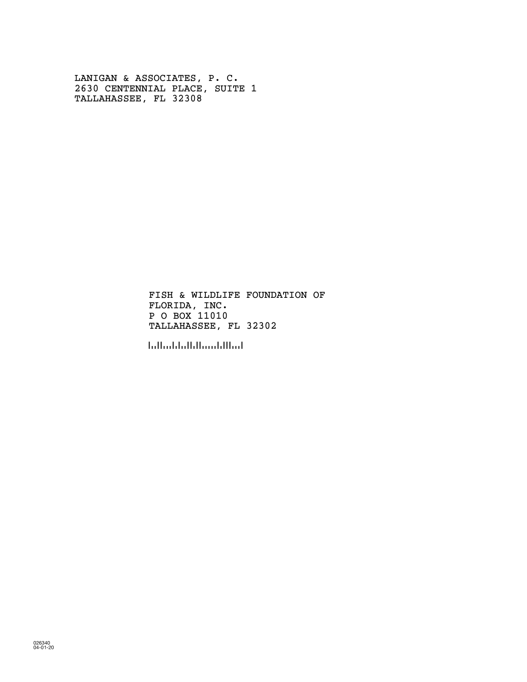LANIGAN & ASSOCIATES, P. C. 2630 CENTENNIAL PLACE, SUITE 1 TALLAHASSEE, FL 32308

> FLORIDA, INC. P O BOX 11010 FISH & WILDLIFE FOUNDATION OF TALLAHASSEE, FL 32302

!323020!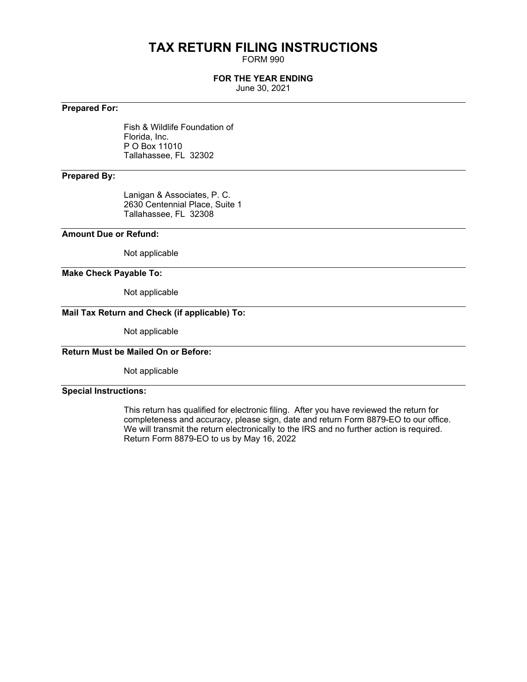# **TAX RETURN FILING INSTRUCTIONS**

FORM 990

# **FOR THE YEAR ENDING**

June 30, 2021

# **Prepared For:**

Fish & Wildlife Foundation of Florida, Inc. P O Box 11010 Tallahassee, FL 32302

# **Prepared By:**

Lanigan & Associates, P. C. 2630 Centennial Place, Suite 1 Tallahassee, FL 32308

### **Amount Due or Refund:**

Not applicable

## **Make Check Payable To:**

Not applicable

# **Mail Tax Return and Check (if applicable) To:**

Not applicable

# **Return Must be Mailed On or Before:**

Not applicable

### **Special Instructions:**

This return has qualified for electronic filing. After you have reviewed the return for completeness and accuracy, please sign, date and return Form 8879-EO to our office. We will transmit the return electronically to the IRS and no further action is required. Return Form 8879-EO to us by May 16, 2022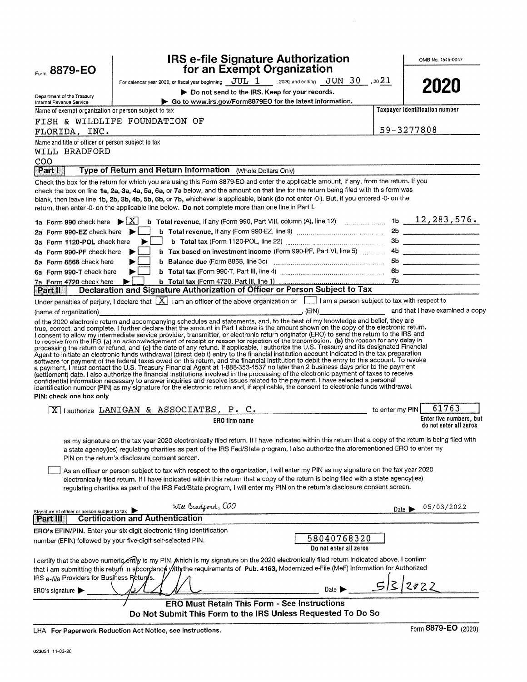| Form 8879-EO                                                               |                                                                                                                                                                                                                                                                                                                                                                                                                                                                                                                                                                                                                                                                                                                                                                                                                                                   | <b>IRS e-file Signature Authorization</b><br>for an Exempt Organization |                 | OMB No. 1545-0047                |
|----------------------------------------------------------------------------|---------------------------------------------------------------------------------------------------------------------------------------------------------------------------------------------------------------------------------------------------------------------------------------------------------------------------------------------------------------------------------------------------------------------------------------------------------------------------------------------------------------------------------------------------------------------------------------------------------------------------------------------------------------------------------------------------------------------------------------------------------------------------------------------------------------------------------------------------|-------------------------------------------------------------------------|-----------------|----------------------------------|
|                                                                            | For calendar year 2020, or fiscal year beginning $JUL_1$ 1 . 2020, and ending $JUN_30$ , 20 $21$                                                                                                                                                                                                                                                                                                                                                                                                                                                                                                                                                                                                                                                                                                                                                  |                                                                         |                 |                                  |
|                                                                            |                                                                                                                                                                                                                                                                                                                                                                                                                                                                                                                                                                                                                                                                                                                                                                                                                                                   | Do not send to the IRS. Keep for your records.                          |                 | 2020                             |
| Department of the Treasury<br>Internal Revenue Service                     |                                                                                                                                                                                                                                                                                                                                                                                                                                                                                                                                                                                                                                                                                                                                                                                                                                                   | Go to www.irs.gov/Form8879EO for the latest information.                |                 |                                  |
| Name of exempt organization or person subject to tax                       |                                                                                                                                                                                                                                                                                                                                                                                                                                                                                                                                                                                                                                                                                                                                                                                                                                                   |                                                                         |                 | Taxpayer identification number   |
|                                                                            | FISH & WILDLIFE FOUNDATION OF                                                                                                                                                                                                                                                                                                                                                                                                                                                                                                                                                                                                                                                                                                                                                                                                                     |                                                                         |                 |                                  |
| FLORIDA, INC.                                                              |                                                                                                                                                                                                                                                                                                                                                                                                                                                                                                                                                                                                                                                                                                                                                                                                                                                   |                                                                         |                 | 59-3277808                       |
| Name and title of officer or person subject to tax<br>WILL BRADFORD<br>COO |                                                                                                                                                                                                                                                                                                                                                                                                                                                                                                                                                                                                                                                                                                                                                                                                                                                   |                                                                         |                 |                                  |
| Part I                                                                     | Type of Return and Return Information (Whole Dollars Only)                                                                                                                                                                                                                                                                                                                                                                                                                                                                                                                                                                                                                                                                                                                                                                                        |                                                                         |                 |                                  |
|                                                                            | Check the box for the return for which you are using this Form 8879-EO and enter the applicable amount, if any, from the return. If you<br>check the box on line 1a, 2a, 3a, 4a, 5a, 6a, or 7a below, and the amount on that line for the return being filed with this form was<br>blank, then leave line 1b, 2b, 3b, 4b, 5b, 6b, or 7b, whichever is applicable, blank (do not enter -0-). But, if you entered -0- on the<br>return, then enter -0- on the applicable line below. Do not complete more than one line in Part I.                                                                                                                                                                                                                                                                                                                  |                                                                         |                 |                                  |
|                                                                            | 1a Form 990 check here $\blacktriangleright \boxed{X}$ b Total revenue, if any (Form 990, Part VIII, column (A), line 12)  1b $\_\_1$ 12, 283, 576.                                                                                                                                                                                                                                                                                                                                                                                                                                                                                                                                                                                                                                                                                               |                                                                         |                 |                                  |
| 2a Form 990-EZ check here $\blacktriangleright$                            |                                                                                                                                                                                                                                                                                                                                                                                                                                                                                                                                                                                                                                                                                                                                                                                                                                                   |                                                                         |                 |                                  |
| 3a Form 1120-POL check here                                                | $\blacktriangleright$ $\vdash$ $\vdash$                                                                                                                                                                                                                                                                                                                                                                                                                                                                                                                                                                                                                                                                                                                                                                                                           |                                                                         |                 |                                  |
| 4a Form 990-PF check here                                                  | ▶                                                                                                                                                                                                                                                                                                                                                                                                                                                                                                                                                                                                                                                                                                                                                                                                                                                 |                                                                         |                 |                                  |
| 5a Form 8868 check here                                                    |                                                                                                                                                                                                                                                                                                                                                                                                                                                                                                                                                                                                                                                                                                                                                                                                                                                   |                                                                         |                 |                                  |
| 6a Form 990-T check here                                                   |                                                                                                                                                                                                                                                                                                                                                                                                                                                                                                                                                                                                                                                                                                                                                                                                                                                   |                                                                         |                 |                                  |
| 7a Form 4720 check here $\blacktriangleright$<br>$ $ Part II $ $           | Declaration and Signature Authorization of Officer or Person Subject to Tax                                                                                                                                                                                                                                                                                                                                                                                                                                                                                                                                                                                                                                                                                                                                                                       |                                                                         |                 |                                  |
|                                                                            | Under penalties of perjury, I declare that $[X]$ I am an officer of the above organization or $[$ I am a person subject to tax with respect to                                                                                                                                                                                                                                                                                                                                                                                                                                                                                                                                                                                                                                                                                                    |                                                                         |                 |                                  |
|                                                                            | (name of organization) examined a copy and that I have examined a copy                                                                                                                                                                                                                                                                                                                                                                                                                                                                                                                                                                                                                                                                                                                                                                            |                                                                         |                 |                                  |
| PIN: check one box only                                                    | Agent to initiate an electronic funds withdrawal (direct debit) entry to the financial institution account indicated in the tax preparation<br>software for payment of the federal taxes owed on this return, and the financial institution to debit the entry to this account. To revoke<br>a payment, I must contact the U.S. Treasury Financial Agent at 1-888-353-4537 no later than 2 business days prior to the payment<br>(settlement) date, I also authorize the financial institutions involved in the processing of the electronic payment of taxes to receive<br>confidential information necessary to answer inquiries and resolve issues related to the payment. I have selected a personal<br>identification number (PIN) as my signature for the electronic return and, if applicable, the consent to electronic funds withdrawal. |                                                                         |                 |                                  |
|                                                                            |                                                                                                                                                                                                                                                                                                                                                                                                                                                                                                                                                                                                                                                                                                                                                                                                                                                   |                                                                         |                 |                                  |
|                                                                            | $\boxed{\text{X}}$ lauthorize LANIGAN & ASSOCIATES, P. C.                                                                                                                                                                                                                                                                                                                                                                                                                                                                                                                                                                                                                                                                                                                                                                                         |                                                                         | to enter my PIN | 61763<br>Enter five numbers, but |
|                                                                            | ERO firm name                                                                                                                                                                                                                                                                                                                                                                                                                                                                                                                                                                                                                                                                                                                                                                                                                                     |                                                                         |                 | do not enter all zeros           |
|                                                                            | as my signature on the tax year 2020 electronically filed return. If I have indicated within this return that a copy of the return is being filed with<br>a state agency(ies) regulating charities as part of the IRS Fed/State program, I also authorize the aforementioned ERO to enter my<br>PIN on the return's disclosure consent screen.                                                                                                                                                                                                                                                                                                                                                                                                                                                                                                    |                                                                         |                 |                                  |
|                                                                            | As an officer or person subject to tax with respect to the organization, I will enter my PIN as my signature on the tax year 2020<br>electronically filed return. If I have indicated within this return that a copy of the return is being filed with a state agency(ies)<br>regulating charities as part of the IRS Fed/State program, I will enter my PIN on the return's disclosure consent screen.                                                                                                                                                                                                                                                                                                                                                                                                                                           |                                                                         |                 |                                  |
| Signature of officer or person subject to tax                              | Will Bradford, COO<br><b>Certification and Authentication</b>                                                                                                                                                                                                                                                                                                                                                                                                                                                                                                                                                                                                                                                                                                                                                                                     |                                                                         | Date 1          | 05/03/2022                       |
| Partill                                                                    |                                                                                                                                                                                                                                                                                                                                                                                                                                                                                                                                                                                                                                                                                                                                                                                                                                                   |                                                                         |                 |                                  |
|                                                                            | ERO's EFIN/PIN. Enter your six-digit electronic filing identification<br>number (EFIN) followed by your five-digit self-selected PIN.                                                                                                                                                                                                                                                                                                                                                                                                                                                                                                                                                                                                                                                                                                             | 58040768320<br>Do not enter all zeros                                   |                 |                                  |
| IRS e-file Providers for Business Returns.                                 | l certify that the above numeric ently is my PIN, which is my signature on the 2020 electronically filed return indicated above. I confirm<br>that I am submitting this return in accordance with the requirements of Pub. 4163, Modernized e-File (MeF) Information for Authorized                                                                                                                                                                                                                                                                                                                                                                                                                                                                                                                                                               |                                                                         |                 |                                  |
| ERO's signature $\blacktriangleright$                                      |                                                                                                                                                                                                                                                                                                                                                                                                                                                                                                                                                                                                                                                                                                                                                                                                                                                   | Date 1                                                                  | $5\overline{z}$ | 2122                             |
|                                                                            |                                                                                                                                                                                                                                                                                                                                                                                                                                                                                                                                                                                                                                                                                                                                                                                                                                                   | <b>ERO Must Retain This Form - See Instructions</b>                     |                 |                                  |
|                                                                            | Do Not Submit This Form to the IRS Unless Requested To Do So                                                                                                                                                                                                                                                                                                                                                                                                                                                                                                                                                                                                                                                                                                                                                                                      |                                                                         |                 |                                  |

 $\bar{z}$ 

LHA For Paperwork Reduction Act Notice, see instructions.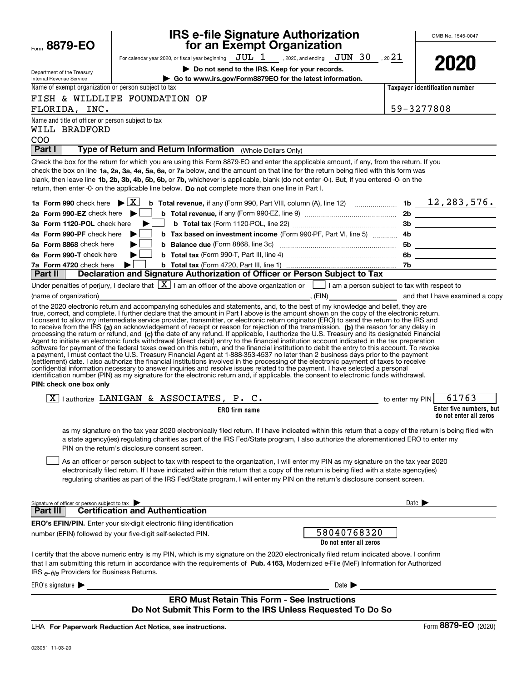| Form 8879-EO                                                               | <b>IRS e-file Signature Authorizat</b><br>for an Exempt Organization                                                                                                                                                                                                                                                                                                                                                                        |
|----------------------------------------------------------------------------|---------------------------------------------------------------------------------------------------------------------------------------------------------------------------------------------------------------------------------------------------------------------------------------------------------------------------------------------------------------------------------------------------------------------------------------------|
|                                                                            | JUL 1<br>, 2020, and ending<br>For calendar year 2020, or fiscal year beginning                                                                                                                                                                                                                                                                                                                                                             |
| Department of the Treasury<br>Internal Revenue Service                     | Do not send to the IRS. Keep for your records<br>Go to www.irs.gov/Form8879EO for the latest inforn                                                                                                                                                                                                                                                                                                                                         |
| Name of exempt organization or person subject to tax                       |                                                                                                                                                                                                                                                                                                                                                                                                                                             |
| FLORIDA,<br>INC.                                                           | FISH & WILDLIFE FOUNDATION OF                                                                                                                                                                                                                                                                                                                                                                                                               |
| Name and title of officer or person subject to tax<br>WILL BRADFORD<br>COO |                                                                                                                                                                                                                                                                                                                                                                                                                                             |
| Part I                                                                     | Type of Return and Return Information<br>(Whole Dollars Only)                                                                                                                                                                                                                                                                                                                                                                               |
|                                                                            | Check the box for the return for which you are using this Form 8879-EO and enter the applicable amo<br>check the box on line 1a, 2a, 3a, 4a, 5a, 6a, or 7a below, and the amount on that line for the return be<br>blank, then leave line <b>1b, 2b, 3b, 4b, 5b, 6b, or 7b,</b> whichever is applicable, blank (do not enter -0-). Bu<br>return, then enter -0- on the applicable line below. Do not complete more than one line in Part I. |
| 1a Form 990 check here                                                     | ΧI<br><b>b</b> Total revenue, if any (Form 990, Part VIII, column (A), line 12                                                                                                                                                                                                                                                                                                                                                              |
| 2a Form 990-EZ check here                                                  | <b>b</b> Total revenue, if any (Form 990-EZ, line 9)                                                                                                                                                                                                                                                                                                                                                                                        |
| 3a Form 1120-POL check here                                                | <b>b</b> Total tax (Form 1120-POL line 22)                                                                                                                                                                                                                                                                                                                                                                                                  |

# **IRS e-file Signature Authorization**

For calendar year 2020, or fiscal year beginning  $\rm\,JUL~$   $1$   $\rm\,$  , 2020, and ending  $\rm\,JUN~$   $30$   $\rm\,$  , 20 $21$ 

**| Do not send to the IRS. Keep for your records.** Form8879EO for the latest information.



OMB No. 1545-0047

**Taxpayer identification number**

| 59-3277808 |
|------------|

| WILL BRADFORD                                                                                                                                                                                                                                                                                                                                                                                                                                                                                                                                                                                                                                                                                                                                                                                                                                                                                                                                                                                                                                                                                                                                                                                                                                                                                                                                                                                                                                                 |                                       |                            |                                                   |
|---------------------------------------------------------------------------------------------------------------------------------------------------------------------------------------------------------------------------------------------------------------------------------------------------------------------------------------------------------------------------------------------------------------------------------------------------------------------------------------------------------------------------------------------------------------------------------------------------------------------------------------------------------------------------------------------------------------------------------------------------------------------------------------------------------------------------------------------------------------------------------------------------------------------------------------------------------------------------------------------------------------------------------------------------------------------------------------------------------------------------------------------------------------------------------------------------------------------------------------------------------------------------------------------------------------------------------------------------------------------------------------------------------------------------------------------------------------|---------------------------------------|----------------------------|---------------------------------------------------|
| <b>COO</b>                                                                                                                                                                                                                                                                                                                                                                                                                                                                                                                                                                                                                                                                                                                                                                                                                                                                                                                                                                                                                                                                                                                                                                                                                                                                                                                                                                                                                                                    |                                       |                            |                                                   |
| Type of Return and Return Information (Whole Dollars Only)<br>Part I                                                                                                                                                                                                                                                                                                                                                                                                                                                                                                                                                                                                                                                                                                                                                                                                                                                                                                                                                                                                                                                                                                                                                                                                                                                                                                                                                                                          |                                       |                            |                                                   |
| Check the box for the return for which you are using this Form 8879-EO and enter the applicable amount, if any, from the return. If you<br>check the box on line 1a, 2a, 3a, 4a, 5a, 6a, or 7a below, and the amount on that line for the return being filed with this form was<br>blank, then leave line 1b, 2b, 3b, 4b, 5b, 6b, or 7b, whichever is applicable, blank (do not enter -0-). But, if you entered -0- on the<br>return, then enter -0- on the applicable line below. Do not complete more than one line in Part I.                                                                                                                                                                                                                                                                                                                                                                                                                                                                                                                                                                                                                                                                                                                                                                                                                                                                                                                              |                                       |                            |                                                   |
| <b>b</b> Total revenue, if any (Form 990, Part VIII, column (A), line 12) $\ldots$ 15 $\ldots$ 16 $\ldots$ 12, 283, 576.<br>1a Form 990 check here $\blacktriangleright \boxed{X}$                                                                                                                                                                                                                                                                                                                                                                                                                                                                                                                                                                                                                                                                                                                                                                                                                                                                                                                                                                                                                                                                                                                                                                                                                                                                            |                                       |                            |                                                   |
| 2a Form 990-EZ check here $\blacktriangleright$                                                                                                                                                                                                                                                                                                                                                                                                                                                                                                                                                                                                                                                                                                                                                                                                                                                                                                                                                                                                                                                                                                                                                                                                                                                                                                                                                                                                               |                                       |                            |                                                   |
| 3a Form 1120-POL check here                                                                                                                                                                                                                                                                                                                                                                                                                                                                                                                                                                                                                                                                                                                                                                                                                                                                                                                                                                                                                                                                                                                                                                                                                                                                                                                                                                                                                                   |                                       |                            |                                                   |
| 4a Form 990-PF check here                                                                                                                                                                                                                                                                                                                                                                                                                                                                                                                                                                                                                                                                                                                                                                                                                                                                                                                                                                                                                                                                                                                                                                                                                                                                                                                                                                                                                                     |                                       |                            |                                                   |
| 5a Form 8868 check here                                                                                                                                                                                                                                                                                                                                                                                                                                                                                                                                                                                                                                                                                                                                                                                                                                                                                                                                                                                                                                                                                                                                                                                                                                                                                                                                                                                                                                       |                                       |                            |                                                   |
| 6a Form 990-T check here                                                                                                                                                                                                                                                                                                                                                                                                                                                                                                                                                                                                                                                                                                                                                                                                                                                                                                                                                                                                                                                                                                                                                                                                                                                                                                                                                                                                                                      |                                       |                            |                                                   |
| 7a Form 4720 check here<br>▶                                                                                                                                                                                                                                                                                                                                                                                                                                                                                                                                                                                                                                                                                                                                                                                                                                                                                                                                                                                                                                                                                                                                                                                                                                                                                                                                                                                                                                  |                                       |                            |                                                   |
| Declaration and Signature Authorization of Officer or Person Subject to Tax<br>Part II                                                                                                                                                                                                                                                                                                                                                                                                                                                                                                                                                                                                                                                                                                                                                                                                                                                                                                                                                                                                                                                                                                                                                                                                                                                                                                                                                                        |                                       |                            |                                                   |
| Under penalties of perjury, I declare that $\boxed{\mathbf{X}}$ I am an officer of the above organization or $\boxed{\phantom{\mathbf{X}}}$ I am a person subject to tax with respect to                                                                                                                                                                                                                                                                                                                                                                                                                                                                                                                                                                                                                                                                                                                                                                                                                                                                                                                                                                                                                                                                                                                                                                                                                                                                      |                                       |                            |                                                   |
| (name of organization)<br>$\overline{\phantom{a}}$ (EIN) $\overline{\phantom{a}}$ and that I have examined a copy                                                                                                                                                                                                                                                                                                                                                                                                                                                                                                                                                                                                                                                                                                                                                                                                                                                                                                                                                                                                                                                                                                                                                                                                                                                                                                                                             |                                       |                            |                                                   |
| true, correct, and complete. I further declare that the amount in Part I above is the amount shown on the copy of the electronic return.<br>I consent to allow my intermediate service provider, transmitter, or electronic return originator (ERO) to send the return to the IRS and<br>to receive from the IRS (a) an acknowledgement of receipt or reason for rejection of the transmission, (b) the reason for any delay in<br>processing the return or retund, and (c) the date of any refund. If applicable, I authorize the U.S. Treasury and its designated Financial<br>Agent to initiate an electronic funds withdrawal (direct debit) entry to the financial institution account indicated in the tax preparation<br>software for payment of the federal taxes owed on this return, and the financial institution to debit the entry to this account. To revoke<br>a payment, I must contact the U.S. Treasury Financial Agent at 1-888-353-4537 no later than 2 business days prior to the payment<br>(settlement) date. I also authorize the financial institutions involved in the processing of the electronic payment of taxes to receive<br>confidential information necessary to answer inquiries and resolve issues related to the payment. I have selected a personal<br>identification number (PIN) as my signature for the electronic return and, if applicable, the consent to electronic funds withdrawal.<br>PIN: check one box only |                                       |                            |                                                   |
| $\boxed{\text{X}}$   authorize LANIGAN & ASSOCIATES, P. C.                                                                                                                                                                                                                                                                                                                                                                                                                                                                                                                                                                                                                                                                                                                                                                                                                                                                                                                                                                                                                                                                                                                                                                                                                                                                                                                                                                                                    |                                       |                            | to enter my PIN $61763$                           |
| <b>ERO</b> firm name                                                                                                                                                                                                                                                                                                                                                                                                                                                                                                                                                                                                                                                                                                                                                                                                                                                                                                                                                                                                                                                                                                                                                                                                                                                                                                                                                                                                                                          |                                       |                            | Enter five numbers, but<br>do not enter all zeros |
| as my signature on the tax year 2020 electronically filed return. If I have indicated within this return that a copy of the return is being filed with<br>a state agency(ies) regulating charities as part of the IRS Fed/State program, I also authorize the aforementioned ERO to enter my<br>PIN on the return's disclosure consent screen.<br>As an officer or person subject to tax with respect to the organization, I will enter my PIN as my signature on the tax year 2020<br>electronically filed return. If I have indicated within this return that a copy of the return is being filed with a state agency(ies)<br>regulating charities as part of the IRS Fed/State program, I will enter my PIN on the return's disclosure consent screen.                                                                                                                                                                                                                                                                                                                                                                                                                                                                                                                                                                                                                                                                                                     |                                       |                            |                                                   |
| Signature of officer or person subject to tax                                                                                                                                                                                                                                                                                                                                                                                                                                                                                                                                                                                                                                                                                                                                                                                                                                                                                                                                                                                                                                                                                                                                                                                                                                                                                                                                                                                                                 |                                       | Date $\blacktriangleright$ |                                                   |
| <b>Part III Certification and Authentication</b>                                                                                                                                                                                                                                                                                                                                                                                                                                                                                                                                                                                                                                                                                                                                                                                                                                                                                                                                                                                                                                                                                                                                                                                                                                                                                                                                                                                                              |                                       |                            |                                                   |
| <b>ERO's EFIN/PIN.</b> Enter your six-digit electronic filing identification                                                                                                                                                                                                                                                                                                                                                                                                                                                                                                                                                                                                                                                                                                                                                                                                                                                                                                                                                                                                                                                                                                                                                                                                                                                                                                                                                                                  |                                       |                            |                                                   |
| number (EFIN) followed by your five-digit self-selected PIN.                                                                                                                                                                                                                                                                                                                                                                                                                                                                                                                                                                                                                                                                                                                                                                                                                                                                                                                                                                                                                                                                                                                                                                                                                                                                                                                                                                                                  | 58040768320<br>Do not enter all zeros |                            |                                                   |
| I certify that the above numeric entry is my PIN, which is my signature on the 2020 electronically filed return indicated above. I confirm<br>that I am submitting this return in accordance with the requirements of Pub. 4163, Modernized e-File (MeF) Information for Authorized<br>IRS e-file Providers for Business Returns.                                                                                                                                                                                                                                                                                                                                                                                                                                                                                                                                                                                                                                                                                                                                                                                                                                                                                                                                                                                                                                                                                                                             |                                       |                            |                                                   |
| ERO's signature                                                                                                                                                                                                                                                                                                                                                                                                                                                                                                                                                                                                                                                                                                                                                                                                                                                                                                                                                                                                                                                                                                                                                                                                                                                                                                                                                                                                                                               | Date $\blacktriangleright$            |                            |                                                   |
| <b>ERO Must Retain This Form - See Instructions</b><br>Do Not Submit This Form to the IRS Unless Requested To Do So                                                                                                                                                                                                                                                                                                                                                                                                                                                                                                                                                                                                                                                                                                                                                                                                                                                                                                                                                                                                                                                                                                                                                                                                                                                                                                                                           |                                       |                            |                                                   |
|                                                                                                                                                                                                                                                                                                                                                                                                                                                                                                                                                                                                                                                                                                                                                                                                                                                                                                                                                                                                                                                                                                                                                                                                                                                                                                                                                                                                                                                               |                                       |                            |                                                   |

LHA For Paperwork Reduction Act Notice, see instructions.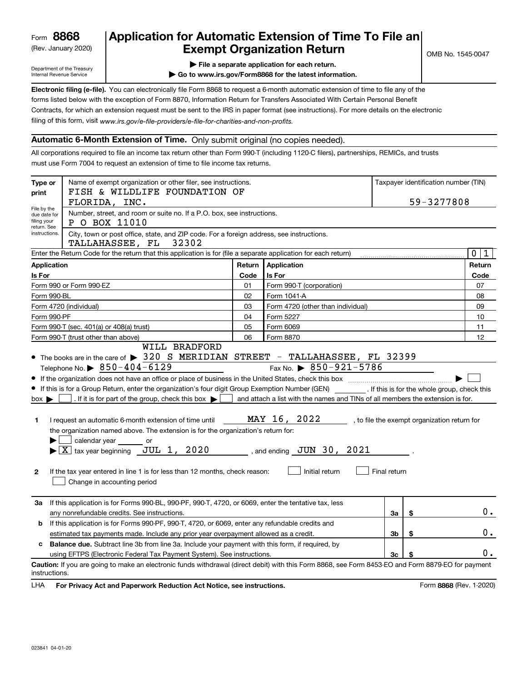(Rev. January 2020)

# **Application for Automatic Extension of Time To File an Exempt Organization Return**

Department of the Treasury Internal Revenue Service

**| File a separate application for each return.**

**| Go to www.irs.gov/Form8868 for the latest information.**

**Electronic filing (e-file).**  You can electronically file Form 8868 to request a 6-month automatic extension of time to file any of the filing of this form, visit www.irs.gov/e-file-providers/e-file-for-charities-and-non-profits. forms listed below with the exception of Form 8870, Information Return for Transfers Associated With Certain Personal Benefit Contracts, for which an extension request must be sent to the IRS in paper format (see instructions). For more details on the electronic

## **Automatic 6-Month Extension of Time.** Only submit original (no copies needed).

All corporations required to file an income tax return other than Form 990-T (including 1120-C filers), partnerships, REMICs, and trusts must use Form 7004 to request an extension of time to file income tax returns.

| Type or<br>print                                          | Name of exempt organization or other filer, see instructions.<br>FISH & WILDLIFE FOUNDATION OF<br>FLORIDA, INC.                                                                                                                                                                                                                                                                                                                                                                                                                                                                                                                 |        |                                                                                                                                                                                                                     | Taxpayer identification number (TIN)<br>59-3277808 |    |                                              |
|-----------------------------------------------------------|---------------------------------------------------------------------------------------------------------------------------------------------------------------------------------------------------------------------------------------------------------------------------------------------------------------------------------------------------------------------------------------------------------------------------------------------------------------------------------------------------------------------------------------------------------------------------------------------------------------------------------|--------|---------------------------------------------------------------------------------------------------------------------------------------------------------------------------------------------------------------------|----------------------------------------------------|----|----------------------------------------------|
| File by the<br>due date for<br>filing your<br>return. See | Number, street, and room or suite no. If a P.O. box, see instructions.<br>P O BOX 11010                                                                                                                                                                                                                                                                                                                                                                                                                                                                                                                                         |        |                                                                                                                                                                                                                     |                                                    |    |                                              |
| instructions.                                             | City, town or post office, state, and ZIP code. For a foreign address, see instructions.<br>TALLAHASSEE, FL<br>32302                                                                                                                                                                                                                                                                                                                                                                                                                                                                                                            |        |                                                                                                                                                                                                                     |                                                    |    |                                              |
|                                                           | Enter the Return Code for the return that this application is for (file a separate application for each return)                                                                                                                                                                                                                                                                                                                                                                                                                                                                                                                 |        |                                                                                                                                                                                                                     |                                                    |    | $\mathbf 0$<br>1                             |
| Application                                               |                                                                                                                                                                                                                                                                                                                                                                                                                                                                                                                                                                                                                                 | Return | Application                                                                                                                                                                                                         |                                                    |    | Return                                       |
| Is For                                                    |                                                                                                                                                                                                                                                                                                                                                                                                                                                                                                                                                                                                                                 | Code   | Is For                                                                                                                                                                                                              |                                                    |    | Code                                         |
|                                                           | Form 990 or Form 990-EZ                                                                                                                                                                                                                                                                                                                                                                                                                                                                                                                                                                                                         | 01     | Form 990-T (corporation)                                                                                                                                                                                            |                                                    |    | 07                                           |
| Form 990-BL                                               |                                                                                                                                                                                                                                                                                                                                                                                                                                                                                                                                                                                                                                 | 02     | Form 1041-A                                                                                                                                                                                                         |                                                    |    | 08                                           |
|                                                           | Form 4720 (individual)                                                                                                                                                                                                                                                                                                                                                                                                                                                                                                                                                                                                          | 03     | Form 4720 (other than individual)                                                                                                                                                                                   |                                                    |    | 09                                           |
| Form 990-PF                                               |                                                                                                                                                                                                                                                                                                                                                                                                                                                                                                                                                                                                                                 | 04     | Form 5227                                                                                                                                                                                                           |                                                    |    | 10                                           |
|                                                           | Form 990-T (sec. 401(a) or 408(a) trust)                                                                                                                                                                                                                                                                                                                                                                                                                                                                                                                                                                                        | 05     | Form 6069                                                                                                                                                                                                           |                                                    |    | 11                                           |
|                                                           | Form 990-T (trust other than above)<br>WILL BRADFORD                                                                                                                                                                                                                                                                                                                                                                                                                                                                                                                                                                            | 06     | Form 8870                                                                                                                                                                                                           |                                                    |    | 12                                           |
| $box \blacktriangleright$<br>1<br>$\mathbf{2}$            | Telephone No. $\triangleright$ 850-404-6129<br>If this is for a Group Return, enter the organization's four digit Group Exemption Number (GEN) [f this is for the whole group, check this<br>. If it is for part of the group, check this box $\blacktriangleright$<br>I request an automatic 6-month extension of time until<br>the organization named above. The extension is for the organization's return for:<br>calendar year<br><b>Solution</b> or<br>$\overline{\text{X}}$ tax year beginning JUL 1, 2020<br>If the tax year entered in line 1 is for less than 12 months, check reason:<br>Change in accounting period |        | Fax No. $\triangleright$ 850-921-5786<br>and attach a list with the names and TINs of all members the extension is for.<br>MAY 16, 2022<br>____________ , and ending __ <b>JUN</b> _ 30 , __ 2021<br>Initial return | Final return                                       |    | , to file the exempt organization return for |
| За                                                        | If this application is for Forms 990-BL, 990-PF, 990-T, 4720, or 6069, enter the tentative tax, less<br>any nonrefundable credits. See instructions.                                                                                                                                                                                                                                                                                                                                                                                                                                                                            |        |                                                                                                                                                                                                                     | За                                                 | \$ | 0.                                           |
| b                                                         | If this application is for Forms 990-PF, 990-T, 4720, or 6069, enter any refundable credits and<br>estimated tax payments made. Include any prior year overpayment allowed as a credit.                                                                                                                                                                                                                                                                                                                                                                                                                                         |        |                                                                                                                                                                                                                     | 3b                                                 | \$ | 0.                                           |
| c                                                         | <b>Balance due.</b> Subtract line 3b from line 3a. Include your payment with this form, if required, by                                                                                                                                                                                                                                                                                                                                                                                                                                                                                                                         |        |                                                                                                                                                                                                                     |                                                    |    |                                              |
|                                                           | using EFTPS (Electronic Federal Tax Payment System). See instructions.                                                                                                                                                                                                                                                                                                                                                                                                                                                                                                                                                          |        |                                                                                                                                                                                                                     | 3 <sub>c</sub>                                     |    | 0.                                           |
| instructions.                                             | Caution: If you are going to make an electronic funds withdrawal (direct debit) with this Form 8868, see Form 8453-EO and Form 8879-EO for payment                                                                                                                                                                                                                                                                                                                                                                                                                                                                              |        |                                                                                                                                                                                                                     |                                                    |    |                                              |

**HA** For Privacy Act and Paperwork Reduction Act Notice, see instructions. **But a struction of the Constantion Constant** Form 8868 (Rev. 1-2020) LHA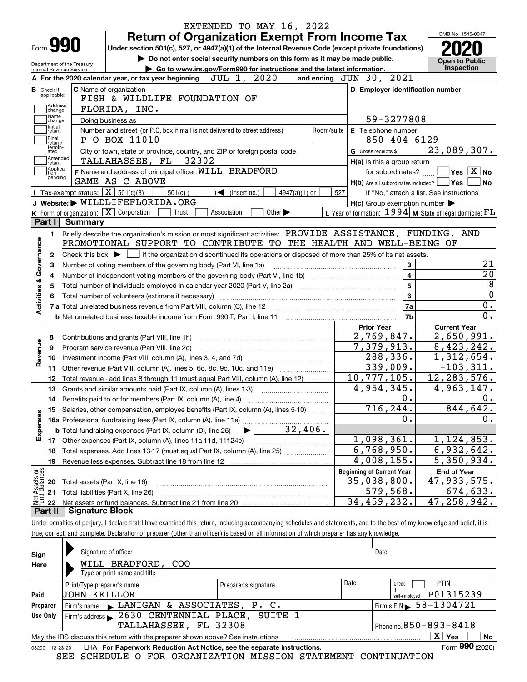|                                                                                                                 | <b>Return of Organization Exempt From Income Tax</b>                                                                                                                                                                                                                                |            |                                                     |                         | OMB No. 1545-0047                                                                                                                                            |
|-----------------------------------------------------------------------------------------------------------------|-------------------------------------------------------------------------------------------------------------------------------------------------------------------------------------------------------------------------------------------------------------------------------------|------------|-----------------------------------------------------|-------------------------|--------------------------------------------------------------------------------------------------------------------------------------------------------------|
| Form <b>990</b>                                                                                                 | Under section 501(c), 527, or 4947(a)(1) of the Internal Revenue Code (except private foundations)                                                                                                                                                                                  |            |                                                     |                         |                                                                                                                                                              |
| Department of the Treasury                                                                                      | Do not enter social security numbers on this form as it may be made public.                                                                                                                                                                                                         |            |                                                     |                         | <b>Open to Public</b><br><b>Inspection</b>                                                                                                                   |
| Internal Revenue Service                                                                                        | Go to www.irs.gov/Form990 for instructions and the latest information.<br>2020<br>JUL 1,<br>A For the 2020 calendar year, or tax year beginning                                                                                                                                     |            | and ending JUN 30, 2021                             |                         |                                                                                                                                                              |
|                                                                                                                 |                                                                                                                                                                                                                                                                                     |            |                                                     |                         |                                                                                                                                                              |
| <b>B</b> Check if<br>applicable:                                                                                | <b>C</b> Name of organization<br>FISH & WILDLIFE FOUNDATION OF                                                                                                                                                                                                                      |            | D Employer identification number                    |                         |                                                                                                                                                              |
| Address                                                                                                         | FLORIDA, INC.                                                                                                                                                                                                                                                                       |            |                                                     |                         |                                                                                                                                                              |
| change<br>Name                                                                                                  | Doing business as                                                                                                                                                                                                                                                                   |            |                                                     | 59-3277808              |                                                                                                                                                              |
| change<br>Initial                                                                                               | Number and street (or P.O. box if mail is not delivered to street address)                                                                                                                                                                                                          | Room/suite | E Telephone number                                  |                         |                                                                                                                                                              |
| return<br>Final                                                                                                 | P O BOX 11010                                                                                                                                                                                                                                                                       |            |                                                     | $850 - 404 - 6129$      |                                                                                                                                                              |
| return/<br>termin-<br>ated                                                                                      | City or town, state or province, country, and ZIP or foreign postal code                                                                                                                                                                                                            |            | G Gross receipts \$                                 |                         | 23,089,307.                                                                                                                                                  |
| Amended                                                                                                         | 32302<br>TALLAHASSEE, FL                                                                                                                                                                                                                                                            |            | H(a) Is this a group return                         |                         |                                                                                                                                                              |
| return]<br> Applica-<br>tion                                                                                    | F Name and address of principal officer: WILL BRADFORD                                                                                                                                                                                                                              |            |                                                     | for subordinates?       | $\sqrt{}$ Yes $\sqrt{X}$ No                                                                                                                                  |
| pending                                                                                                         | SAME AS C ABOVE                                                                                                                                                                                                                                                                     |            | $H(b)$ Are all subordinates included? $\Box$ Yes    |                         |                                                                                                                                                              |
|                                                                                                                 | Tax-exempt status: $\boxed{\mathbf{X}}$ 501(c)(3)<br>$501(c)$ (<br>$\blacktriangleleft$ (insert no.)<br>4947(a)(1) or                                                                                                                                                               | 527        |                                                     |                         | If "No," attach a list. See instructions                                                                                                                     |
|                                                                                                                 | J Website: WILDLIFEFLORIDA.ORG                                                                                                                                                                                                                                                      |            | $H(c)$ Group exemption number $\blacktriangleright$ |                         |                                                                                                                                                              |
|                                                                                                                 | K Form of organization: $\boxed{\mathbf{X}}$ Corporation<br>Other $\blacktriangleright$<br>Trust<br>Association                                                                                                                                                                     |            |                                                     |                         | L Year of formation: $1994$ M State of legal domicile: $FL$                                                                                                  |
| Part I                                                                                                          | Summary                                                                                                                                                                                                                                                                             |            |                                                     |                         |                                                                                                                                                              |
| 1.                                                                                                              | Briefly describe the organization's mission or most significant activities: PROVIDE ASSISTANCE, FUNDING, AND                                                                                                                                                                        |            |                                                     |                         |                                                                                                                                                              |
| 2<br>З                                                                                                          | PROMOTIONAL SUPPORT TO CONTRIBUTE TO THE HEALTH AND WELL-BEING OF<br>Check this box $\blacktriangleright \Box$ if the organization discontinued its operations or disposed of more than 25% of its net assets.<br>Number of voting members of the governing body (Part VI, line 1a) |            |                                                     | 3                       |                                                                                                                                                              |
|                                                                                                                 |                                                                                                                                                                                                                                                                                     |            |                                                     |                         |                                                                                                                                                              |
|                                                                                                                 |                                                                                                                                                                                                                                                                                     |            |                                                     |                         |                                                                                                                                                              |
| 4                                                                                                               |                                                                                                                                                                                                                                                                                     |            |                                                     | $\overline{\mathbf{4}}$ |                                                                                                                                                              |
| 5                                                                                                               |                                                                                                                                                                                                                                                                                     |            |                                                     | $5\phantom{a}$          |                                                                                                                                                              |
|                                                                                                                 |                                                                                                                                                                                                                                                                                     |            |                                                     | 6                       |                                                                                                                                                              |
|                                                                                                                 |                                                                                                                                                                                                                                                                                     |            |                                                     | 7a                      |                                                                                                                                                              |
|                                                                                                                 |                                                                                                                                                                                                                                                                                     |            |                                                     | 7b                      |                                                                                                                                                              |
|                                                                                                                 |                                                                                                                                                                                                                                                                                     |            | <b>Prior Year</b>                                   |                         | <b>Current Year</b>                                                                                                                                          |
| 8                                                                                                               | Contributions and grants (Part VIII, line 1h)                                                                                                                                                                                                                                       |            | 2,769,847.                                          |                         |                                                                                                                                                              |
| 9                                                                                                               | Program service revenue (Part VIII, line 2g)                                                                                                                                                                                                                                        |            | 7,379,913.                                          |                         |                                                                                                                                                              |
| 10                                                                                                              |                                                                                                                                                                                                                                                                                     |            | 288,336.                                            |                         |                                                                                                                                                              |
| 11                                                                                                              | Other revenue (Part VIII, column (A), lines 5, 6d, 8c, 9c, 10c, and 11e)                                                                                                                                                                                                            |            | 339,009.                                            |                         |                                                                                                                                                              |
| 12                                                                                                              | Total revenue - add lines 8 through 11 (must equal Part VIII, column (A), line 12)                                                                                                                                                                                                  |            | 10,777,105.                                         |                         |                                                                                                                                                              |
| 13                                                                                                              | Grants and similar amounts paid (Part IX, column (A), lines 1-3)                                                                                                                                                                                                                    |            | $\overline{4,954,345}$ .                            |                         |                                                                                                                                                              |
| 14                                                                                                              |                                                                                                                                                                                                                                                                                     |            |                                                     | 0.                      |                                                                                                                                                              |
|                                                                                                                 | 15 Salaries, other compensation, employee benefits (Part IX, column (A), lines 5-10)                                                                                                                                                                                                |            | 716, 244.                                           |                         |                                                                                                                                                              |
|                                                                                                                 |                                                                                                                                                                                                                                                                                     |            |                                                     | 0.                      |                                                                                                                                                              |
|                                                                                                                 | 32,406.<br><b>b</b> Total fundraising expenses (Part IX, column (D), line 25)                                                                                                                                                                                                       |            |                                                     |                         |                                                                                                                                                              |
| 17                                                                                                              |                                                                                                                                                                                                                                                                                     |            | 1,098,361.                                          |                         |                                                                                                                                                              |
| 18                                                                                                              | Total expenses. Add lines 13-17 (must equal Part IX, column (A), line 25)                                                                                                                                                                                                           |            | 6,768,950.                                          |                         |                                                                                                                                                              |
| 19                                                                                                              | Revenue less expenses. Subtract line 18 from line 12                                                                                                                                                                                                                                |            | 4,008,155.                                          |                         |                                                                                                                                                              |
|                                                                                                                 |                                                                                                                                                                                                                                                                                     |            | <b>Beginning of Current Year</b>                    |                         | <b>End of Year</b>                                                                                                                                           |
| 20                                                                                                              | Total assets (Part X, line 16)                                                                                                                                                                                                                                                      |            | 35,038,800.                                         |                         | 2,650,991.<br>8,423,242.<br>1,312,654.<br>$-103,311.$<br>12, 283, 576.<br>4,963,147.<br>844, 642.<br>1, 124, 853.<br>6,932,642.<br>5,350,934.<br>47,933,575. |
| 21                                                                                                              | Total liabilities (Part X, line 26)                                                                                                                                                                                                                                                 |            | 579,568.                                            |                         | 674,633.                                                                                                                                                     |
| Governance<br><b>Activities &amp;</b><br>Revenue<br>Expenses<br>t Assets or<br>d Balances<br>혏<br>22<br>Part II | <b>Signature Block</b>                                                                                                                                                                                                                                                              |            | 34,459,232.                                         |                         | 47,258,942.                                                                                                                                                  |

| Sign     | Signature of officer                                                                                         |                      |                              | Date                                         |  |  |  |  |
|----------|--------------------------------------------------------------------------------------------------------------|----------------------|------------------------------|----------------------------------------------|--|--|--|--|
| Here     | WILL BRADFORD, COO                                                                                           |                      |                              |                                              |  |  |  |  |
|          | Type or print name and title                                                                                 |                      |                              |                                              |  |  |  |  |
|          | Print/Type preparer's name                                                                                   | Preparer's signature | Date                         | <b>PTIN</b><br>Check                         |  |  |  |  |
| Paid     | UOHN KEILLOR                                                                                                 |                      |                              | P01315239<br>self-emploved                   |  |  |  |  |
| Preparer | Firm's name LANIGAN & ASSOCIATES, P. C.                                                                      |                      |                              | $1$ Firm's EIN $\triangleright$ 58 - 1304721 |  |  |  |  |
| Use Only | Firm's address > 2630 CENTENNIAL PLACE, SUITE 1                                                              |                      |                              |                                              |  |  |  |  |
|          | TALLAHASSEE, FL 32308                                                                                        |                      | Phone no. $850 - 893 - 8418$ |                                              |  |  |  |  |
|          | $X \mid Y$ es<br>No<br>May the IRS discuss this return with the preparer shown above? See instructions       |                      |                              |                                              |  |  |  |  |
|          | Form 990 (2020)<br>LHA For Paperwork Reduction Act Notice, see the separate instructions.<br>032001 12-23-20 |                      |                              |                                              |  |  |  |  |

SEE SCHEDULE O FOR ORGANIZATION MISSION STATEMENT CONTINUATION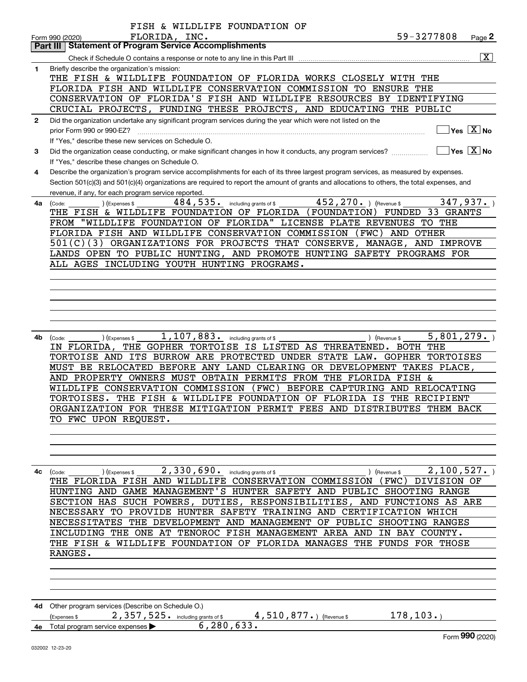|              | FISH & WILDLIFE FOUNDATION OF                                                                                                                             |
|--------------|-----------------------------------------------------------------------------------------------------------------------------------------------------------|
|              | 59-3277808<br>FLORIDA, INC.<br>Page 2<br>Form 990 (2020)                                                                                                  |
|              | <b>Statement of Program Service Accomplishments</b><br>Part III                                                                                           |
|              | $\boxed{\text{X}}$<br>Check if Schedule O contains a response or note to any line in this Part III                                                        |
| 1            | Briefly describe the organization's mission:<br>THE FISH & WILDLIFE FOUNDATION OF FLORIDA WORKS CLOSELY WITH THE                                          |
|              | FLORIDA FISH AND WILDLIFE CONSERVATION COMMISSION TO ENSURE THE                                                                                           |
|              | CONSERVATION OF FLORIDA'S FISH AND WILDLIFE RESOURCES BY IDENTIFYING                                                                                      |
|              | CRUCIAL PROJECTS, FUNDING THESE PROJECTS, AND EDUCATING THE PUBLIC                                                                                        |
| $\mathbf{2}$ | Did the organization undertake any significant program services during the year which were not listed on the                                              |
|              | $\overline{\ }$ Yes $\overline{\phantom{X}}$ No<br>prior Form 990 or 990-EZ?                                                                              |
|              | If "Yes," describe these new services on Schedule O.                                                                                                      |
| З.           | $\overline{\ }$ Yes $\overline{\ \ X}$ No<br>Did the organization cease conducting, or make significant changes in how it conducts, any program services? |
|              | If "Yes," describe these changes on Schedule O.                                                                                                           |
| 4            | Describe the organization's program service accomplishments for each of its three largest program services, as measured by expenses.                      |
|              | Section 501(c)(3) and 501(c)(4) organizations are required to report the amount of grants and allocations to others, the total expenses, and              |
|              | revenue, if any, for each program service reported.                                                                                                       |
| 4а           | 452, 270. ) (Revenue \$<br>347,937.<br>484, 535. including grants of \$<br>) (Expenses \$<br>(Code:                                                       |
|              | THE FISH & WILDLIFE FOUNDATION OF FLORIDA (FOUNDATION)<br>FUNDED 33 GRANTS<br>FROM "WILDLIFE FOUNDATION OF FLORIDA" LICENSE PLATE REVENUES TO THE         |
|              | FLORIDA FISH AND WILDLIFE CONSERVATION COMMISSION<br>(FWC)<br>AND OTHER                                                                                   |
|              | 501(C)(3) ORGANIZATIONS FOR PROJECTS THAT CONSERVE, MANAGE, AND IMPROVE                                                                                   |
|              | LANDS OPEN TO PUBLIC HUNTING, AND PROMOTE HUNTING SAFETY PROGRAMS FOR                                                                                     |
|              | ALL AGES INCLUDING YOUTH HUNTING PROGRAMS.                                                                                                                |
|              |                                                                                                                                                           |
|              |                                                                                                                                                           |
|              |                                                                                                                                                           |
|              |                                                                                                                                                           |
|              |                                                                                                                                                           |
|              |                                                                                                                                                           |
| 4b           | 1, 107, 883. including grants of \$<br>5,801,279.<br>(Expenses \$<br>) (Revenue \$<br>(Code:                                                              |
|              | IN FLORIDA, THE GOPHER TORTOISE IS LISTED AS THREATENED. BOTH THE                                                                                         |
|              | TORTOISE AND ITS BURROW ARE PROTECTED UNDER STATE LAW. GOPHER TORTOISES<br>MUST BE RELOCATED BEFORE ANY LAND CLEARING OR DEVELOPMENT TAKES PLACE,         |
|              | AND PROPERTY OWNERS MUST OBTAIN PERMITS FROM THE FLORIDA FISH &                                                                                           |
|              | WILDLIFE CONSERVATION COMMISSION (FWC)<br>BEFORE CAPTURING AND RELOCATING                                                                                 |
|              | TORTOISES. THE FISH & WILDLIFE FOUNDATION OF FLORIDA IS THE RECIPIENT                                                                                     |
|              | ORGANIZATION FOR THESE MITIGATION PERMIT FEES AND DISTRIBUTES THEM BACK                                                                                   |
|              | TO FWC UPON REQUEST.                                                                                                                                      |
|              |                                                                                                                                                           |
|              |                                                                                                                                                           |
|              |                                                                                                                                                           |
|              |                                                                                                                                                           |
|              | THE FLORIDA FISH AND WILDLIFE CONSERVATION COMMISSION (FWC) DIVISION OF                                                                                   |
|              | HUNTING AND GAME MANAGEMENT'S HUNTER SAFETY AND PUBLIC SHOOTING RANGE                                                                                     |
|              | SECTION HAS SUCH POWERS, DUTIES, RESPONSIBILITIES, AND FUNCTIONS AS ARE                                                                                   |
|              | NECESSARY TO PROVIDE HUNTER SAFETY TRAINING AND CERTIFICATION WHICH                                                                                       |
|              | NECESSITATES THE DEVELOPMENT AND MANAGEMENT OF PUBLIC SHOOTING RANGES                                                                                     |
|              | INCLUDING THE ONE AT TENOROC FISH MANAGEMENT AREA AND IN BAY COUNTY.                                                                                      |
|              | THE FISH & WILDLIFE FOUNDATION OF FLORIDA MANAGES THE FUNDS FOR THOSE                                                                                     |
|              | RANGES.                                                                                                                                                   |
|              |                                                                                                                                                           |
|              |                                                                                                                                                           |
|              |                                                                                                                                                           |
|              |                                                                                                                                                           |
|              | 4d Other program services (Describe on Schedule O.)                                                                                                       |
|              | 2,357,525. including grants of \$ 4,510,877.) (Revenue \$ 178,103.)<br>Expenses \$<br>6, 280, 633.<br>4e Total program service expenses                   |
|              | $\overline{000}$                                                                                                                                          |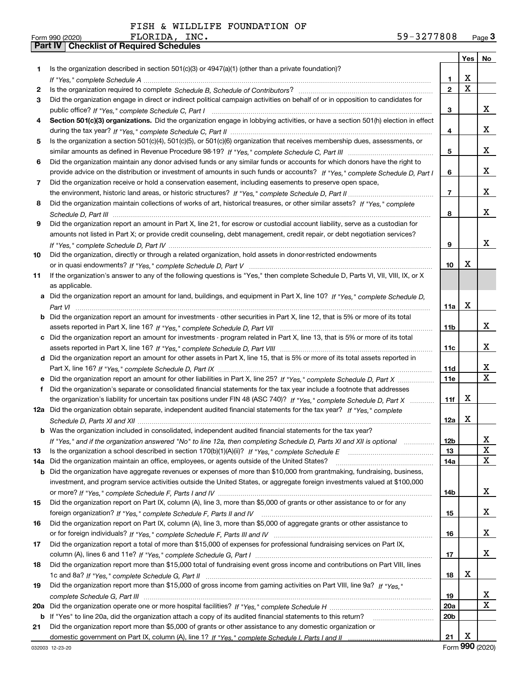|     |                                                                                                                                                                                                                                                   |                   | Yes   No    |             |
|-----|---------------------------------------------------------------------------------------------------------------------------------------------------------------------------------------------------------------------------------------------------|-------------------|-------------|-------------|
| 1   | Is the organization described in section $501(c)(3)$ or $4947(a)(1)$ (other than a private foundation)?                                                                                                                                           |                   |             |             |
|     |                                                                                                                                                                                                                                                   | 1                 | x           |             |
| 2   |                                                                                                                                                                                                                                                   | $\overline{2}$    | $\mathbf X$ |             |
| 3   | Did the organization engage in direct or indirect political campaign activities on behalf of or in opposition to candidates for                                                                                                                   |                   |             |             |
|     |                                                                                                                                                                                                                                                   | 3                 |             | x           |
| 4   | Section 501(c)(3) organizations. Did the organization engage in lobbying activities, or have a section 501(h) election in effect                                                                                                                  |                   |             |             |
|     |                                                                                                                                                                                                                                                   | 4                 |             | x           |
| 5   | Is the organization a section 501(c)(4), 501(c)(5), or 501(c)(6) organization that receives membership dues, assessments, or                                                                                                                      |                   |             |             |
|     |                                                                                                                                                                                                                                                   | 5                 |             | x           |
| 6   | Did the organization maintain any donor advised funds or any similar funds or accounts for which donors have the right to                                                                                                                         |                   |             |             |
|     | provide advice on the distribution or investment of amounts in such funds or accounts? If "Yes," complete Schedule D, Part I                                                                                                                      | 6                 |             | x           |
| 7   | Did the organization receive or hold a conservation easement, including easements to preserve open space,                                                                                                                                         |                   |             |             |
|     |                                                                                                                                                                                                                                                   | $\overline{7}$    |             | x           |
| 8   | Did the organization maintain collections of works of art, historical treasures, or other similar assets? If "Yes," complete                                                                                                                      |                   |             |             |
|     |                                                                                                                                                                                                                                                   | 8                 |             | x           |
| 9   | Did the organization report an amount in Part X, line 21, for escrow or custodial account liability, serve as a custodian for                                                                                                                     |                   |             |             |
|     | amounts not listed in Part X; or provide credit counseling, debt management, credit repair, or debt negotiation services?                                                                                                                         |                   |             |             |
|     |                                                                                                                                                                                                                                                   | 9                 |             | x           |
| 10  | Did the organization, directly or through a related organization, hold assets in donor-restricted endowments                                                                                                                                      |                   |             |             |
|     |                                                                                                                                                                                                                                                   | 10                | х           |             |
| 11  | If the organization's answer to any of the following questions is "Yes," then complete Schedule D, Parts VI, VII, VIII, IX, or X                                                                                                                  |                   |             |             |
|     | as applicable.                                                                                                                                                                                                                                    |                   |             |             |
| a   | Did the organization report an amount for land, buildings, and equipment in Part X, line 10? If "Yes." complete Schedule D.                                                                                                                       |                   |             |             |
|     |                                                                                                                                                                                                                                                   | 11a               | X           |             |
|     | Did the organization report an amount for investments - other securities in Part X, line 12, that is 5% or more of its total                                                                                                                      |                   |             |             |
|     |                                                                                                                                                                                                                                                   | 11 <sub>b</sub>   |             | x           |
|     | Did the organization report an amount for investments - program related in Part X, line 13, that is 5% or more of its total                                                                                                                       |                   |             | x           |
|     |                                                                                                                                                                                                                                                   | 11c               |             |             |
|     | d Did the organization report an amount for other assets in Part X, line 15, that is 5% or more of its total assets reported in                                                                                                                   |                   |             | x           |
|     |                                                                                                                                                                                                                                                   | 11d<br><b>11e</b> |             | $\mathbf X$ |
| f   |                                                                                                                                                                                                                                                   |                   |             |             |
|     | Did the organization's separate or consolidated financial statements for the tax year include a footnote that addresses<br>the organization's liability for uncertain tax positions under FIN 48 (ASC 740)? If "Yes," complete Schedule D, Part X | 11f               | х           |             |
|     | 12a Did the organization obtain separate, independent audited financial statements for the tax year? If "Yes." complete                                                                                                                           |                   |             |             |
|     |                                                                                                                                                                                                                                                   | 12a               | х           |             |
|     | <b>b</b> Was the organization included in consolidated, independent audited financial statements for the tax year?                                                                                                                                |                   |             |             |
|     | If "Yes," and if the organization answered "No" to line 12a, then completing Schedule D, Parts XI and XII is optional                                                                                                                             | 12 <sub>b</sub>   |             |             |
| 13  |                                                                                                                                                                                                                                                   | 13                |             | 47<br>X     |
| 14a | Did the organization maintain an office, employees, or agents outside of the United States?                                                                                                                                                       | 14a               |             | X           |
| b   | Did the organization have aggregate revenues or expenses of more than \$10,000 from grantmaking, fundraising, business,                                                                                                                           |                   |             |             |
|     | investment, and program service activities outside the United States, or aggregate foreign investments valued at \$100,000                                                                                                                        |                   |             |             |
|     |                                                                                                                                                                                                                                                   | 14b               |             | x           |
| 15  | Did the organization report on Part IX, column (A), line 3, more than \$5,000 of grants or other assistance to or for any                                                                                                                         |                   |             |             |
|     |                                                                                                                                                                                                                                                   | 15                |             | x           |
| 16  | Did the organization report on Part IX, column (A), line 3, more than \$5,000 of aggregate grants or other assistance to                                                                                                                          |                   |             |             |
|     |                                                                                                                                                                                                                                                   | 16                |             | x           |
| 17  | Did the organization report a total of more than \$15,000 of expenses for professional fundraising services on Part IX,                                                                                                                           |                   |             |             |
|     |                                                                                                                                                                                                                                                   | 17                |             | x           |
| 18  | Did the organization report more than \$15,000 total of fundraising event gross income and contributions on Part VIII, lines                                                                                                                      |                   |             |             |
|     |                                                                                                                                                                                                                                                   | 18                | x           |             |
| 19  | Did the organization report more than \$15,000 of gross income from gaming activities on Part VIII, line 9a? If "Yes."                                                                                                                            |                   |             |             |
|     |                                                                                                                                                                                                                                                   | 19                |             | x           |
| 20a |                                                                                                                                                                                                                                                   | <b>20a</b>        |             | X           |
|     | b If "Yes" to line 20a, did the organization attach a copy of its audited financial statements to this return?                                                                                                                                    | 20 <sub>b</sub>   |             |             |
| 21  | Did the organization report more than \$5,000 of grants or other assistance to any domestic organization or                                                                                                                                       |                   |             |             |
|     |                                                                                                                                                                                                                                                   | 21                | Х           |             |

Form (2020) **990**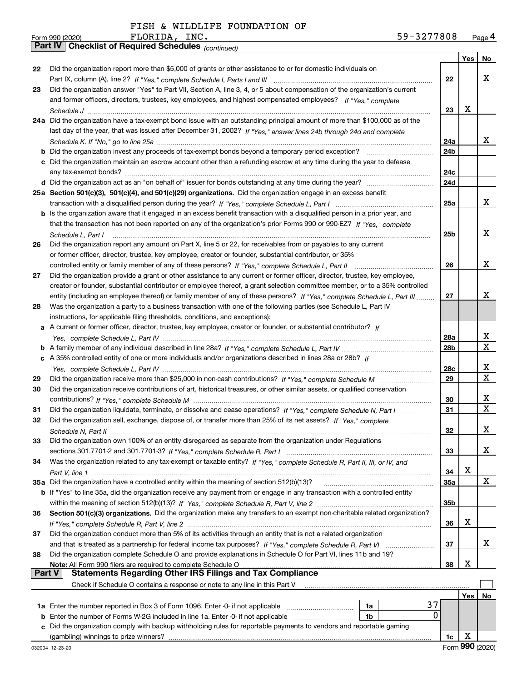*(continued)*

|        |                                                                                                                                                                                                                                                       |                 | Yes | No          |
|--------|-------------------------------------------------------------------------------------------------------------------------------------------------------------------------------------------------------------------------------------------------------|-----------------|-----|-------------|
| 22     | Did the organization report more than \$5,000 of grants or other assistance to or for domestic individuals on                                                                                                                                         |                 |     |             |
|        |                                                                                                                                                                                                                                                       | 22              |     | х           |
| 23     | Did the organization answer "Yes" to Part VII, Section A, line 3, 4, or 5 about compensation of the organization's current                                                                                                                            |                 |     |             |
|        | and former officers, directors, trustees, key employees, and highest compensated employees? If "Yes," complete                                                                                                                                        |                 |     |             |
|        |                                                                                                                                                                                                                                                       | 23              | х   |             |
|        | 24a Did the organization have a tax-exempt bond issue with an outstanding principal amount of more than \$100,000 as of the                                                                                                                           |                 |     |             |
|        | last day of the year, that was issued after December 31, 2002? If "Yes," answer lines 24b through 24d and complete                                                                                                                                    |                 |     |             |
|        |                                                                                                                                                                                                                                                       | 24a             |     | x.          |
|        | <b>b</b> Did the organization invest any proceeds of tax-exempt bonds beyond a temporary period exception?                                                                                                                                            | 24b             |     |             |
|        | c Did the organization maintain an escrow account other than a refunding escrow at any time during the year to defease                                                                                                                                |                 |     |             |
|        |                                                                                                                                                                                                                                                       | 24c             |     |             |
|        |                                                                                                                                                                                                                                                       | 24d             |     |             |
|        | 25a Section 501(c)(3), 501(c)(4), and 501(c)(29) organizations. Did the organization engage in an excess benefit                                                                                                                                      |                 |     | x           |
|        |                                                                                                                                                                                                                                                       | 25a             |     |             |
|        | b Is the organization aware that it engaged in an excess benefit transaction with a disqualified person in a prior year, and<br>that the transaction has not been reported on any of the organization's prior Forms 990 or 990-EZ? If "Yes," complete |                 |     |             |
|        |                                                                                                                                                                                                                                                       | 25b             |     | x           |
|        | Schedule L. Part I<br>Did the organization report any amount on Part X, line 5 or 22, for receivables from or payables to any current                                                                                                                 |                 |     |             |
| 26     | or former officer, director, trustee, key employee, creator or founder, substantial contributor, or 35%                                                                                                                                               |                 |     |             |
|        |                                                                                                                                                                                                                                                       | 26              |     | x           |
| 27     | controlled entity or family member of any of these persons? If "Yes," complete Schedule L, Part II<br>Did the organization provide a grant or other assistance to any current or former officer, director, trustee, key employee,                     |                 |     |             |
|        | creator or founder, substantial contributor or employee thereof, a grant selection committee member, or to a 35% controlled                                                                                                                           |                 |     |             |
|        | entity (including an employee thereof) or family member of any of these persons? If "Yes," complete Schedule L, Part III                                                                                                                              | 27              |     | х           |
| 28     | Was the organization a party to a business transaction with one of the following parties (see Schedule L, Part IV                                                                                                                                     |                 |     |             |
|        | instructions, for applicable filing thresholds, conditions, and exceptions):                                                                                                                                                                          |                 |     |             |
|        | a A current or former officer, director, trustee, key employee, creator or founder, or substantial contributor? If                                                                                                                                    |                 |     |             |
|        |                                                                                                                                                                                                                                                       | 28a             |     | x           |
|        |                                                                                                                                                                                                                                                       | 28 <sub>b</sub> |     | $\mathbf X$ |
|        | c A 35% controlled entity of one or more individuals and/or organizations described in lines 28a or 28b? If                                                                                                                                           |                 |     |             |
|        |                                                                                                                                                                                                                                                       | <b>28c</b>      |     | х           |
| 29     |                                                                                                                                                                                                                                                       | 29              |     | X           |
| 30     | Did the organization receive contributions of art, historical treasures, or other similar assets, or qualified conservation                                                                                                                           |                 |     |             |
|        |                                                                                                                                                                                                                                                       | 30              |     | x           |
| 31     | Did the organization liquidate, terminate, or dissolve and cease operations? If "Yes," complete Schedule N, Part I                                                                                                                                    | 31              |     | X           |
| 32     | Did the organization sell, exchange, dispose of, or transfer more than 25% of its net assets? If "Yes," complete                                                                                                                                      |                 |     |             |
|        |                                                                                                                                                                                                                                                       | 32              |     | x.          |
| 33     | Did the organization own 100% of an entity disregarded as separate from the organization under Regulations                                                                                                                                            |                 |     |             |
|        |                                                                                                                                                                                                                                                       | 33              |     | x           |
| 34     | Was the organization related to any tax-exempt or taxable entity? If "Yes," complete Schedule R, Part II, III, or IV, and                                                                                                                             |                 |     |             |
|        |                                                                                                                                                                                                                                                       | 34              | х   |             |
|        | 35a Did the organization have a controlled entity within the meaning of section 512(b)(13)?                                                                                                                                                           | <b>35a</b>      |     | X           |
|        | b If "Yes" to line 35a, did the organization receive any payment from or engage in any transaction with a controlled entity                                                                                                                           |                 |     |             |
|        |                                                                                                                                                                                                                                                       | 35b             |     |             |
| 36     | Section 501(c)(3) organizations. Did the organization make any transfers to an exempt non-charitable related organization?                                                                                                                            |                 |     |             |
|        |                                                                                                                                                                                                                                                       | 36              | х   |             |
| 37     | Did the organization conduct more than 5% of its activities through an entity that is not a related organization                                                                                                                                      |                 |     |             |
|        | and that is treated as a partnership for federal income tax purposes? If "Yes," complete Schedule R, Part VI                                                                                                                                          | 37              |     | X.          |
| 38     | Did the organization complete Schedule O and provide explanations in Schedule O for Part VI, lines 11b and 19?                                                                                                                                        |                 |     |             |
| Part V | Note: All Form 990 filers are required to complete Schedule O<br><b>Statements Regarding Other IRS Filings and Tax Compliance</b>                                                                                                                     | 38              | х   |             |
|        | Check if Schedule O contains a response or note to any line in this Part V                                                                                                                                                                            |                 |     |             |
|        |                                                                                                                                                                                                                                                       |                 | Yes | No          |
|        | 37<br>1a Enter the number reported in Box 3 of Form 1096. Enter -0- if not applicable<br>1a                                                                                                                                                           |                 |     |             |
| b      | 0<br>Enter the number of Forms W-2G included in line 1a. Enter -0- if not applicable<br>1b                                                                                                                                                            |                 |     |             |
| c      | Did the organization comply with backup withholding rules for reportable payments to vendors and reportable gaming                                                                                                                                    |                 |     |             |
|        | (gambling) winnings to prize winners?                                                                                                                                                                                                                 | 1c              | х   |             |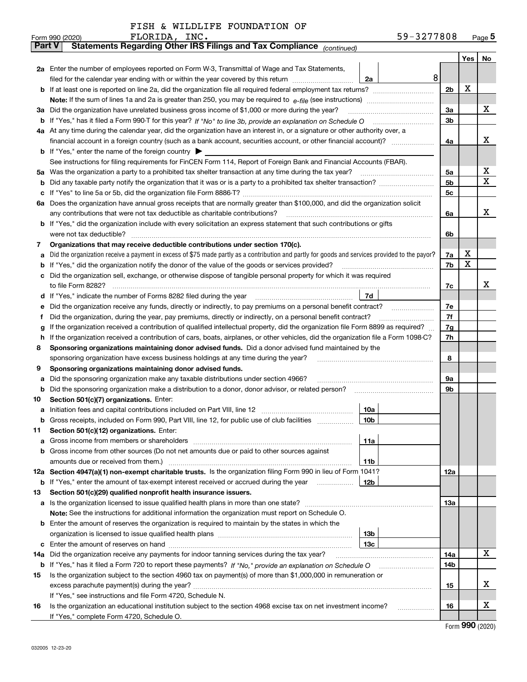|  |  | FISH & WILDLIFE FOUNDATION OF |  |
|--|--|-------------------------------|--|
|--|--|-------------------------------|--|

|        | FLORIDA, INC.<br>Form 990 (2020)                                                                                                                                                                                                      | 59-3277808 |                |     | Page $5$ |
|--------|---------------------------------------------------------------------------------------------------------------------------------------------------------------------------------------------------------------------------------------|------------|----------------|-----|----------|
|        | Statements Regarding Other IRS Filings and Tax Compliance (continued)<br><b>Part V</b>                                                                                                                                                |            |                |     |          |
|        |                                                                                                                                                                                                                                       |            |                | Yes | No       |
|        | 2a Enter the number of employees reported on Form W-3, Transmittal of Wage and Tax Statements,                                                                                                                                        |            |                |     |          |
|        | filed for the calendar year ending with or within the year covered by this return<br>2a                                                                                                                                               | 8          |                |     |          |
|        |                                                                                                                                                                                                                                       |            | 2 <sub>b</sub> | х   |          |
|        |                                                                                                                                                                                                                                       |            |                |     |          |
| За     | Did the organization have unrelated business gross income of \$1,000 or more during the year?                                                                                                                                         |            | 3a             |     | х        |
| b      |                                                                                                                                                                                                                                       |            | 3 <sub>b</sub> |     |          |
|        | 4a At any time during the calendar year, did the organization have an interest in, or a signature or other authority over, a                                                                                                          |            |                |     |          |
|        |                                                                                                                                                                                                                                       |            | 4a             |     | х        |
|        | <b>b</b> If "Yes," enter the name of the foreign country $\blacktriangleright$                                                                                                                                                        |            |                |     |          |
|        | See instructions for filing requirements for FinCEN Form 114, Report of Foreign Bank and Financial Accounts (FBAR).                                                                                                                   |            |                |     |          |
| 5а     | Was the organization a party to a prohibited tax shelter transaction at any time during the tax year?                                                                                                                                 |            | 5a             |     | х        |
| b      |                                                                                                                                                                                                                                       |            | 5 <sub>b</sub> |     | X        |
| с      |                                                                                                                                                                                                                                       |            | 5c             |     |          |
|        | 6a Does the organization have annual gross receipts that are normally greater than \$100,000, and did the organization solicit                                                                                                        |            |                |     |          |
|        | any contributions that were not tax deductible as charitable contributions?                                                                                                                                                           |            | 6a             |     | x        |
|        | b If "Yes," did the organization include with every solicitation an express statement that such contributions or gifts                                                                                                                |            |                |     |          |
|        | were not tax deductible?                                                                                                                                                                                                              |            | 6b             |     |          |
| 7      | Organizations that may receive deductible contributions under section 170(c).                                                                                                                                                         |            |                | x   |          |
| a      | Did the organization receive a payment in excess of \$75 made partly as a contribution and partly for goods and services provided to the payor?                                                                                       |            | 7a             | X   |          |
| b      | If "Yes," did the organization notify the donor of the value of the goods or services provided?                                                                                                                                       |            | 7b             |     |          |
|        | Did the organization sell, exchange, or otherwise dispose of tangible personal property for which it was required                                                                                                                     |            |                |     | x        |
|        | 7d<br>If "Yes," indicate the number of Forms 8282 filed during the year manufactured in the numerous control of Forms and The New York and The New York and The New York and The New York and The New York and The New York and The   |            | 7c             |     |          |
| d      | Did the organization receive any funds, directly or indirectly, to pay premiums on a personal benefit contract?                                                                                                                       |            | 7e             |     |          |
| е<br>f | Did the organization, during the year, pay premiums, directly or indirectly, on a personal benefit contract?                                                                                                                          |            | 7f             |     |          |
| g      | If the organization received a contribution of qualified intellectual property, did the organization file Form 8899 as required?                                                                                                      |            | 7g             |     |          |
| h      | If the organization received a contribution of cars, boats, airplanes, or other vehicles, did the organization file a Form 1098-C?                                                                                                    |            | 7h             |     |          |
| 8      | Sponsoring organizations maintaining donor advised funds. Did a donor advised fund maintained by the                                                                                                                                  |            |                |     |          |
|        | sponsoring organization have excess business holdings at any time during the year?                                                                                                                                                    |            | 8              |     |          |
| 9      | Sponsoring organizations maintaining donor advised funds.                                                                                                                                                                             |            |                |     |          |
| a      | Did the sponsoring organization make any taxable distributions under section 4966?                                                                                                                                                    |            | 9а             |     |          |
| b      | Did the sponsoring organization make a distribution to a donor, donor advisor, or related person?                                                                                                                                     |            | 9b             |     |          |
| 10     | Section 501(c)(7) organizations. Enter:                                                                                                                                                                                               |            |                |     |          |
|        | 10a<br>a Initiation fees and capital contributions included on Part VIII, line 12 [111] [11] [12] [11] [12] [11] [12] [11] [12] [11] [12] [11] [12] [11] [12] [11] [12] [11] [12] [11] [12] [11] [12] [11] [12] [11] [12] [11] [12] [ |            |                |     |          |
|        | 10b<br>Gross receipts, included on Form 990, Part VIII, line 12, for public use of club facilities                                                                                                                                    |            |                |     |          |
| 11     | Section 501(c)(12) organizations. Enter:                                                                                                                                                                                              |            |                |     |          |
| a      | 11a<br>Gross income from members or shareholders                                                                                                                                                                                      |            |                |     |          |
| b      | Gross income from other sources (Do not net amounts due or paid to other sources against                                                                                                                                              |            |                |     |          |
|        | 11 <sub>b</sub><br>amounts due or received from them.)                                                                                                                                                                                |            |                |     |          |
|        | 12a Section 4947(a)(1) non-exempt charitable trusts. Is the organization filing Form 990 in lieu of Form 1041?                                                                                                                        |            | <b>12a</b>     |     |          |
|        | <b>b</b> If "Yes," enter the amount of tax-exempt interest received or accrued during the year<br>12 <sub>b</sub>                                                                                                                     |            |                |     |          |
| 13     | Section 501(c)(29) qualified nonprofit health insurance issuers.                                                                                                                                                                      |            |                |     |          |
|        | a Is the organization licensed to issue qualified health plans in more than one state?                                                                                                                                                |            | <b>13a</b>     |     |          |
|        | Note: See the instructions for additional information the organization must report on Schedule O.                                                                                                                                     |            |                |     |          |
|        | <b>b</b> Enter the amount of reserves the organization is required to maintain by the states in which the                                                                                                                             |            |                |     |          |
|        | 13 <sub>b</sub>                                                                                                                                                                                                                       |            |                |     |          |
| c      | 13 <sub>c</sub>                                                                                                                                                                                                                       |            |                |     |          |
| 14a    | Did the organization receive any payments for indoor tanning services during the tax year?                                                                                                                                            |            | 14a            |     | x        |
|        |                                                                                                                                                                                                                                       |            | 14b            |     |          |
| 15     | Is the organization subject to the section 4960 tax on payment(s) of more than \$1,000,000 in remuneration or                                                                                                                         |            |                |     |          |
|        |                                                                                                                                                                                                                                       |            | 15             |     | х        |
|        | If "Yes," see instructions and file Form 4720, Schedule N.                                                                                                                                                                            |            |                |     |          |
| 16     | Is the organization an educational institution subject to the section 4968 excise tax on net investment income?                                                                                                                       |            | 16             |     | х        |
|        | If "Yes," complete Form 4720, Schedule O.                                                                                                                                                                                             |            |                |     |          |

Form (2020) **990**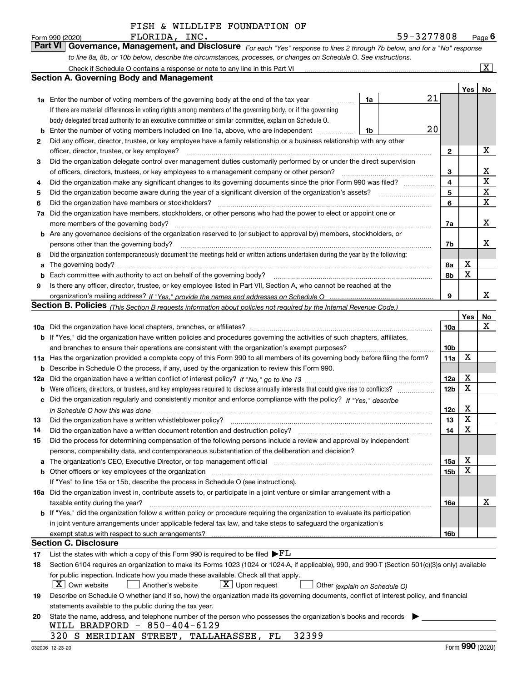|    | FLORIDA, INC.<br>Form 990 (2020)                                                                                                               |    | 59-3277808 |              |       | Page $6$                |
|----|------------------------------------------------------------------------------------------------------------------------------------------------|----|------------|--------------|-------|-------------------------|
|    | <b>Part VI</b><br>Governance, Management, and Disclosure For each "Yes" response to lines 2 through 7b below, and for a "No" response          |    |            |              |       |                         |
|    | to line 8a, 8b, or 10b below, describe the circumstances, processes, or changes on Schedule O. See instructions.                               |    |            |              |       |                         |
|    | Check if Schedule O contains a response or note to any line in this Part VI [11] [12] [2] [2] [2] [2] [2] [2] [                                |    |            |              |       | $\overline{\mathbf{X}}$ |
|    | <b>Section A. Governing Body and Management</b>                                                                                                |    |            |              |       |                         |
|    |                                                                                                                                                |    |            |              | Yes I | <b>No</b>               |
|    | <b>1a</b> Enter the number of voting members of the governing body at the end of the tax year                                                  | 1a | 21         |              |       |                         |
|    | If there are material differences in voting rights among members of the governing body, or if the governing                                    |    |            |              |       |                         |
|    | body delegated broad authority to an executive committee or similar committee, explain on Schedule O.                                          |    |            |              |       |                         |
| b  | Enter the number of voting members included on line 1a, above, who are independent                                                             | 1b | 20         |              |       |                         |
| 2  | Did any officer, director, trustee, or key employee have a family relationship or a business relationship with any other                       |    |            |              |       |                         |
|    | officer, director, trustee, or key employee?                                                                                                   |    |            | $\mathbf{2}$ |       | х                       |
| 3  | Did the organization delegate control over management duties customarily performed by or under the direct supervision                          |    |            |              |       |                         |
|    |                                                                                                                                                |    |            | 3            |       | x                       |
| 4  | Did the organization make any significant changes to its governing documents since the prior Form 990 was filed?                               |    |            | 4            |       | X                       |
| 5  |                                                                                                                                                |    |            | 5            |       | X                       |
| 6  | Did the organization have members or stockholders?                                                                                             |    |            | 6            |       | X                       |
| 7a | Did the organization have members, stockholders, or other persons who had the power to elect or appoint one or                                 |    |            |              |       |                         |
|    | more members of the governing body?                                                                                                            |    |            | 7a           |       | x                       |
|    | <b>b</b> Are any governance decisions of the organization reserved to (or subject to approval by) members, stockholders, or                    |    |            |              |       |                         |
|    | persons other than the governing body?                                                                                                         |    |            | 7b           |       | х                       |
| 8  | Did the organization contemporaneously document the meetings held or written actions undertaken during the year by the following:              |    |            |              |       |                         |
| a  | The governing body?                                                                                                                            |    |            | 8а           | х     |                         |
|    | Each committee with authority to act on behalf of the governing body?<br>Fach committee with authority to act on behalf of the governing body? |    |            | 8b           | x     |                         |
|    | Is there any officer, director, trustee, or key employee listed in Part VII, Section A, who cannot be reached at the                           |    |            |              |       |                         |

|     | <b>Section B. Policies</b> (This Section B requests information about policies not required by the Internal Revenue Code.)                                                                                                     |                 | Yes.        | No |
|-----|--------------------------------------------------------------------------------------------------------------------------------------------------------------------------------------------------------------------------------|-----------------|-------------|----|
|     |                                                                                                                                                                                                                                | 10a             |             | X  |
|     | b If "Yes," did the organization have written policies and procedures governing the activities of such chapters, affiliates,                                                                                                   |                 |             |    |
|     | and branches to ensure their operations are consistent with the organization's exempt purposes?                                                                                                                                | 10 <sub>b</sub> |             |    |
|     | 11a Has the organization provided a complete copy of this Form 990 to all members of its governing body before filing the form?                                                                                                | 11a             | $\mathbf X$ |    |
| b   | Describe in Schedule O the process, if any, used by the organization to review this Form 990.                                                                                                                                  |                 |             |    |
| 12a |                                                                                                                                                                                                                                | 12a             | X           |    |
| b   | Were officers, directors, or trustees, and key employees required to disclose annually interests that could give rise to conflicts?                                                                                            | 12 <sub>b</sub> | X           |    |
| с   | Did the organization regularly and consistently monitor and enforce compliance with the policy? If "Yes," describe                                                                                                             |                 |             |    |
|     | in Schedule O how this was done encourance and an according to the state of the state of the state of the state of the state of the state of the state of the state of the state of the state of the state of the state of the | 12c             | х           |    |
| 13  | Did the organization have a written whistleblower policy?                                                                                                                                                                      | 13              | х           |    |
| 14  | Did the organization have a written document retention and destruction policy?                                                                                                                                                 | 14              | х           |    |
| 15  | Did the process for determining compensation of the following persons include a review and approval by independent                                                                                                             |                 |             |    |
|     | persons, comparability data, and contemporaneous substantiation of the deliberation and decision?                                                                                                                              |                 |             |    |
| a   | The organization's CEO, Executive Director, or top management official manufactured contains and contained a manufactured with the organization's CEO, Executive Director, or top management official                          | 15a             | х           |    |
|     | <b>b</b> Other officers or key employees of the organization                                                                                                                                                                   | 15b             | X           |    |
|     | If "Yes" to line 15a or 15b, describe the process in Schedule O (see instructions).                                                                                                                                            |                 |             |    |
|     | <b>16a</b> Did the organization invest in, contribute assets to, or participate in a joint venture or similar arrangement with a                                                                                               |                 |             |    |
|     | taxable entity during the year?                                                                                                                                                                                                | 16a             |             | х  |
|     | b If "Yes," did the organization follow a written policy or procedure requiring the organization to evaluate its participation                                                                                                 |                 |             |    |
|     | in joint venture arrangements under applicable federal tax law, and take steps to safeguard the organization's                                                                                                                 |                 |             |    |
|     |                                                                                                                                                                                                                                | 16 <sub>b</sub> |             |    |
|     | <b>Section C. Disclosure</b>                                                                                                                                                                                                   |                 |             |    |
| 17  | List the states with which a copy of this Form 990 is required to be filed $\blacktriangleright$ FL                                                                                                                            |                 |             |    |

*If "Yes," provide the names and addresses on Schedule O* organization's mailing address?

**18** *(explain on Schedule O)* Section 6104 requires an organization to make its Forms 1023 (1024 or 1024-A, if applicable), 990, and 990-T (Section 501(c)(3)s only) available for public inspection. Indicate how you made these available. Check all that apply.  $\boxed{\textbf{X}}$  Own website  $\boxed{\phantom{1}}$  Another's website  $\boxed{\phantom{1}}$  Upon request  $\boxed{\phantom{1}}$  Other X  $\boxed{\text{X}}$  Upon request

| 19 Describe on Schedule O whether (and if so, how) the organization made its governing documents, conflict of interest policy, and financial |  |
|----------------------------------------------------------------------------------------------------------------------------------------------|--|
| statements available to the public during the tax year.                                                                                      |  |

| 20 State the name, address, and telephone number of the person who possesses the organization's books and records |  |
|-------------------------------------------------------------------------------------------------------------------|--|
| WILL BRADFORD - $850-404-6129$                                                                                    |  |

|  |  | 320 S MERIDIAN STREET, TALLAHASSEE, FL | 32399 |
|--|--|----------------------------------------|-------|
|  |  |                                        |       |

**9**

X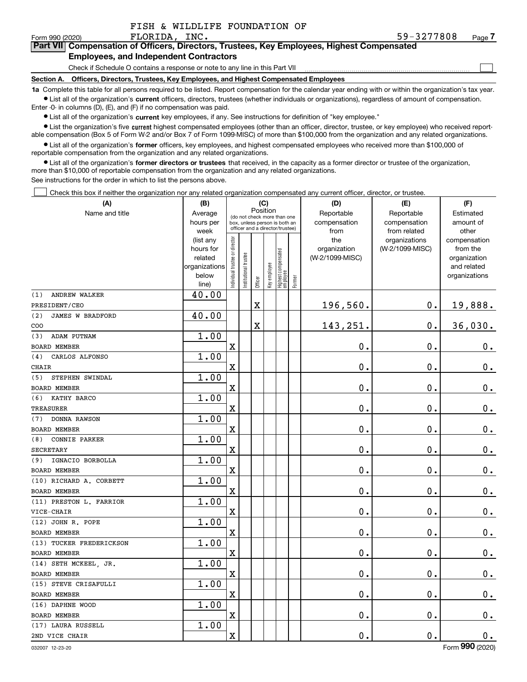| FISH & WILDLIFE FOUNDATION OF |  |
|-------------------------------|--|
|-------------------------------|--|

 $\mathcal{L}^{\text{max}}$ 

| Form 990 (2020) | FLORIDA, INC.                                 | 59-3277808                                                                                 | Page $\prime$ |
|-----------------|-----------------------------------------------|--------------------------------------------------------------------------------------------|---------------|
|                 |                                               | Part VII Compensation of Officers, Directors, Trustees, Key Employees, Highest Compensated |               |
|                 | <b>Employees, and Independent Contractors</b> |                                                                                            |               |

#### Check if Schedule O contains a response or note to any line in this Part VII

**Section A. Officers, Directors, Trustees, Key Employees, and Highest Compensated Employees**

**1a**  Complete this table for all persons required to be listed. Report compensation for the calendar year ending with or within the organization's tax year. **•** List all of the organization's current officers, directors, trustees (whether individuals or organizations), regardless of amount of compensation.

Enter -0- in columns (D), (E), and (F) if no compensation was paid.

 $\bullet$  List all of the organization's  $\,$ current key employees, if any. See instructions for definition of "key employee."

**•** List the organization's five current highest compensated employees (other than an officer, director, trustee, or key employee) who received reportable compensation (Box 5 of Form W-2 and/or Box 7 of Form 1099-MISC) of more than \$100,000 from the organization and any related organizations.

**•** List all of the organization's former officers, key employees, and highest compensated employees who received more than \$100,000 of reportable compensation from the organization and any related organizations.

**former directors or trustees**  ¥ List all of the organization's that received, in the capacity as a former director or trustee of the organization, more than \$10,000 of reportable compensation from the organization and any related organizations.

See instructions for the order in which to list the persons above.

Check this box if neither the organization nor any related organization compensated any current officer, director, or trustee.  $\mathcal{L}^{\text{max}}$ 

| (A)                            | (B)               |                               |                       | (C)                     |              |                                                                  |        | (D)                  | (E)                          | (F)                |
|--------------------------------|-------------------|-------------------------------|-----------------------|-------------------------|--------------|------------------------------------------------------------------|--------|----------------------|------------------------------|--------------------|
| Name and title                 | Average           |                               |                       | Position                |              | (do not check more than one                                      |        | Reportable           | Reportable                   | Estimated          |
|                                | hours per<br>week |                               |                       |                         |              | box, unless person is both an<br>officer and a director/trustee) |        | compensation<br>from | compensation<br>from related | amount of<br>other |
|                                | (list any         |                               |                       |                         |              |                                                                  |        | the                  | organizations                | compensation       |
|                                | hours for         |                               |                       |                         |              |                                                                  |        | organization         | (W-2/1099-MISC)              | from the           |
|                                | related           |                               |                       |                         |              |                                                                  |        | (W-2/1099-MISC)      |                              | organization       |
|                                | organizations     |                               |                       |                         |              |                                                                  |        |                      |                              | and related        |
|                                | below<br>line)    | ndividual trustee or director | Institutional trustee | Officer                 | Key employee | Highest compensated<br>  employee                                | Former |                      |                              | organizations      |
| <b>ANDREW WALKER</b><br>(1)    | 40.00             |                               |                       |                         |              |                                                                  |        |                      |                              |                    |
| PRESIDENT/CEO                  |                   |                               |                       | $\overline{\textbf{X}}$ |              |                                                                  |        | 196,560.             | 0.                           | 19,888.            |
| (2)<br><b>JAMES W BRADFORD</b> | 40.00             |                               |                       |                         |              |                                                                  |        |                      |                              |                    |
| COO                            |                   |                               |                       | X                       |              |                                                                  |        | 143,251.             | 0.                           | 36,030.            |
| ADAM PUTNAM<br>(3)             | 1.00              |                               |                       |                         |              |                                                                  |        |                      |                              |                    |
| <b>BOARD MEMBER</b>            |                   | X                             |                       |                         |              |                                                                  |        | $\mathbf 0$ .        | $\mathbf 0$ .                | $0_{.}$            |
| CARLOS ALFONSO<br>(4)          | 1.00              |                               |                       |                         |              |                                                                  |        |                      |                              |                    |
| CHAIR                          |                   | X                             |                       |                         |              |                                                                  |        | 0.                   | 0.                           | $0_{.}$            |
| (5)<br>STEPHEN SWINDAL         | 1.00              |                               |                       |                         |              |                                                                  |        |                      |                              |                    |
| <b>BOARD MEMBER</b>            |                   | X                             |                       |                         |              |                                                                  |        | 0.                   | 0.                           | $0_{.}$            |
| KATHY BARCO<br>(6)             | 1.00              |                               |                       |                         |              |                                                                  |        |                      |                              |                    |
| TREASURER                      |                   | X                             |                       |                         |              |                                                                  |        | 0.                   | 0.                           | $0_{.}$            |
| DONNA RAWSON<br>(7)            | 1.00              |                               |                       |                         |              |                                                                  |        |                      |                              |                    |
| <b>BOARD MEMBER</b>            |                   | $\mathbf X$                   |                       |                         |              |                                                                  |        | 0.                   | 0.                           | $0_{.}$            |
| <b>CONNIE PARKER</b><br>(8)    | 1.00              |                               |                       |                         |              |                                                                  |        |                      |                              |                    |
| <b>SECRETARY</b>               |                   | X                             |                       |                         |              |                                                                  |        | 0.                   | $\mathbf 0$ .                | $0_{.}$            |
| (9)<br>IGNACIO BORBOLLA        | 1.00              |                               |                       |                         |              |                                                                  |        |                      |                              |                    |
| <b>BOARD MEMBER</b>            |                   | X                             |                       |                         |              |                                                                  |        | $0$ .                | 0.                           | $\mathbf 0$ .      |
| (10) RICHARD A. CORBETT        | 1.00              |                               |                       |                         |              |                                                                  |        |                      |                              |                    |
| <b>BOARD MEMBER</b>            |                   | $\mathbf X$                   |                       |                         |              |                                                                  |        | 0.                   | $\mathbf 0$ .                | $0_{.}$            |
| (11) PRESTON L. FARRIOR        | 1.00              |                               |                       |                         |              |                                                                  |        |                      |                              |                    |
| VICE-CHAIR                     |                   | $\rm X$                       |                       |                         |              |                                                                  |        | 0.                   | $\mathbf 0$ .                | $0_{.}$            |
| (12) JOHN R. POPE              | 1.00              |                               |                       |                         |              |                                                                  |        |                      |                              |                    |
| <b>BOARD MEMBER</b>            |                   | X                             |                       |                         |              |                                                                  |        | 0.                   | $\mathbf 0$ .                | $0_{.}$            |
| (13) TUCKER FREDERICKSON       | 1.00              |                               |                       |                         |              |                                                                  |        |                      |                              |                    |
| <b>BOARD MEMBER</b>            |                   | X                             |                       |                         |              |                                                                  |        | 0.                   | $\mathbf 0$ .                | $0_{.}$            |
| (14) SETH MCKEEL, JR.          | 1.00              |                               |                       |                         |              |                                                                  |        |                      |                              |                    |
| <b>BOARD MEMBER</b>            |                   | X                             |                       |                         |              |                                                                  |        | 0.                   | 0.                           | $\mathbf 0$ .      |
| (15) STEVE CRISAFULLI          | 1.00              |                               |                       |                         |              |                                                                  |        |                      |                              |                    |
| <b>BOARD MEMBER</b>            |                   | X                             |                       |                         |              |                                                                  |        | 0.                   | 0.                           | $0_{.}$            |
| (16) DAPHNE WOOD               | 1.00              |                               |                       |                         |              |                                                                  |        |                      |                              |                    |
| <b>BOARD MEMBER</b>            |                   | X                             |                       |                         |              |                                                                  |        | 0.                   | 0.                           | $\mathbf 0$ .      |
| (17) LAURA RUSSELL             | 1.00              |                               |                       |                         |              |                                                                  |        |                      |                              |                    |
| 2ND VICE CHAIR                 |                   | X                             |                       |                         |              |                                                                  |        | 0.                   | 0.                           | $0_{.}$            |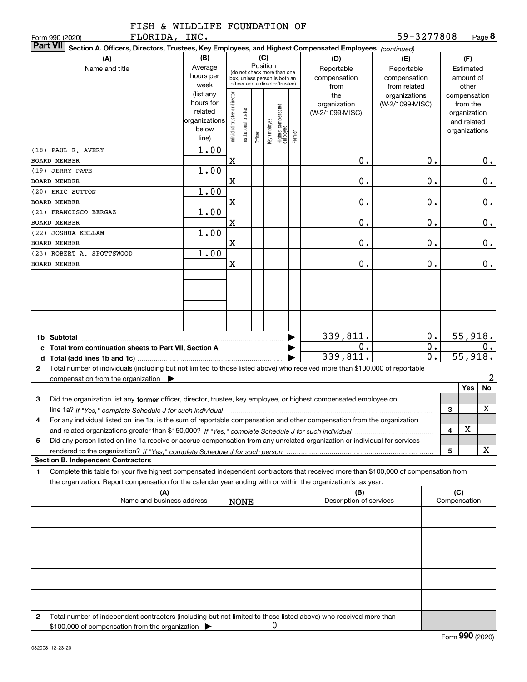|               |  | FISH & WILDLIFE FOUNDATION OF |  |
|---------------|--|-------------------------------|--|
| FLORIDA, INC. |  |                               |  |

| FLORIDA,<br>Form 990 (2020)                                                                                                                       | INC.          |                                         |                                 |         |              |                                  |        |                         | 59-3277808      |                  |              |               | Page 8  |
|---------------------------------------------------------------------------------------------------------------------------------------------------|---------------|-----------------------------------------|---------------------------------|---------|--------------|----------------------------------|--------|-------------------------|-----------------|------------------|--------------|---------------|---------|
| <b>Part VII</b><br>Section A. Officers, Directors, Trustees, Key Employees, and Highest Compensated Employees (continued)                         |               |                                         |                                 |         |              |                                  |        |                         |                 |                  |              |               |         |
| (A)                                                                                                                                               | (B)           |                                         |                                 |         | (C)          |                                  |        | (D)                     | (E)             |                  |              | (F)           |         |
| Name and title                                                                                                                                    | Average       | Position<br>(do not check more than one |                                 |         |              |                                  |        | Reportable              | Reportable      |                  | Estimated    |               |         |
|                                                                                                                                                   | hours per     |                                         | box, unless person is both an   |         |              |                                  |        | compensation            | compensation    |                  |              | amount of     |         |
|                                                                                                                                                   | week          |                                         | officer and a director/trustee) |         |              |                                  |        | from                    | from related    |                  |              | other         |         |
|                                                                                                                                                   | (list any     |                                         |                                 |         |              |                                  |        | the                     | organizations   |                  |              | compensation  |         |
|                                                                                                                                                   | hours for     |                                         |                                 |         |              |                                  |        | organization            | (W-2/1099-MISC) |                  |              | from the      |         |
|                                                                                                                                                   | related       |                                         |                                 |         |              |                                  |        | (W-2/1099-MISC)         |                 |                  |              | organization  |         |
|                                                                                                                                                   | organizations |                                         |                                 |         |              |                                  |        |                         |                 |                  |              | and related   |         |
|                                                                                                                                                   | below         |                                         |                                 |         |              |                                  |        |                         |                 |                  |              | organizations |         |
|                                                                                                                                                   | line)         | Individual trustee or director          | Institutional trustee           | Officer | Key employee | Highest compensated<br> employee | Former |                         |                 |                  |              |               |         |
| (18) PAUL E. AVERY                                                                                                                                | 1.00          |                                         |                                 |         |              |                                  |        |                         |                 |                  |              |               |         |
| <b>BOARD MEMBER</b>                                                                                                                               |               | X                                       |                                 |         |              |                                  |        | 0.                      |                 | 0.               |              |               | 0.      |
|                                                                                                                                                   |               |                                         |                                 |         |              |                                  |        |                         |                 |                  |              |               |         |
| (19) JERRY PATE                                                                                                                                   | 1.00          |                                         |                                 |         |              |                                  |        |                         |                 |                  |              |               |         |
| BOARD MEMBER                                                                                                                                      |               | X                                       |                                 |         |              |                                  |        | 0.                      |                 | 0.               |              |               | 0.      |
| (20) ERIC SUTTON                                                                                                                                  | 1.00          |                                         |                                 |         |              |                                  |        |                         |                 |                  |              |               |         |
| <b>BOARD MEMBER</b>                                                                                                                               |               | X                                       |                                 |         |              |                                  |        | 0.                      |                 | 0.               |              |               | 0.      |
| (21) FRANCISCO BERGAZ                                                                                                                             | 1.00          |                                         |                                 |         |              |                                  |        |                         |                 |                  |              |               |         |
| <b>BOARD MEMBER</b>                                                                                                                               |               | X                                       |                                 |         |              |                                  |        | 0.                      |                 | 0.               |              |               | 0.      |
| (22) JOSHUA KELLAM                                                                                                                                | 1.00          |                                         |                                 |         |              |                                  |        |                         |                 |                  |              |               |         |
|                                                                                                                                                   |               |                                         |                                 |         |              |                                  |        |                         |                 |                  |              |               |         |
| <b>BOARD MEMBER</b>                                                                                                                               |               | X                                       |                                 |         |              |                                  |        | 0.                      |                 | 0.               |              |               | $0$ .   |
| (23) ROBERT A. SPOTTSWOOD                                                                                                                         | 1.00          |                                         |                                 |         |              |                                  |        |                         |                 |                  |              |               |         |
| <b>BOARD MEMBER</b>                                                                                                                               |               | X                                       |                                 |         |              |                                  |        | 0.                      |                 | 0.               |              |               | $0$ .   |
|                                                                                                                                                   |               |                                         |                                 |         |              |                                  |        |                         |                 |                  |              |               |         |
|                                                                                                                                                   |               |                                         |                                 |         |              |                                  |        |                         |                 |                  |              |               |         |
|                                                                                                                                                   |               |                                         |                                 |         |              |                                  |        |                         |                 |                  |              |               |         |
|                                                                                                                                                   |               |                                         |                                 |         |              |                                  |        |                         |                 |                  |              |               |         |
|                                                                                                                                                   |               |                                         |                                 |         |              |                                  |        |                         |                 |                  |              |               |         |
|                                                                                                                                                   |               |                                         |                                 |         |              |                                  |        |                         |                 |                  |              |               |         |
|                                                                                                                                                   |               |                                         |                                 |         |              |                                  |        |                         |                 |                  |              |               |         |
|                                                                                                                                                   |               |                                         |                                 |         |              |                                  |        | 339,811.                |                 | $0$ .            |              |               | 55,918. |
| c Total from continuation sheets to Part VII, Section A                                                                                           |               |                                         |                                 |         |              |                                  |        | 0.                      |                 | $\overline{0}$ . |              |               | О.      |
|                                                                                                                                                   |               |                                         |                                 |         |              |                                  |        | 339,811.                |                 | $\overline{0}$ . |              |               | 55,918. |
| Total number of individuals (including but not limited to those listed above) who received more than \$100,000 of reportable<br>$\mathbf{2}$      |               |                                         |                                 |         |              |                                  |        |                         |                 |                  |              |               |         |
|                                                                                                                                                   |               |                                         |                                 |         |              |                                  |        |                         |                 |                  |              |               | 2       |
| compensation from the organization $\blacktriangleright$                                                                                          |               |                                         |                                 |         |              |                                  |        |                         |                 |                  |              | Yes           | No      |
|                                                                                                                                                   |               |                                         |                                 |         |              |                                  |        |                         |                 |                  |              |               |         |
| 3<br>Did the organization list any former officer, director, trustee, key employee, or highest compensated employee on                            |               |                                         |                                 |         |              |                                  |        |                         |                 |                  |              |               |         |
| line 1a? If "Yes," complete Schedule J for such individual material content content to the content of the complete Schedule J for such individual |               |                                         |                                 |         |              |                                  |        |                         |                 |                  | 3            |               | X       |
| For any individual listed on line 1a, is the sum of reportable compensation and other compensation from the organization                          |               |                                         |                                 |         |              |                                  |        |                         |                 |                  |              |               |         |
|                                                                                                                                                   |               |                                         |                                 |         |              |                                  |        |                         |                 |                  | 4            | X             |         |
| Did any person listed on line 1a receive or accrue compensation from any unrelated organization or individual for services<br>5                   |               |                                         |                                 |         |              |                                  |        |                         |                 |                  |              |               |         |
|                                                                                                                                                   |               |                                         |                                 |         |              |                                  |        |                         |                 |                  | 5            |               | х       |
| <b>Section B. Independent Contractors</b>                                                                                                         |               |                                         |                                 |         |              |                                  |        |                         |                 |                  |              |               |         |
|                                                                                                                                                   |               |                                         |                                 |         |              |                                  |        |                         |                 |                  |              |               |         |
| Complete this table for your five highest compensated independent contractors that received more than \$100,000 of compensation from<br>1         |               |                                         |                                 |         |              |                                  |        |                         |                 |                  |              |               |         |
| the organization. Report compensation for the calendar year ending with or within the organization's tax year.                                    |               |                                         |                                 |         |              |                                  |        |                         |                 |                  |              |               |         |
| (A)                                                                                                                                               |               |                                         |                                 |         |              |                                  |        | (B)                     |                 |                  | (C)          |               |         |
| Name and business address                                                                                                                         |               |                                         | <b>NONE</b>                     |         |              |                                  |        | Description of services |                 |                  | Compensation |               |         |
|                                                                                                                                                   |               |                                         |                                 |         |              |                                  |        |                         |                 |                  |              |               |         |
|                                                                                                                                                   |               |                                         |                                 |         |              |                                  |        |                         |                 |                  |              |               |         |
|                                                                                                                                                   |               |                                         |                                 |         |              |                                  |        |                         |                 |                  |              |               |         |
|                                                                                                                                                   |               |                                         |                                 |         |              |                                  |        |                         |                 |                  |              |               |         |
|                                                                                                                                                   |               |                                         |                                 |         |              |                                  |        |                         |                 |                  |              |               |         |
|                                                                                                                                                   |               |                                         |                                 |         |              |                                  |        |                         |                 |                  |              |               |         |
|                                                                                                                                                   |               |                                         |                                 |         |              |                                  |        |                         |                 |                  |              |               |         |
|                                                                                                                                                   |               |                                         |                                 |         |              |                                  |        |                         |                 |                  |              |               |         |
|                                                                                                                                                   |               |                                         |                                 |         |              |                                  |        |                         |                 |                  |              |               |         |
|                                                                                                                                                   |               |                                         |                                 |         |              |                                  |        |                         |                 |                  |              |               |         |
|                                                                                                                                                   |               |                                         |                                 |         |              |                                  |        |                         |                 |                  |              |               |         |
| Total number of independent contractors (including but not limited to those listed above) who received more than<br>2                             |               |                                         |                                 |         |              |                                  |        |                         |                 |                  |              |               |         |
| \$100,000 of compensation from the organization                                                                                                   |               |                                         |                                 |         |              | 0                                |        |                         |                 |                  |              |               |         |
|                                                                                                                                                   |               |                                         |                                 |         |              |                                  |        |                         |                 |                  |              |               |         |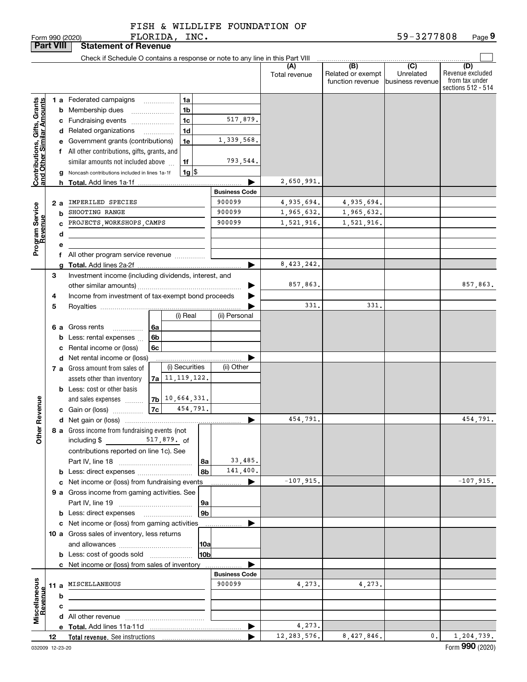FLORIDA, INC.

|                                                           | <b>Part VIII</b> |                               | <b>Statement of Revenue</b>                                                   |                    |                                |                      |                                              |                                                 |                                                                 |
|-----------------------------------------------------------|------------------|-------------------------------|-------------------------------------------------------------------------------|--------------------|--------------------------------|----------------------|----------------------------------------------|-------------------------------------------------|-----------------------------------------------------------------|
|                                                           |                  |                               | Check if Schedule O contains a response or note to any line in this Part VIII |                    |                                |                      |                                              |                                                 |                                                                 |
|                                                           |                  |                               |                                                                               |                    |                                | (A)<br>Total revenue | (B)<br>Related or exempt<br>function revenue | $\overline{C}$<br>Unrelated<br>business revenue | (D)<br>Revenue excluded<br>from tax under<br>sections 512 - 514 |
|                                                           |                  |                               | <b>1 a</b> Federated campaigns                                                | 1a                 |                                |                      |                                              |                                                 |                                                                 |
|                                                           |                  |                               | <b>b</b> Membership dues                                                      | 1b                 |                                |                      |                                              |                                                 |                                                                 |
|                                                           |                  |                               | c Fundraising events                                                          | 1 <sub>c</sub>     | 517,879.                       |                      |                                              |                                                 |                                                                 |
|                                                           |                  |                               | d Related organizations                                                       | 1d                 |                                |                      |                                              |                                                 |                                                                 |
|                                                           |                  |                               | e Government grants (contributions)                                           | 1e                 | 1,339,568.                     |                      |                                              |                                                 |                                                                 |
|                                                           |                  |                               | f All other contributions, gifts, grants, and                                 |                    |                                |                      |                                              |                                                 |                                                                 |
|                                                           |                  |                               | similar amounts not included above                                            | 1f                 | 793,544.                       |                      |                                              |                                                 |                                                                 |
| Contributions, Gifts, Grants<br>and Other Similar Amounts |                  |                               | g Noncash contributions included in lines 1a-1f                               | $1g$ $\frac{1}{3}$ |                                |                      |                                              |                                                 |                                                                 |
|                                                           |                  |                               |                                                                               |                    |                                | 2,650,991.           |                                              |                                                 |                                                                 |
|                                                           |                  |                               |                                                                               |                    | <b>Business Code</b>           |                      |                                              |                                                 |                                                                 |
|                                                           | 2а               |                               | IMPERILED SPECIES                                                             |                    | 900099                         | 4,935,694.           | 4,935,694.                                   |                                                 |                                                                 |
|                                                           |                  | b                             | SHOOTING RANGE                                                                |                    | 900099                         | 1,965,632.           | 1,965,632.                                   |                                                 |                                                                 |
|                                                           |                  | C                             | PROJECTS, WORKSHOPS, CAMPS                                                    |                    | 900099                         | 1,521,916.           | 1,521,916.                                   |                                                 |                                                                 |
| Program Service<br>Revenue                                |                  | d                             |                                                                               |                    |                                |                      |                                              |                                                 |                                                                 |
|                                                           |                  | е                             |                                                                               |                    |                                |                      |                                              |                                                 |                                                                 |
|                                                           |                  |                               | f All other program service revenue                                           |                    |                                |                      |                                              |                                                 |                                                                 |
|                                                           |                  |                               |                                                                               |                    | ▶                              | 8,423,242.           |                                              |                                                 |                                                                 |
|                                                           | 3                |                               | Investment income (including dividends, interest, and                         |                    |                                |                      |                                              |                                                 |                                                                 |
|                                                           |                  |                               |                                                                               |                    |                                | 857,863.             |                                              |                                                 | 857,863.                                                        |
|                                                           | 4                |                               | Income from investment of tax-exempt bond proceeds                            |                    |                                | 331.                 | 331.                                         |                                                 |                                                                 |
|                                                           | 5                |                               |                                                                               | (i) Real           | (ii) Personal                  |                      |                                              |                                                 |                                                                 |
|                                                           |                  |                               | 6 a Gross rents<br>6a                                                         |                    |                                |                      |                                              |                                                 |                                                                 |
|                                                           |                  |                               | .<br><b>b</b> Less: rental expenses<br>6b                                     |                    |                                |                      |                                              |                                                 |                                                                 |
|                                                           |                  |                               | c Rental income or (loss)<br>6c                                               |                    |                                |                      |                                              |                                                 |                                                                 |
|                                                           |                  | d Net rental income or (loss) |                                                                               |                    |                                |                      |                                              |                                                 |                                                                 |
|                                                           |                  |                               | 7 a Gross amount from sales of                                                | (i) Securities     | (ii) Other                     |                      |                                              |                                                 |                                                                 |
|                                                           |                  |                               | assets other than inventory                                                   | $7a$ 11, 119, 122. |                                |                      |                                              |                                                 |                                                                 |
|                                                           |                  |                               | <b>b</b> Less: cost or other basis                                            |                    |                                |                      |                                              |                                                 |                                                                 |
|                                                           |                  |                               | and sales expenses                                                            | $7b$ 10, 664, 331. |                                |                      |                                              |                                                 |                                                                 |
| Revenue                                                   |                  |                               | 7c<br>c Gain or (loss)                                                        | 454,791.           |                                |                      |                                              |                                                 |                                                                 |
|                                                           |                  |                               |                                                                               |                    | ▶                              | 454,791.             |                                              |                                                 | 454,791.                                                        |
| <b>Othe</b>                                               |                  |                               | 8 a Gross income from fundraising events (not<br>including \$                 | 517,879. of        |                                |                      |                                              |                                                 |                                                                 |
|                                                           |                  |                               | contributions reported on line 1c). See                                       |                    |                                |                      |                                              |                                                 |                                                                 |
|                                                           |                  |                               |                                                                               | 8a                 | 33,485.                        |                      |                                              |                                                 |                                                                 |
|                                                           |                  |                               |                                                                               | 8b                 | 141,400.                       |                      |                                              |                                                 |                                                                 |
|                                                           |                  |                               | c Net income or (loss) from fundraising events                                |                    | ▶                              | $-107,915.$          |                                              |                                                 | $-107,915.$                                                     |
|                                                           |                  |                               | 9 a Gross income from gaming activities. See                                  |                    |                                |                      |                                              |                                                 |                                                                 |
|                                                           |                  |                               |                                                                               | 9a                 |                                |                      |                                              |                                                 |                                                                 |
|                                                           |                  |                               | <b>b</b> Less: direct expenses <b>manually</b>                                | 9 <sub>b</sub>     |                                |                      |                                              |                                                 |                                                                 |
|                                                           |                  |                               | c Net income or (loss) from gaming activities                                 |                    |                                |                      |                                              |                                                 |                                                                 |
|                                                           |                  |                               | 10 a Gross sales of inventory, less returns                                   |                    |                                |                      |                                              |                                                 |                                                                 |
|                                                           |                  |                               |                                                                               | 10a                |                                |                      |                                              |                                                 |                                                                 |
|                                                           |                  |                               | <b>b</b> Less: cost of goods sold                                             | 10bl               |                                |                      |                                              |                                                 |                                                                 |
|                                                           |                  |                               | c Net income or (loss) from sales of inventory                                |                    |                                |                      |                                              |                                                 |                                                                 |
|                                                           |                  |                               | 11 a MISCELLANEOUS                                                            |                    | <b>Business Code</b><br>900099 | 4,273.               | 4,273.                                       |                                                 |                                                                 |
|                                                           |                  | b                             |                                                                               |                    |                                |                      |                                              |                                                 |                                                                 |
| Miscellaneous<br>Revenue                                  |                  | c                             |                                                                               |                    |                                |                      |                                              |                                                 |                                                                 |
|                                                           |                  |                               |                                                                               |                    |                                |                      |                                              |                                                 |                                                                 |
|                                                           |                  |                               |                                                                               |                    | ▶                              | 4,273.               |                                              |                                                 |                                                                 |
|                                                           | 12               |                               |                                                                               |                    |                                | 12, 283, 576.        | 8,427,846.                                   | $\mathbf{0}$ .                                  | 1,204,739.                                                      |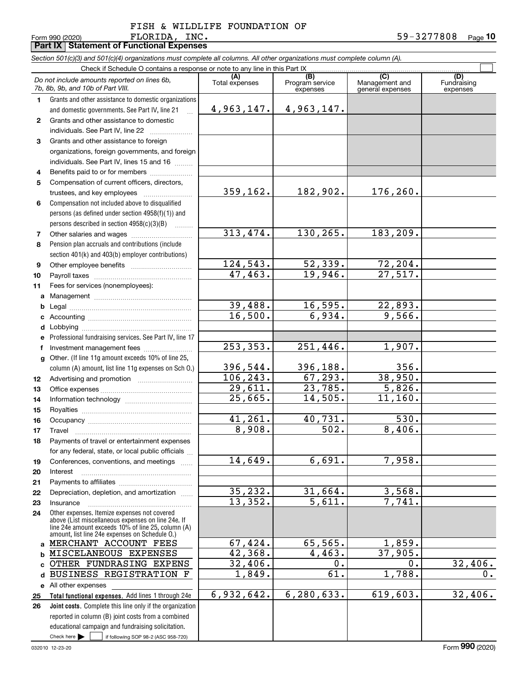Form 990 (2020) Page **Part IX Statement of Functional Expenses**

| Section 501(c)(3) and 501(c)(4) organizations must complete all columns. All other organizations must complete column (A). |  |  |  |
|----------------------------------------------------------------------------------------------------------------------------|--|--|--|
| Check if Schodule $\Omega$ contains a response or note to any line in this Part IY                                         |  |  |  |

|                  | Check if Schedule O contains a response or note to any line in this Part IX                              |                       |                                    |                                           |                                |
|------------------|----------------------------------------------------------------------------------------------------------|-----------------------|------------------------------------|-------------------------------------------|--------------------------------|
|                  | Do not include amounts reported on lines 6b,<br>7b, 8b, 9b, and 10b of Part VIII.                        | (A)<br>Total expenses | (B)<br>Program service<br>expenses | (C)<br>Management and<br>general expenses | (D)<br>Fundraising<br>expenses |
| $\mathbf 1$      | Grants and other assistance to domestic organizations<br>and domestic governments. See Part IV, line 21  | 4,963,147.            | 4,963,147.                         |                                           |                                |
| $\mathbf{2}$     | Grants and other assistance to domestic                                                                  |                       |                                    |                                           |                                |
|                  | individuals. See Part IV, line 22                                                                        |                       |                                    |                                           |                                |
| 3                | Grants and other assistance to foreign                                                                   |                       |                                    |                                           |                                |
|                  | organizations, foreign governments, and foreign                                                          |                       |                                    |                                           |                                |
|                  | individuals. See Part IV, lines 15 and 16                                                                |                       |                                    |                                           |                                |
| 4                | Benefits paid to or for members                                                                          |                       |                                    |                                           |                                |
| 5                | Compensation of current officers, directors,                                                             |                       |                                    |                                           |                                |
|                  |                                                                                                          | 359, 162.             | 182,902.                           | 176, 260.                                 |                                |
| 6                | Compensation not included above to disqualified                                                          |                       |                                    |                                           |                                |
|                  | persons (as defined under section 4958(f)(1)) and                                                        |                       |                                    |                                           |                                |
|                  | persons described in section 4958(c)(3)(B)<br>.                                                          |                       |                                    |                                           |                                |
| $\overline{7}$   |                                                                                                          | 313,474.              | 130,265.                           | 183,209.                                  |                                |
| 8                | Pension plan accruals and contributions (include                                                         |                       |                                    |                                           |                                |
|                  | section 401(k) and 403(b) employer contributions)                                                        |                       | 52,339.                            |                                           |                                |
| 9                |                                                                                                          | 124,543.<br>47,463.   | 19,946.                            | 72,204.<br>27,517.                        |                                |
| 10<br>11         | Fees for services (nonemployees):                                                                        |                       |                                    |                                           |                                |
|                  |                                                                                                          |                       |                                    |                                           |                                |
| b                |                                                                                                          | 39,488.               | 16,595.                            | 22,893.                                   |                                |
| c                |                                                                                                          | 16,500.               | 6,934.                             | 9,566.                                    |                                |
| d                |                                                                                                          |                       |                                    |                                           |                                |
| е                | Professional fundraising services. See Part IV, line 17                                                  |                       |                                    |                                           |                                |
| f                | Investment management fees                                                                               | 253, 353.             | 251,446.                           | 1,907.                                    |                                |
| g                | Other. (If line 11g amount exceeds 10% of line 25,                                                       |                       |                                    |                                           |                                |
|                  | column (A) amount, list line 11g expenses on Sch O.)                                                     | 396,544.              | 396,188.                           | 356.                                      |                                |
| 12 <sup>12</sup> |                                                                                                          | 106, 243.             | 67,293.                            | 38,950.                                   |                                |
| 13               |                                                                                                          | 29,611.               | 23,785.                            | 5,826.                                    |                                |
| 14               |                                                                                                          | 25,665.               | 14,505.                            | 11, 160.                                  |                                |
| 15               |                                                                                                          |                       |                                    |                                           |                                |
| 16               |                                                                                                          | 41,261.               | 40,731.                            | 530.                                      |                                |
| 17               | Travel                                                                                                   | 8,908.                | 502.                               | 8,406.                                    |                                |
| 18               | Payments of travel or entertainment expenses                                                             |                       |                                    |                                           |                                |
|                  | for any federal, state, or local public officials                                                        | 14,649.               | 6,691.                             | 7,958.                                    |                                |
| 19               | Conferences, conventions, and meetings<br>Interest                                                       |                       |                                    |                                           |                                |
| 20<br>21         |                                                                                                          |                       |                                    |                                           |                                |
| 22               | Depreciation, depletion, and amortization                                                                | 35,232.               | 31,664.                            | 3,568.                                    |                                |
| 23               | Insurance                                                                                                | 13,352.               | $\overline{5,611}$ .               | 7,741.                                    |                                |
| 24               | Other expenses. Itemize expenses not covered                                                             |                       |                                    |                                           |                                |
|                  | above (List miscellaneous expenses on line 24e. If<br>line 24e amount exceeds 10% of line 25, column (A) |                       |                                    |                                           |                                |
|                  | amount, list line 24e expenses on Schedule O.)                                                           |                       |                                    |                                           |                                |
| a                | MERCHANT ACCOUNT FEES                                                                                    | 67,424.               | 65,565.                            | 1,859.                                    |                                |
| b                | MISCELANEOUS EXPENSES                                                                                    | 42,368.               | 4,463.                             | 37,905.                                   |                                |
| C                | OTHER FUNDRASING EXPENS                                                                                  | 32,406.               | 0.                                 | 0.                                        | 32,406.                        |
| d                | BUSINESS REGISTRATION<br>F                                                                               | 1,849.                | 61                                 | 1,788.                                    | $0$ .                          |
| е                | All other expenses                                                                                       |                       |                                    |                                           |                                |
| 25               | Total functional expenses. Add lines 1 through 24e                                                       | 6,932,642.            | 6,280,633.                         | 619,603.                                  | 32,406.                        |
| 26               | Joint costs. Complete this line only if the organization                                                 |                       |                                    |                                           |                                |
|                  | reported in column (B) joint costs from a combined                                                       |                       |                                    |                                           |                                |
|                  | educational campaign and fundraising solicitation.                                                       |                       |                                    |                                           |                                |
|                  | Check here $\blacktriangleright$<br>if following SOP 98-2 (ASC 958-720)                                  |                       |                                    |                                           |                                |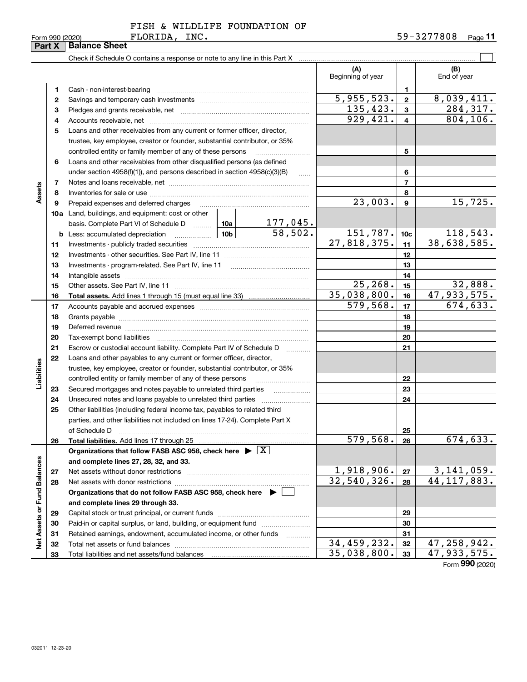|  |  | FISH & WILDLIFE FOUNDATION OF |  |
|--|--|-------------------------------|--|
|  |  |                               |  |

Form 990 (2020) **F<sup>'</sup>LORIDA, INC 。** 5 9-3 Z 7 7 8 U 8 Page **11**

|                             |    |                                                                                    |                          | (A)<br>Beginning of year         |                 | (B)<br>End of year          |
|-----------------------------|----|------------------------------------------------------------------------------------|--------------------------|----------------------------------|-----------------|-----------------------------|
|                             | 1  | Cash - non-interest-bearing                                                        |                          |                                  | $\mathbf{1}$    |                             |
|                             | 2  |                                                                                    |                          | $\overline{5,955,523}$ .         | $\mathbf{2}$    | 8,039,411.                  |
|                             | з  |                                                                                    |                          | 135,423.                         | $\mathbf{3}$    | 284, 317.                   |
|                             | 4  |                                                                                    |                          | 929,421.                         | $\overline{4}$  | 804, 106.                   |
|                             | 5  | Loans and other receivables from any current or former officer, director,          |                          |                                  |                 |                             |
|                             |    | trustee, key employee, creator or founder, substantial contributor, or 35%         |                          |                                  |                 |                             |
|                             |    | controlled entity or family member of any of these persons                         |                          |                                  | 5               |                             |
|                             | 6  | Loans and other receivables from other disqualified persons (as defined            |                          |                                  |                 |                             |
|                             |    | under section 4958(f)(1)), and persons described in section 4958(c)(3)(B)          |                          | 6                                |                 |                             |
|                             | 7  |                                                                                    |                          |                                  | $\overline{7}$  |                             |
| Assets                      | 8  |                                                                                    |                          |                                  | 8               |                             |
|                             | 9  | Prepaid expenses and deferred charges                                              |                          | $\overline{23,003}$ .            | 9               | 15,725.                     |
|                             |    | <b>10a</b> Land, buildings, and equipment: cost or other                           |                          |                                  |                 |                             |
|                             |    | basis. Complete Part VI of Schedule D  10a                                         | $\frac{177,045}{58,502}$ |                                  |                 |                             |
|                             |    | <u>  10b</u><br><b>b</b> Less: accumulated depreciation                            |                          | 151,787.                         | 10 <sub>c</sub> | 118,543.                    |
|                             | 11 |                                                                                    |                          | 27,818,375.                      | 11              | 38,638,585.                 |
|                             | 12 |                                                                                    |                          | 12                               |                 |                             |
|                             | 13 |                                                                                    |                          | 13                               |                 |                             |
|                             | 14 |                                                                                    |                          | 14                               |                 |                             |
|                             | 15 |                                                                                    | 25, 268.                 | 15                               | 32,888.         |                             |
|                             | 16 |                                                                                    |                          | 35,038,800.                      | 16              | 47,933,575.                 |
|                             | 17 |                                                                                    |                          | 579,568.                         | 17              | 674, 633.                   |
|                             | 18 |                                                                                    |                          | 18                               |                 |                             |
|                             | 19 |                                                                                    |                          |                                  | 19              |                             |
|                             | 20 | Tax-exempt bond liabilities                                                        |                          |                                  | 20              |                             |
|                             | 21 | Escrow or custodial account liability. Complete Part IV of Schedule D              |                          |                                  | 21              |                             |
|                             | 22 | Loans and other payables to any current or former officer, director,               |                          |                                  |                 |                             |
|                             |    | trustee, key employee, creator or founder, substantial contributor, or 35%         |                          |                                  |                 |                             |
| Liabilities                 |    | controlled entity or family member of any of these persons                         |                          |                                  | 22              |                             |
|                             | 23 | Secured mortgages and notes payable to unrelated third parties                     | .                        |                                  | 23              |                             |
|                             | 24 | Unsecured notes and loans payable to unrelated third parties                       |                          |                                  | 24              |                             |
|                             | 25 | Other liabilities (including federal income tax, payables to related third         |                          |                                  |                 |                             |
|                             |    | parties, and other liabilities not included on lines 17-24). Complete Part X       |                          |                                  |                 |                             |
|                             |    | of Schedule D                                                                      |                          |                                  | 25              |                             |
|                             | 26 | Total liabilities. Add lines 17 through 25                                         |                          | 579,568.                         | 26              | 674,633.                    |
|                             |    | Organizations that follow FASB ASC 958, check here $\blacktriangleright \boxed{X}$ |                          |                                  |                 |                             |
|                             |    | and complete lines 27, 28, 32, and 33.                                             |                          |                                  |                 |                             |
|                             | 27 | Net assets without donor restrictions                                              |                          | $\frac{1,918,906.}{32,540,326.}$ | 27              | $3,141,059.$<br>44,117,883. |
|                             | 28 |                                                                                    |                          |                                  | 28              |                             |
|                             |    | Organizations that do not follow FASB ASC 958, check here $\blacktriangleright$    |                          |                                  |                 |                             |
|                             |    | and complete lines 29 through 33.                                                  |                          |                                  |                 |                             |
| Net Assets or Fund Balances | 29 |                                                                                    |                          |                                  | 29              |                             |
|                             | 30 | Paid-in or capital surplus, or land, building, or equipment fund                   |                          |                                  | 30              |                             |
|                             | 31 | Retained earnings, endowment, accumulated income, or other funds                   |                          | 34,459,232.                      | 31              | 47, 258, 942.               |
|                             | 32 |                                                                                    |                          | 35,038,800.                      | 32<br>33        | 47,933,575.                 |
|                             | 33 |                                                                                    |                          |                                  |                 | $\overline{000}$            |

FLORIDA, INC.

Form (2020) **990**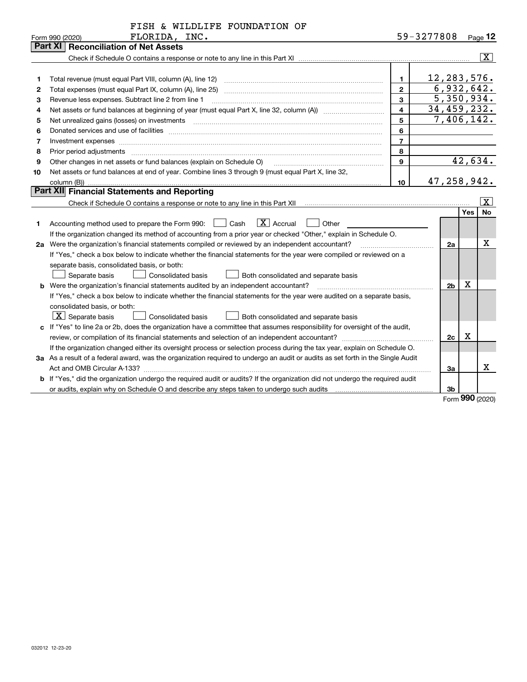|                |  |  | FISH & WILDLIFE FOUNDATION OF |  |
|----------------|--|--|-------------------------------|--|
| חזר בתדופה.זים |  |  |                               |  |

| Part XI   Reconciliation of Net Assets<br>$\overline{\mathbf{x}}$<br>12, 283, 576.<br>$\blacksquare$<br>1<br>6,932,642.<br>$\overline{2}$<br>Total expenses (must equal Part IX, column (A), line 25)<br>2<br>5,350,934.<br>$\mathbf{3}$<br>Revenue less expenses. Subtract line 2 from line 1<br>3<br>$\overline{\mathbf{4}}$<br>34,459,232.<br>4<br>7,406,142.<br>5<br>Net unrealized gains (losses) on investments [11] [11] non-manufactured manufactured manufactured manufactured manufactured manufactured manufactured manufactured manufactured manufactured manufactured manufactured manufac<br>5<br>6<br>Donated services and use of facilities [111] Donated and the service of facilities [11] Donated services and use of facilities [11] Donated and the service of the service of the service of the service of the service of the<br>6<br>$\overline{7}$<br>Investment expenses www.communication.communication.com/www.communication.com/www.communication.com<br>7<br>8<br>8<br>42,634.<br>$\mathbf{Q}$<br>Other changes in net assets or fund balances (explain on Schedule O)<br>9<br>Net assets or fund balances at end of year. Combine lines 3 through 9 (must equal Part X, line 32,<br>10<br>47,258,942.<br>10 <sup>10</sup><br>Part XII Financial Statements and Reporting<br>$\overline{\mathbf{X}}$<br>Yes<br>No<br>$ X $ Accrual<br>Accounting method used to prepare the Form 990: <u>June</u> Cash<br>Other<br>1<br>If the organization changed its method of accounting from a prior year or checked "Other," explain in Schedule O.<br>X<br>2a Were the organization's financial statements compiled or reviewed by an independent accountant?<br>2a<br>If "Yes," check a box below to indicate whether the financial statements for the year were compiled or reviewed on a<br>separate basis, consolidated basis, or both:<br>Separate basis<br>Consolidated basis<br>Both consolidated and separate basis<br>X<br>2 <sub>b</sub><br><b>b</b> Were the organization's financial statements audited by an independent accountant?<br>If "Yes," check a box below to indicate whether the financial statements for the year were audited on a separate basis,<br>consolidated basis, or both:<br>$X$ Separate basis<br><b>Consolidated basis</b><br>Both consolidated and separate basis<br>c If "Yes" to line 2a or 2b, does the organization have a committee that assumes responsibility for oversight of the audit,<br>x<br>2c<br>If the organization changed either its oversight process or selection process during the tax year, explain on Schedule O.<br>3a As a result of a federal award, was the organization required to undergo an audit or audits as set forth in the Single Audit<br>x<br>3a<br>b If "Yes," did the organization undergo the required audit or audits? If the organization did not undergo the required audit<br>3b | Form 990 (2020)<br>FLORIDA, INC. | 59-3411808 | Page 12 |
|-----------------------------------------------------------------------------------------------------------------------------------------------------------------------------------------------------------------------------------------------------------------------------------------------------------------------------------------------------------------------------------------------------------------------------------------------------------------------------------------------------------------------------------------------------------------------------------------------------------------------------------------------------------------------------------------------------------------------------------------------------------------------------------------------------------------------------------------------------------------------------------------------------------------------------------------------------------------------------------------------------------------------------------------------------------------------------------------------------------------------------------------------------------------------------------------------------------------------------------------------------------------------------------------------------------------------------------------------------------------------------------------------------------------------------------------------------------------------------------------------------------------------------------------------------------------------------------------------------------------------------------------------------------------------------------------------------------------------------------------------------------------------------------------------------------------------------------------------------------------------------------------------------------------------------------------------------------------------------------------------------------------------------------------------------------------------------------------------------------------------------------------------------------------------------------------------------------------------------------------------------------------------------------------------------------------------------------------------------------------------------------------------------------------------------------------------------------------------------------------------------------------------------------------------------------------------------------------------------------------------------------------------------------------------------------------------------------------------------------------------------------------------------------------------------------------------------------------------------------------------------------------|----------------------------------|------------|---------|
|                                                                                                                                                                                                                                                                                                                                                                                                                                                                                                                                                                                                                                                                                                                                                                                                                                                                                                                                                                                                                                                                                                                                                                                                                                                                                                                                                                                                                                                                                                                                                                                                                                                                                                                                                                                                                                                                                                                                                                                                                                                                                                                                                                                                                                                                                                                                                                                                                                                                                                                                                                                                                                                                                                                                                                                                                                                                                         |                                  |            |         |
|                                                                                                                                                                                                                                                                                                                                                                                                                                                                                                                                                                                                                                                                                                                                                                                                                                                                                                                                                                                                                                                                                                                                                                                                                                                                                                                                                                                                                                                                                                                                                                                                                                                                                                                                                                                                                                                                                                                                                                                                                                                                                                                                                                                                                                                                                                                                                                                                                                                                                                                                                                                                                                                                                                                                                                                                                                                                                         |                                  |            |         |
|                                                                                                                                                                                                                                                                                                                                                                                                                                                                                                                                                                                                                                                                                                                                                                                                                                                                                                                                                                                                                                                                                                                                                                                                                                                                                                                                                                                                                                                                                                                                                                                                                                                                                                                                                                                                                                                                                                                                                                                                                                                                                                                                                                                                                                                                                                                                                                                                                                                                                                                                                                                                                                                                                                                                                                                                                                                                                         |                                  |            |         |
|                                                                                                                                                                                                                                                                                                                                                                                                                                                                                                                                                                                                                                                                                                                                                                                                                                                                                                                                                                                                                                                                                                                                                                                                                                                                                                                                                                                                                                                                                                                                                                                                                                                                                                                                                                                                                                                                                                                                                                                                                                                                                                                                                                                                                                                                                                                                                                                                                                                                                                                                                                                                                                                                                                                                                                                                                                                                                         |                                  |            |         |
|                                                                                                                                                                                                                                                                                                                                                                                                                                                                                                                                                                                                                                                                                                                                                                                                                                                                                                                                                                                                                                                                                                                                                                                                                                                                                                                                                                                                                                                                                                                                                                                                                                                                                                                                                                                                                                                                                                                                                                                                                                                                                                                                                                                                                                                                                                                                                                                                                                                                                                                                                                                                                                                                                                                                                                                                                                                                                         |                                  |            |         |
|                                                                                                                                                                                                                                                                                                                                                                                                                                                                                                                                                                                                                                                                                                                                                                                                                                                                                                                                                                                                                                                                                                                                                                                                                                                                                                                                                                                                                                                                                                                                                                                                                                                                                                                                                                                                                                                                                                                                                                                                                                                                                                                                                                                                                                                                                                                                                                                                                                                                                                                                                                                                                                                                                                                                                                                                                                                                                         |                                  |            |         |
|                                                                                                                                                                                                                                                                                                                                                                                                                                                                                                                                                                                                                                                                                                                                                                                                                                                                                                                                                                                                                                                                                                                                                                                                                                                                                                                                                                                                                                                                                                                                                                                                                                                                                                                                                                                                                                                                                                                                                                                                                                                                                                                                                                                                                                                                                                                                                                                                                                                                                                                                                                                                                                                                                                                                                                                                                                                                                         |                                  |            |         |
|                                                                                                                                                                                                                                                                                                                                                                                                                                                                                                                                                                                                                                                                                                                                                                                                                                                                                                                                                                                                                                                                                                                                                                                                                                                                                                                                                                                                                                                                                                                                                                                                                                                                                                                                                                                                                                                                                                                                                                                                                                                                                                                                                                                                                                                                                                                                                                                                                                                                                                                                                                                                                                                                                                                                                                                                                                                                                         |                                  |            |         |
|                                                                                                                                                                                                                                                                                                                                                                                                                                                                                                                                                                                                                                                                                                                                                                                                                                                                                                                                                                                                                                                                                                                                                                                                                                                                                                                                                                                                                                                                                                                                                                                                                                                                                                                                                                                                                                                                                                                                                                                                                                                                                                                                                                                                                                                                                                                                                                                                                                                                                                                                                                                                                                                                                                                                                                                                                                                                                         |                                  |            |         |
|                                                                                                                                                                                                                                                                                                                                                                                                                                                                                                                                                                                                                                                                                                                                                                                                                                                                                                                                                                                                                                                                                                                                                                                                                                                                                                                                                                                                                                                                                                                                                                                                                                                                                                                                                                                                                                                                                                                                                                                                                                                                                                                                                                                                                                                                                                                                                                                                                                                                                                                                                                                                                                                                                                                                                                                                                                                                                         |                                  |            |         |
|                                                                                                                                                                                                                                                                                                                                                                                                                                                                                                                                                                                                                                                                                                                                                                                                                                                                                                                                                                                                                                                                                                                                                                                                                                                                                                                                                                                                                                                                                                                                                                                                                                                                                                                                                                                                                                                                                                                                                                                                                                                                                                                                                                                                                                                                                                                                                                                                                                                                                                                                                                                                                                                                                                                                                                                                                                                                                         |                                  |            |         |
|                                                                                                                                                                                                                                                                                                                                                                                                                                                                                                                                                                                                                                                                                                                                                                                                                                                                                                                                                                                                                                                                                                                                                                                                                                                                                                                                                                                                                                                                                                                                                                                                                                                                                                                                                                                                                                                                                                                                                                                                                                                                                                                                                                                                                                                                                                                                                                                                                                                                                                                                                                                                                                                                                                                                                                                                                                                                                         |                                  |            |         |
|                                                                                                                                                                                                                                                                                                                                                                                                                                                                                                                                                                                                                                                                                                                                                                                                                                                                                                                                                                                                                                                                                                                                                                                                                                                                                                                                                                                                                                                                                                                                                                                                                                                                                                                                                                                                                                                                                                                                                                                                                                                                                                                                                                                                                                                                                                                                                                                                                                                                                                                                                                                                                                                                                                                                                                                                                                                                                         |                                  |            |         |
|                                                                                                                                                                                                                                                                                                                                                                                                                                                                                                                                                                                                                                                                                                                                                                                                                                                                                                                                                                                                                                                                                                                                                                                                                                                                                                                                                                                                                                                                                                                                                                                                                                                                                                                                                                                                                                                                                                                                                                                                                                                                                                                                                                                                                                                                                                                                                                                                                                                                                                                                                                                                                                                                                                                                                                                                                                                                                         |                                  |            |         |
|                                                                                                                                                                                                                                                                                                                                                                                                                                                                                                                                                                                                                                                                                                                                                                                                                                                                                                                                                                                                                                                                                                                                                                                                                                                                                                                                                                                                                                                                                                                                                                                                                                                                                                                                                                                                                                                                                                                                                                                                                                                                                                                                                                                                                                                                                                                                                                                                                                                                                                                                                                                                                                                                                                                                                                                                                                                                                         |                                  |            |         |
|                                                                                                                                                                                                                                                                                                                                                                                                                                                                                                                                                                                                                                                                                                                                                                                                                                                                                                                                                                                                                                                                                                                                                                                                                                                                                                                                                                                                                                                                                                                                                                                                                                                                                                                                                                                                                                                                                                                                                                                                                                                                                                                                                                                                                                                                                                                                                                                                                                                                                                                                                                                                                                                                                                                                                                                                                                                                                         |                                  |            |         |
|                                                                                                                                                                                                                                                                                                                                                                                                                                                                                                                                                                                                                                                                                                                                                                                                                                                                                                                                                                                                                                                                                                                                                                                                                                                                                                                                                                                                                                                                                                                                                                                                                                                                                                                                                                                                                                                                                                                                                                                                                                                                                                                                                                                                                                                                                                                                                                                                                                                                                                                                                                                                                                                                                                                                                                                                                                                                                         |                                  |            |         |
|                                                                                                                                                                                                                                                                                                                                                                                                                                                                                                                                                                                                                                                                                                                                                                                                                                                                                                                                                                                                                                                                                                                                                                                                                                                                                                                                                                                                                                                                                                                                                                                                                                                                                                                                                                                                                                                                                                                                                                                                                                                                                                                                                                                                                                                                                                                                                                                                                                                                                                                                                                                                                                                                                                                                                                                                                                                                                         |                                  |            |         |
|                                                                                                                                                                                                                                                                                                                                                                                                                                                                                                                                                                                                                                                                                                                                                                                                                                                                                                                                                                                                                                                                                                                                                                                                                                                                                                                                                                                                                                                                                                                                                                                                                                                                                                                                                                                                                                                                                                                                                                                                                                                                                                                                                                                                                                                                                                                                                                                                                                                                                                                                                                                                                                                                                                                                                                                                                                                                                         |                                  |            |         |
|                                                                                                                                                                                                                                                                                                                                                                                                                                                                                                                                                                                                                                                                                                                                                                                                                                                                                                                                                                                                                                                                                                                                                                                                                                                                                                                                                                                                                                                                                                                                                                                                                                                                                                                                                                                                                                                                                                                                                                                                                                                                                                                                                                                                                                                                                                                                                                                                                                                                                                                                                                                                                                                                                                                                                                                                                                                                                         |                                  |            |         |
|                                                                                                                                                                                                                                                                                                                                                                                                                                                                                                                                                                                                                                                                                                                                                                                                                                                                                                                                                                                                                                                                                                                                                                                                                                                                                                                                                                                                                                                                                                                                                                                                                                                                                                                                                                                                                                                                                                                                                                                                                                                                                                                                                                                                                                                                                                                                                                                                                                                                                                                                                                                                                                                                                                                                                                                                                                                                                         |                                  |            |         |
|                                                                                                                                                                                                                                                                                                                                                                                                                                                                                                                                                                                                                                                                                                                                                                                                                                                                                                                                                                                                                                                                                                                                                                                                                                                                                                                                                                                                                                                                                                                                                                                                                                                                                                                                                                                                                                                                                                                                                                                                                                                                                                                                                                                                                                                                                                                                                                                                                                                                                                                                                                                                                                                                                                                                                                                                                                                                                         |                                  |            |         |
|                                                                                                                                                                                                                                                                                                                                                                                                                                                                                                                                                                                                                                                                                                                                                                                                                                                                                                                                                                                                                                                                                                                                                                                                                                                                                                                                                                                                                                                                                                                                                                                                                                                                                                                                                                                                                                                                                                                                                                                                                                                                                                                                                                                                                                                                                                                                                                                                                                                                                                                                                                                                                                                                                                                                                                                                                                                                                         |                                  |            |         |
|                                                                                                                                                                                                                                                                                                                                                                                                                                                                                                                                                                                                                                                                                                                                                                                                                                                                                                                                                                                                                                                                                                                                                                                                                                                                                                                                                                                                                                                                                                                                                                                                                                                                                                                                                                                                                                                                                                                                                                                                                                                                                                                                                                                                                                                                                                                                                                                                                                                                                                                                                                                                                                                                                                                                                                                                                                                                                         |                                  |            |         |
|                                                                                                                                                                                                                                                                                                                                                                                                                                                                                                                                                                                                                                                                                                                                                                                                                                                                                                                                                                                                                                                                                                                                                                                                                                                                                                                                                                                                                                                                                                                                                                                                                                                                                                                                                                                                                                                                                                                                                                                                                                                                                                                                                                                                                                                                                                                                                                                                                                                                                                                                                                                                                                                                                                                                                                                                                                                                                         |                                  |            |         |
|                                                                                                                                                                                                                                                                                                                                                                                                                                                                                                                                                                                                                                                                                                                                                                                                                                                                                                                                                                                                                                                                                                                                                                                                                                                                                                                                                                                                                                                                                                                                                                                                                                                                                                                                                                                                                                                                                                                                                                                                                                                                                                                                                                                                                                                                                                                                                                                                                                                                                                                                                                                                                                                                                                                                                                                                                                                                                         |                                  |            |         |
|                                                                                                                                                                                                                                                                                                                                                                                                                                                                                                                                                                                                                                                                                                                                                                                                                                                                                                                                                                                                                                                                                                                                                                                                                                                                                                                                                                                                                                                                                                                                                                                                                                                                                                                                                                                                                                                                                                                                                                                                                                                                                                                                                                                                                                                                                                                                                                                                                                                                                                                                                                                                                                                                                                                                                                                                                                                                                         |                                  |            |         |
|                                                                                                                                                                                                                                                                                                                                                                                                                                                                                                                                                                                                                                                                                                                                                                                                                                                                                                                                                                                                                                                                                                                                                                                                                                                                                                                                                                                                                                                                                                                                                                                                                                                                                                                                                                                                                                                                                                                                                                                                                                                                                                                                                                                                                                                                                                                                                                                                                                                                                                                                                                                                                                                                                                                                                                                                                                                                                         |                                  |            |         |
|                                                                                                                                                                                                                                                                                                                                                                                                                                                                                                                                                                                                                                                                                                                                                                                                                                                                                                                                                                                                                                                                                                                                                                                                                                                                                                                                                                                                                                                                                                                                                                                                                                                                                                                                                                                                                                                                                                                                                                                                                                                                                                                                                                                                                                                                                                                                                                                                                                                                                                                                                                                                                                                                                                                                                                                                                                                                                         |                                  |            |         |
|                                                                                                                                                                                                                                                                                                                                                                                                                                                                                                                                                                                                                                                                                                                                                                                                                                                                                                                                                                                                                                                                                                                                                                                                                                                                                                                                                                                                                                                                                                                                                                                                                                                                                                                                                                                                                                                                                                                                                                                                                                                                                                                                                                                                                                                                                                                                                                                                                                                                                                                                                                                                                                                                                                                                                                                                                                                                                         |                                  |            |         |
|                                                                                                                                                                                                                                                                                                                                                                                                                                                                                                                                                                                                                                                                                                                                                                                                                                                                                                                                                                                                                                                                                                                                                                                                                                                                                                                                                                                                                                                                                                                                                                                                                                                                                                                                                                                                                                                                                                                                                                                                                                                                                                                                                                                                                                                                                                                                                                                                                                                                                                                                                                                                                                                                                                                                                                                                                                                                                         |                                  |            |         |
|                                                                                                                                                                                                                                                                                                                                                                                                                                                                                                                                                                                                                                                                                                                                                                                                                                                                                                                                                                                                                                                                                                                                                                                                                                                                                                                                                                                                                                                                                                                                                                                                                                                                                                                                                                                                                                                                                                                                                                                                                                                                                                                                                                                                                                                                                                                                                                                                                                                                                                                                                                                                                                                                                                                                                                                                                                                                                         |                                  |            |         |
|                                                                                                                                                                                                                                                                                                                                                                                                                                                                                                                                                                                                                                                                                                                                                                                                                                                                                                                                                                                                                                                                                                                                                                                                                                                                                                                                                                                                                                                                                                                                                                                                                                                                                                                                                                                                                                                                                                                                                                                                                                                                                                                                                                                                                                                                                                                                                                                                                                                                                                                                                                                                                                                                                                                                                                                                                                                                                         |                                  |            |         |
|                                                                                                                                                                                                                                                                                                                                                                                                                                                                                                                                                                                                                                                                                                                                                                                                                                                                                                                                                                                                                                                                                                                                                                                                                                                                                                                                                                                                                                                                                                                                                                                                                                                                                                                                                                                                                                                                                                                                                                                                                                                                                                                                                                                                                                                                                                                                                                                                                                                                                                                                                                                                                                                                                                                                                                                                                                                                                         |                                  |            |         |

Form (2020) **990**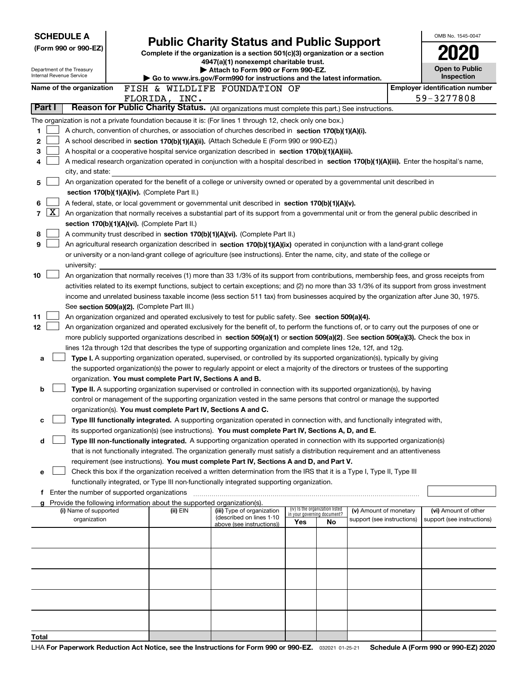| <b>SCHEDULE A</b>                                      |                                                                                                                                                                                                                                                    | <b>Public Charity Status and Public Support</b>                                                              |                                                                |    |                            | OMB No. 1545-0047                     |
|--------------------------------------------------------|----------------------------------------------------------------------------------------------------------------------------------------------------------------------------------------------------------------------------------------------------|--------------------------------------------------------------------------------------------------------------|----------------------------------------------------------------|----|----------------------------|---------------------------------------|
| (Form 990 or 990-EZ)                                   |                                                                                                                                                                                                                                                    | Complete if the organization is a section 501(c)(3) organization or a section                                |                                                                |    |                            |                                       |
|                                                        |                                                                                                                                                                                                                                                    | 4947(a)(1) nonexempt charitable trust.                                                                       |                                                                |    |                            |                                       |
| Department of the Treasury<br>Internal Revenue Service |                                                                                                                                                                                                                                                    | Attach to Form 990 or Form 990-EZ.<br>Go to www.irs.gov/Form990 for instructions and the latest information. |                                                                |    |                            | Open to Public<br>Inspection          |
| Name of the organization                               | FISH & WILDLIFE FOUNDATION OF                                                                                                                                                                                                                      |                                                                                                              |                                                                |    |                            | <b>Employer identification number</b> |
|                                                        | FLORIDA, INC.                                                                                                                                                                                                                                      |                                                                                                              |                                                                |    |                            | 59-3277808                            |
| Part I                                                 | Reason for Public Charity Status. (All organizations must complete this part.) See instructions.                                                                                                                                                   |                                                                                                              |                                                                |    |                            |                                       |
|                                                        | The organization is not a private foundation because it is: (For lines 1 through 12, check only one box.)                                                                                                                                          |                                                                                                              |                                                                |    |                            |                                       |
| 1                                                      | A church, convention of churches, or association of churches described in section 170(b)(1)(A)(i).                                                                                                                                                 |                                                                                                              |                                                                |    |                            |                                       |
| 2                                                      | A school described in section 170(b)(1)(A)(ii). (Attach Schedule E (Form 990 or 990-EZ).)                                                                                                                                                          |                                                                                                              |                                                                |    |                            |                                       |
| 3                                                      | A hospital or a cooperative hospital service organization described in section 170(b)(1)(A)(iii).                                                                                                                                                  |                                                                                                              |                                                                |    |                            |                                       |
| 4                                                      | A medical research organization operated in conjunction with a hospital described in section 170(b)(1)(A)(iii). Enter the hospital's name,                                                                                                         |                                                                                                              |                                                                |    |                            |                                       |
| city, and state:                                       |                                                                                                                                                                                                                                                    |                                                                                                              |                                                                |    |                            |                                       |
| 5                                                      | An organization operated for the benefit of a college or university owned or operated by a governmental unit described in<br>section 170(b)(1)(A)(iv). (Complete Part II.)                                                                         |                                                                                                              |                                                                |    |                            |                                       |
| 6                                                      | A federal, state, or local government or governmental unit described in section 170(b)(1)(A)(v).                                                                                                                                                   |                                                                                                              |                                                                |    |                            |                                       |
| $\overline{\text{X}}$<br>7                             | An organization that normally receives a substantial part of its support from a governmental unit or from the general public described in                                                                                                          |                                                                                                              |                                                                |    |                            |                                       |
|                                                        | section 170(b)(1)(A)(vi). (Complete Part II.)                                                                                                                                                                                                      |                                                                                                              |                                                                |    |                            |                                       |
| 8                                                      | A community trust described in section 170(b)(1)(A)(vi). (Complete Part II.)                                                                                                                                                                       |                                                                                                              |                                                                |    |                            |                                       |
| 9                                                      | An agricultural research organization described in section 170(b)(1)(A)(ix) operated in conjunction with a land-grant college                                                                                                                      |                                                                                                              |                                                                |    |                            |                                       |
|                                                        | or university or a non-land-grant college of agriculture (see instructions). Enter the name, city, and state of the college or                                                                                                                     |                                                                                                              |                                                                |    |                            |                                       |
| university:                                            |                                                                                                                                                                                                                                                    |                                                                                                              |                                                                |    |                            |                                       |
| 10                                                     | An organization that normally receives (1) more than 33 1/3% of its support from contributions, membership fees, and gross receipts from                                                                                                           |                                                                                                              |                                                                |    |                            |                                       |
|                                                        | activities related to its exempt functions, subject to certain exceptions; and (2) no more than 33 1/3% of its support from gross investment                                                                                                       |                                                                                                              |                                                                |    |                            |                                       |
|                                                        | income and unrelated business taxable income (less section 511 tax) from businesses acquired by the organization after June 30, 1975.                                                                                                              |                                                                                                              |                                                                |    |                            |                                       |
|                                                        | See section 509(a)(2). (Complete Part III.)                                                                                                                                                                                                        |                                                                                                              |                                                                |    |                            |                                       |
| 11<br>12                                               | An organization organized and operated exclusively to test for public safety. See section 509(a)(4).<br>An organization organized and operated exclusively for the benefit of, to perform the functions of, or to carry out the purposes of one or |                                                                                                              |                                                                |    |                            |                                       |
|                                                        | more publicly supported organizations described in section 509(a)(1) or section 509(a)(2). See section 509(a)(3). Check the box in                                                                                                                 |                                                                                                              |                                                                |    |                            |                                       |
|                                                        | lines 12a through 12d that describes the type of supporting organization and complete lines 12e, 12f, and 12g.                                                                                                                                     |                                                                                                              |                                                                |    |                            |                                       |
| a                                                      | Type I. A supporting organization operated, supervised, or controlled by its supported organization(s), typically by giving                                                                                                                        |                                                                                                              |                                                                |    |                            |                                       |
|                                                        | the supported organization(s) the power to regularly appoint or elect a majority of the directors or trustees of the supporting                                                                                                                    |                                                                                                              |                                                                |    |                            |                                       |
|                                                        | organization. You must complete Part IV, Sections A and B.                                                                                                                                                                                         |                                                                                                              |                                                                |    |                            |                                       |
| b                                                      | Type II. A supporting organization supervised or controlled in connection with its supported organization(s), by having                                                                                                                            |                                                                                                              |                                                                |    |                            |                                       |
|                                                        | control or management of the supporting organization vested in the same persons that control or manage the supported                                                                                                                               |                                                                                                              |                                                                |    |                            |                                       |
|                                                        | organization(s). You must complete Part IV, Sections A and C.                                                                                                                                                                                      |                                                                                                              |                                                                |    |                            |                                       |
| с                                                      | Type III functionally integrated. A supporting organization operated in connection with, and functionally integrated with,                                                                                                                         |                                                                                                              |                                                                |    |                            |                                       |
|                                                        | its supported organization(s) (see instructions). You must complete Part IV, Sections A, D, and E.                                                                                                                                                 |                                                                                                              |                                                                |    |                            |                                       |
| d                                                      | Type III non-functionally integrated. A supporting organization operated in connection with its supported organization(s)                                                                                                                          |                                                                                                              |                                                                |    |                            |                                       |
|                                                        | that is not functionally integrated. The organization generally must satisfy a distribution requirement and an attentiveness<br>requirement (see instructions). You must complete Part IV, Sections A and D, and Part V.                           |                                                                                                              |                                                                |    |                            |                                       |
| е                                                      | Check this box if the organization received a written determination from the IRS that it is a Type I, Type II, Type III                                                                                                                            |                                                                                                              |                                                                |    |                            |                                       |
|                                                        | functionally integrated, or Type III non-functionally integrated supporting organization.                                                                                                                                                          |                                                                                                              |                                                                |    |                            |                                       |
|                                                        | f Enter the number of supported organizations                                                                                                                                                                                                      |                                                                                                              |                                                                |    |                            |                                       |
|                                                        | Provide the following information about the supported organization(s).                                                                                                                                                                             |                                                                                                              |                                                                |    |                            |                                       |
| (i) Name of supported                                  | (ii) EIN                                                                                                                                                                                                                                           | (iii) Type of organization<br>(described on lines 1-10                                                       | (iv) Is the organization listed<br>in your governing document? |    | (v) Amount of monetary     | (vi) Amount of other                  |
| organization                                           |                                                                                                                                                                                                                                                    | above (see instructions))                                                                                    | Yes                                                            | No | support (see instructions) | support (see instructions)            |
|                                                        |                                                                                                                                                                                                                                                    |                                                                                                              |                                                                |    |                            |                                       |
|                                                        |                                                                                                                                                                                                                                                    |                                                                                                              |                                                                |    |                            |                                       |
|                                                        |                                                                                                                                                                                                                                                    |                                                                                                              |                                                                |    |                            |                                       |
|                                                        |                                                                                                                                                                                                                                                    |                                                                                                              |                                                                |    |                            |                                       |
|                                                        |                                                                                                                                                                                                                                                    |                                                                                                              |                                                                |    |                            |                                       |
|                                                        |                                                                                                                                                                                                                                                    |                                                                                                              |                                                                |    |                            |                                       |
|                                                        |                                                                                                                                                                                                                                                    |                                                                                                              |                                                                |    |                            |                                       |
|                                                        |                                                                                                                                                                                                                                                    |                                                                                                              |                                                                |    |                            |                                       |
| Total                                                  |                                                                                                                                                                                                                                                    |                                                                                                              |                                                                |    |                            |                                       |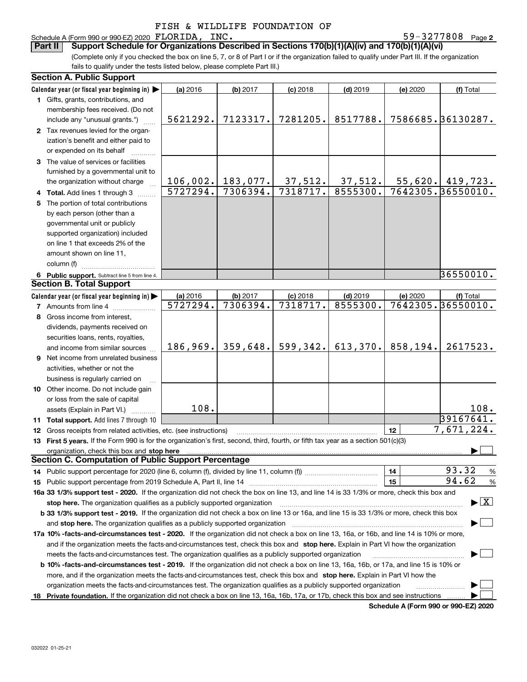# Schedule A (Form 990 or 990-EZ) 2020 FLORIDA, INC.<br>**Part II** Support Schedule for Organizations Des

**2** FLORIDA, INC. 59-3277808

(Complete only if you checked the box on line 5, 7, or 8 of Part I or if the organization failed to qualify under Part III. If the organization fails to qualify under the tests listed below, please complete Part III.) **Part III Support Schedule for Organizations Described in Sections 170(b)(1)(A)(iv) and 170(b)(1)(A)(vi)** 

|    | <b>Section A. Public Support</b>                                                                                                               |          |                     |            |            |          |                                          |
|----|------------------------------------------------------------------------------------------------------------------------------------------------|----------|---------------------|------------|------------|----------|------------------------------------------|
|    | Calendar year (or fiscal year beginning in) $\blacktriangleright$                                                                              | (a) 2016 | (b) 2017            | $(c)$ 2018 | $(d)$ 2019 | (e) 2020 | (f) Total                                |
|    | 1 Gifts, grants, contributions, and                                                                                                            |          |                     |            |            |          |                                          |
|    | membership fees received. (Do not                                                                                                              |          |                     |            |            |          |                                          |
|    | include any "unusual grants.")                                                                                                                 | 5621292. | 7123317.            | 7281205.   | 8517788.   |          | 7586685.36130287.                        |
|    | 2 Tax revenues levied for the organ-                                                                                                           |          |                     |            |            |          |                                          |
|    | ization's benefit and either paid to                                                                                                           |          |                     |            |            |          |                                          |
|    | or expended on its behalf                                                                                                                      |          |                     |            |            |          |                                          |
|    | 3 The value of services or facilities                                                                                                          |          |                     |            |            |          |                                          |
|    | furnished by a governmental unit to                                                                                                            |          |                     |            |            |          |                                          |
|    | the organization without charge                                                                                                                |          | $106,002.$ 183,077. | 37,512.    | 37,512.    |          | $55,620.$ 419,723.                       |
|    | 4 Total. Add lines 1 through 3                                                                                                                 | 5727294. | 7306394.            | 7318717.   | 8555300.   |          | 7642305.36550010.                        |
| 5. | The portion of total contributions                                                                                                             |          |                     |            |            |          |                                          |
|    | by each person (other than a                                                                                                                   |          |                     |            |            |          |                                          |
|    | governmental unit or publicly                                                                                                                  |          |                     |            |            |          |                                          |
|    | supported organization) included                                                                                                               |          |                     |            |            |          |                                          |
|    | on line 1 that exceeds 2% of the                                                                                                               |          |                     |            |            |          |                                          |
|    | amount shown on line 11,                                                                                                                       |          |                     |            |            |          |                                          |
|    | column (f)                                                                                                                                     |          |                     |            |            |          |                                          |
|    | 6 Public support. Subtract line 5 from line 4.                                                                                                 |          |                     |            |            |          | 36550010.                                |
|    | <b>Section B. Total Support</b>                                                                                                                |          |                     |            |            |          |                                          |
|    | Calendar year (or fiscal year beginning in)                                                                                                    | (a) 2016 | (b) 2017            | $(c)$ 2018 | $(d)$ 2019 | (e) 2020 | (f) Total                                |
|    | <b>7</b> Amounts from line 4                                                                                                                   | 5727294. | 7306394.            | 7318717.   | 8555300.   |          | 7642305.36550010.                        |
|    | 8 Gross income from interest,                                                                                                                  |          |                     |            |            |          |                                          |
|    | dividends, payments received on                                                                                                                |          |                     |            |            |          |                                          |
|    | securities loans, rents, royalties,                                                                                                            |          |                     |            |            |          |                                          |
|    | and income from similar sources                                                                                                                | 186,969. | 359,648.            | 599,342.   | 613,370.   | 858,194. | 2617523.                                 |
|    | 9 Net income from unrelated business                                                                                                           |          |                     |            |            |          |                                          |
|    | activities, whether or not the                                                                                                                 |          |                     |            |            |          |                                          |
|    | business is regularly carried on                                                                                                               |          |                     |            |            |          |                                          |
|    | 10 Other income. Do not include gain                                                                                                           |          |                     |            |            |          |                                          |
|    | or loss from the sale of capital                                                                                                               |          |                     |            |            |          |                                          |
|    | assets (Explain in Part VI.) <b>Constant</b>                                                                                                   | 108.     |                     |            |            |          | 108.                                     |
|    | 11 Total support. Add lines 7 through 10                                                                                                       |          |                     |            |            |          | 39167641.                                |
|    | 12 Gross receipts from related activities, etc. (see instructions)                                                                             |          |                     |            |            | 12       | 7,671,224.                               |
|    | 13 First 5 years. If the Form 990 is for the organization's first, second, third, fourth, or fifth tax year as a section 501(c)(3)             |          |                     |            |            |          |                                          |
|    | organization, check this box and stop here                                                                                                     |          |                     |            |            |          |                                          |
|    | <b>Section C. Computation of Public Support Percentage</b>                                                                                     |          |                     |            |            |          |                                          |
|    | 14 Public support percentage for 2020 (line 6, column (f), divided by line 11, column (f) <i>mummumumum</i>                                    |          |                     |            |            | 14       | 93.32<br>%                               |
|    |                                                                                                                                                |          |                     |            |            | 15       | 94.62<br>%                               |
|    | 16a 33 1/3% support test - 2020. If the organization did not check the box on line 13, and line 14 is 33 1/3% or more, check this box and      |          |                     |            |            |          |                                          |
|    | stop here. The organization qualifies as a publicly supported organization                                                                     |          |                     |            |            |          | $\blacktriangleright$ $\boxed{\text{X}}$ |
|    | b 33 1/3% support test - 2019. If the organization did not check a box on line 13 or 16a, and line 15 is 33 1/3% or more, check this box       |          |                     |            |            |          |                                          |
|    | and stop here. The organization qualifies as a publicly supported organization                                                                 |          |                     |            |            |          |                                          |
|    | 17a 10% -facts-and-circumstances test - 2020. If the organization did not check a box on line 13, 16a, or 16b, and line 14 is 10% or more,     |          |                     |            |            |          |                                          |
|    | and if the organization meets the facts-and-circumstances test, check this box and stop here. Explain in Part VI how the organization          |          |                     |            |            |          |                                          |
|    | meets the facts-and-circumstances test. The organization qualifies as a publicly supported organization                                        |          |                     |            |            |          |                                          |
|    | <b>b 10% -facts-and-circumstances test - 2019.</b> If the organization did not check a box on line 13, 16a, 16b, or 17a, and line 15 is 10% or |          |                     |            |            |          |                                          |
|    | more, and if the organization meets the facts-and-circumstances test, check this box and stop here. Explain in Part VI how the                 |          |                     |            |            |          |                                          |
|    | organization meets the facts-and-circumstances test. The organization qualifies as a publicly supported organization                           |          |                     |            |            |          |                                          |
|    | 18 Private foundation. If the organization did not check a box on line 13, 16a, 16b, 17a, or 17b, check this box and see instructions          |          |                     |            |            |          |                                          |
|    |                                                                                                                                                |          |                     |            |            |          |                                          |

**Schedule A (Form 990 or 990-EZ) 2020**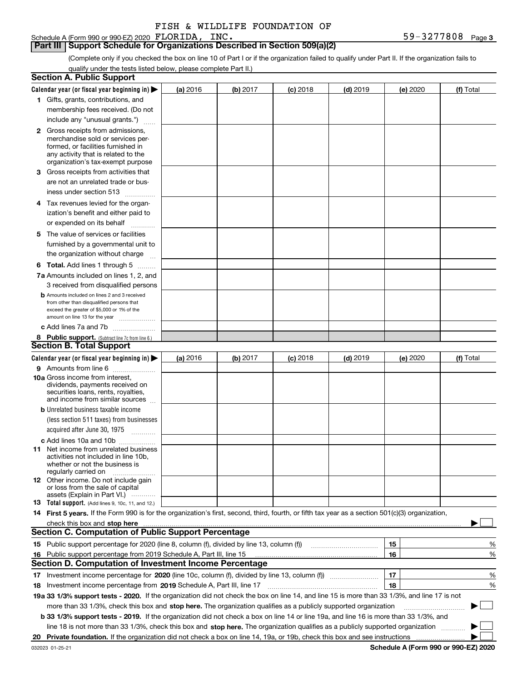Schedule A (Form 990 or 990-EZ) 2020 FLORIDA, INC.

**Part III Support Schedule for Organizations Described in Section 509(a)(2)** 

(Complete only if you checked the box on line 10 of Part I or if the organization failed to qualify under Part II. If the organization fails to qualify under the tests listed below, please complete Part II.)

| <b>Section A. Public Support</b>                                                                                                                 |          |          |                 |                                                      |          |             |
|--------------------------------------------------------------------------------------------------------------------------------------------------|----------|----------|-----------------|------------------------------------------------------|----------|-------------|
| Calendar year (or fiscal year beginning in) $\blacktriangleright$                                                                                | (a) 2016 | (b) 2017 | <b>(c)</b> 2018 | $(d)$ 2019                                           | (e) 2020 | (f) Total   |
| 1 Gifts, grants, contributions, and                                                                                                              |          |          |                 |                                                      |          |             |
| membership fees received. (Do not                                                                                                                |          |          |                 |                                                      |          |             |
| include any "unusual grants.")                                                                                                                   |          |          |                 |                                                      |          |             |
| <b>2</b> Gross receipts from admissions,                                                                                                         |          |          |                 |                                                      |          |             |
| merchandise sold or services per-                                                                                                                |          |          |                 |                                                      |          |             |
| formed, or facilities furnished in                                                                                                               |          |          |                 |                                                      |          |             |
| any activity that is related to the<br>organization's tax-exempt purpose                                                                         |          |          |                 |                                                      |          |             |
| 3 Gross receipts from activities that                                                                                                            |          |          |                 |                                                      |          |             |
| are not an unrelated trade or bus-                                                                                                               |          |          |                 |                                                      |          |             |
| iness under section 513                                                                                                                          |          |          |                 |                                                      |          |             |
| 4 Tax revenues levied for the organ-                                                                                                             |          |          |                 |                                                      |          |             |
| ization's benefit and either paid to                                                                                                             |          |          |                 |                                                      |          |             |
| or expended on its behalf                                                                                                                        |          |          |                 |                                                      |          |             |
| .<br>5 The value of services or facilities                                                                                                       |          |          |                 |                                                      |          |             |
| furnished by a governmental unit to                                                                                                              |          |          |                 |                                                      |          |             |
| the organization without charge                                                                                                                  |          |          |                 |                                                      |          |             |
|                                                                                                                                                  |          |          |                 |                                                      |          |             |
| <b>6 Total.</b> Add lines 1 through 5                                                                                                            |          |          |                 |                                                      |          |             |
| 7a Amounts included on lines 1, 2, and<br>3 received from disqualified persons                                                                   |          |          |                 |                                                      |          |             |
| <b>b</b> Amounts included on lines 2 and 3 received                                                                                              |          |          |                 |                                                      |          |             |
| from other than disqualified persons that                                                                                                        |          |          |                 |                                                      |          |             |
| exceed the greater of \$5,000 or 1% of the                                                                                                       |          |          |                 |                                                      |          |             |
| amount on line 13 for the year                                                                                                                   |          |          |                 |                                                      |          |             |
| c Add lines 7a and 7b                                                                                                                            |          |          |                 |                                                      |          |             |
| 8 Public support. (Subtract line 7c from line 6.)<br><b>Section B. Total Support</b>                                                             |          |          |                 |                                                      |          |             |
|                                                                                                                                                  |          |          |                 |                                                      |          |             |
| Calendar year (or fiscal year beginning in) $\blacktriangleright$                                                                                | (a) 2016 | (b) 2017 | $(c)$ 2018      | $(d)$ 2019                                           | (e) 2020 | (f) Total   |
| 9 Amounts from line 6                                                                                                                            |          |          |                 |                                                      |          |             |
| 10a Gross income from interest,<br>dividends, payments received on                                                                               |          |          |                 |                                                      |          |             |
| securities loans, rents, royalties,                                                                                                              |          |          |                 |                                                      |          |             |
| and income from similar sources                                                                                                                  |          |          |                 |                                                      |          |             |
| <b>b</b> Unrelated business taxable income                                                                                                       |          |          |                 |                                                      |          |             |
| (less section 511 taxes) from businesses                                                                                                         |          |          |                 |                                                      |          |             |
| acquired after June 30, 1975                                                                                                                     |          |          |                 |                                                      |          |             |
| c Add lines 10a and 10b                                                                                                                          |          |          |                 |                                                      |          |             |
| 11 Net income from unrelated business<br>activities not included in line 10b.                                                                    |          |          |                 |                                                      |          |             |
| whether or not the business is                                                                                                                   |          |          |                 |                                                      |          |             |
| regularly carried on                                                                                                                             |          |          |                 |                                                      |          |             |
| 12 Other income. Do not include gain                                                                                                             |          |          |                 |                                                      |          |             |
| or loss from the sale of capital<br>assets (Explain in Part VI.)                                                                                 |          |          |                 |                                                      |          |             |
| <b>13</b> Total support. (Add lines 9, 10c, 11, and 12.)                                                                                         |          |          |                 |                                                      |          |             |
| 14 First 5 years. If the Form 990 is for the organization's first, second, third, fourth, or fifth tax year as a section 501(c)(3) organization, |          |          |                 |                                                      |          |             |
| check this box and stop here measurements are constructed as the state of the state of the state of the state o                                  |          |          |                 |                                                      |          |             |
| <b>Section C. Computation of Public Support Percentage</b>                                                                                       |          |          |                 |                                                      |          |             |
| 15 Public support percentage for 2020 (line 8, column (f), divided by line 13, column (f))                                                       |          |          |                 | <u> 1986 - Johann Stoff, Amerikaansk politiker (</u> | 15       | %           |
| 16 Public support percentage from 2019 Schedule A, Part III, line 15                                                                             |          |          |                 |                                                      | 16       | %           |
| <b>Section D. Computation of Investment Income Percentage</b>                                                                                    |          |          |                 |                                                      |          |             |
|                                                                                                                                                  |          |          |                 |                                                      | 17       | %           |
| <b>18</b> Investment income percentage from <b>2019</b> Schedule A, Part III, line 17                                                            |          |          |                 |                                                      | 18       | %           |
| 19a 33 1/3% support tests - 2020. If the organization did not check the box on line 14, and line 15 is more than 33 1/3%, and line 17 is not     |          |          |                 |                                                      |          |             |
| more than 33 1/3%, check this box and stop here. The organization qualifies as a publicly supported organization                                 |          |          |                 |                                                      |          | $\sim$<br>▶ |
| b 33 1/3% support tests - 2019. If the organization did not check a box on line 14 or line 19a, and line 16 is more than 33 1/3%, and            |          |          |                 |                                                      |          |             |
| line 18 is not more than 33 1/3%, check this box and stop here. The organization qualifies as a publicly supported organization                  |          |          |                 |                                                      |          |             |
|                                                                                                                                                  |          |          |                 |                                                      |          |             |
|                                                                                                                                                  |          |          |                 |                                                      |          |             |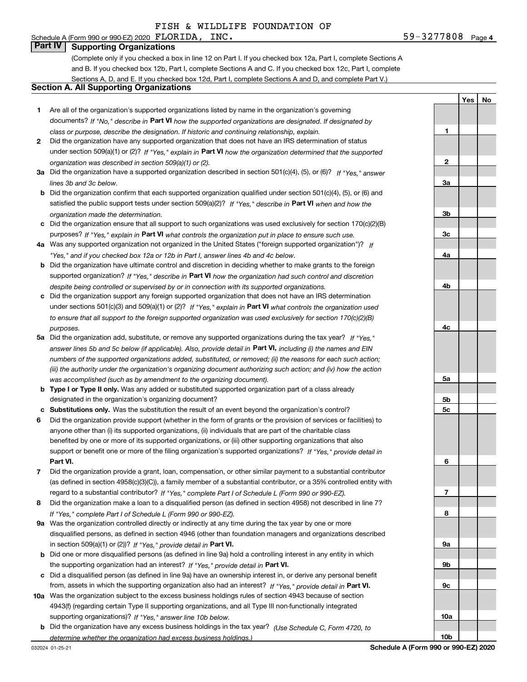# Schedule A (Form 990 or 990-EZ) 2020  $\texttt{FDORIDA}$ ,  $\texttt{INC.}$

**Part IV Supporting Organizations**

(Complete only if you checked a box in line 12 on Part I. If you checked box 12a, Part I, complete Sections A and B. If you checked box 12b, Part I, complete Sections A and C. If you checked box 12c, Part I, complete Sections A, D, and E. If you checked box 12d, Part I, complete Sections A and D, and complete Part V.)

### **Section A. All Supporting Organizations**

- **1** Are all of the organization's supported organizations listed by name in the organization's governing documents? If "No," describe in **Part VI** how the supported organizations are designated. If designated by *class or purpose, describe the designation. If historic and continuing relationship, explain.*
- **2** Did the organization have any supported organization that does not have an IRS determination of status under section 509(a)(1) or (2)? If "Yes," explain in Part VI how the organization determined that the supported *organization was described in section 509(a)(1) or (2).*
- **3a** Did the organization have a supported organization described in section 501(c)(4), (5), or (6)? If "Yes," answer *lines 3b and 3c below.*
- **b** Did the organization confirm that each supported organization qualified under section 501(c)(4), (5), or (6) and satisfied the public support tests under section 509(a)(2)? If "Yes," describe in **Part VI** when and how the *organization made the determination.*
- **c**Did the organization ensure that all support to such organizations was used exclusively for section 170(c)(2)(B) purposes? If "Yes," explain in **Part VI** what controls the organization put in place to ensure such use.
- **4a***If* Was any supported organization not organized in the United States ("foreign supported organization")? *"Yes," and if you checked box 12a or 12b in Part I, answer lines 4b and 4c below.*
- **b** Did the organization have ultimate control and discretion in deciding whether to make grants to the foreign supported organization? If "Yes," describe in **Part VI** how the organization had such control and discretion *despite being controlled or supervised by or in connection with its supported organizations.*
- **c** Did the organization support any foreign supported organization that does not have an IRS determination under sections 501(c)(3) and 509(a)(1) or (2)? If "Yes," explain in **Part VI** what controls the organization used *to ensure that all support to the foreign supported organization was used exclusively for section 170(c)(2)(B) purposes.*
- **5a***If "Yes,"* Did the organization add, substitute, or remove any supported organizations during the tax year? answer lines 5b and 5c below (if applicable). Also, provide detail in **Part VI,** including (i) the names and EIN *numbers of the supported organizations added, substituted, or removed; (ii) the reasons for each such action; (iii) the authority under the organization's organizing document authorizing such action; and (iv) how the action was accomplished (such as by amendment to the organizing document).*
- **b** Type I or Type II only. Was any added or substituted supported organization part of a class already designated in the organization's organizing document?
- **cSubstitutions only.**  Was the substitution the result of an event beyond the organization's control?
- **6** Did the organization provide support (whether in the form of grants or the provision of services or facilities) to **Part VI.** *If "Yes," provide detail in* support or benefit one or more of the filing organization's supported organizations? anyone other than (i) its supported organizations, (ii) individuals that are part of the charitable class benefited by one or more of its supported organizations, or (iii) other supporting organizations that also
- **7**Did the organization provide a grant, loan, compensation, or other similar payment to a substantial contributor *If "Yes," complete Part I of Schedule L (Form 990 or 990-EZ).* regard to a substantial contributor? (as defined in section 4958(c)(3)(C)), a family member of a substantial contributor, or a 35% controlled entity with
- **8** Did the organization make a loan to a disqualified person (as defined in section 4958) not described in line 7? *If "Yes," complete Part I of Schedule L (Form 990 or 990-EZ).*
- **9a** Was the organization controlled directly or indirectly at any time during the tax year by one or more in section 509(a)(1) or (2))? If "Yes," *provide detail in* <code>Part VI.</code> disqualified persons, as defined in section 4946 (other than foundation managers and organizations described
- **b** Did one or more disqualified persons (as defined in line 9a) hold a controlling interest in any entity in which the supporting organization had an interest? If "Yes," provide detail in P**art VI**.
- **c**Did a disqualified person (as defined in line 9a) have an ownership interest in, or derive any personal benefit from, assets in which the supporting organization also had an interest? If "Yes," provide detail in P**art VI.**
- **10a** Was the organization subject to the excess business holdings rules of section 4943 because of section supporting organizations)? If "Yes," answer line 10b below. 4943(f) (regarding certain Type II supporting organizations, and all Type III non-functionally integrated
- **b** Did the organization have any excess business holdings in the tax year? (Use Schedule C, Form 4720, to *determine whether the organization had excess business holdings.)*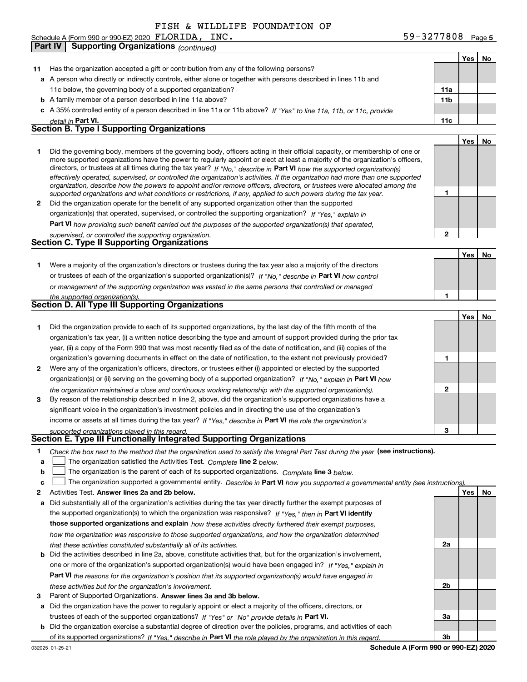Schedule A (Form 990 or 990-EZ) 2020 FLORIDA, INC.

**Part IV Supporting Organizations** *(continued)*

**5** FLORIDA, INC. 59-3277808

**YesNo**

| 11      | Has the organization accepted a gift or contribution from any of the following persons?                                                                                                                                                                                                                                                                                                                                                                                                                                  |                 |     |    |
|---------|--------------------------------------------------------------------------------------------------------------------------------------------------------------------------------------------------------------------------------------------------------------------------------------------------------------------------------------------------------------------------------------------------------------------------------------------------------------------------------------------------------------------------|-----------------|-----|----|
|         | a A person who directly or indirectly controls, either alone or together with persons described in lines 11b and                                                                                                                                                                                                                                                                                                                                                                                                         |                 |     |    |
|         | 11c below, the governing body of a supported organization?                                                                                                                                                                                                                                                                                                                                                                                                                                                               | 11a             |     |    |
|         | <b>b</b> A family member of a person described in line 11a above?                                                                                                                                                                                                                                                                                                                                                                                                                                                        | 11 <sub>b</sub> |     |    |
|         | c A 35% controlled entity of a person described in line 11a or 11b above? If "Yes" to line 11a, 11b, or 11c, provide                                                                                                                                                                                                                                                                                                                                                                                                     |                 |     |    |
|         | detail in Part VI.                                                                                                                                                                                                                                                                                                                                                                                                                                                                                                       | 11c             |     |    |
|         | <b>Section B. Type I Supporting Organizations</b>                                                                                                                                                                                                                                                                                                                                                                                                                                                                        |                 |     |    |
|         |                                                                                                                                                                                                                                                                                                                                                                                                                                                                                                                          |                 | Yes | No |
| 1       | Did the governing body, members of the governing body, officers acting in their official capacity, or membership of one or<br>more supported organizations have the power to regularly appoint or elect at least a majority of the organization's officers,<br>directors, or trustees at all times during the tax year? If "No," describe in Part VI how the supported organization(s)<br>effectively operated, supervised, or controlled the organization's activities. If the organization had more than one supported |                 |     |    |
| 2       | organization, describe how the powers to appoint and/or remove officers, directors, or trustees were allocated among the<br>supported organizations and what conditions or restrictions, if any, applied to such powers during the tax year.<br>Did the organization operate for the benefit of any supported organization other than the supported                                                                                                                                                                      | 1               |     |    |
|         | organization(s) that operated, supervised, or controlled the supporting organization? If "Yes," explain in                                                                                                                                                                                                                                                                                                                                                                                                               |                 |     |    |
|         | Part VI how providing such benefit carried out the purposes of the supported organization(s) that operated,                                                                                                                                                                                                                                                                                                                                                                                                              |                 |     |    |
|         | supervised, or controlled the supporting organization.                                                                                                                                                                                                                                                                                                                                                                                                                                                                   | 2               |     |    |
|         | <b>Section C. Type II Supporting Organizations</b>                                                                                                                                                                                                                                                                                                                                                                                                                                                                       |                 |     |    |
|         |                                                                                                                                                                                                                                                                                                                                                                                                                                                                                                                          |                 | Yes | No |
| 1.      | Were a majority of the organization's directors or trustees during the tax year also a majority of the directors                                                                                                                                                                                                                                                                                                                                                                                                         |                 |     |    |
|         | or trustees of each of the organization's supported organization(s)? If "No," describe in Part VI how control                                                                                                                                                                                                                                                                                                                                                                                                            |                 |     |    |
|         | or management of the supporting organization was vested in the same persons that controlled or managed                                                                                                                                                                                                                                                                                                                                                                                                                   |                 |     |    |
|         | the supported organization(s).                                                                                                                                                                                                                                                                                                                                                                                                                                                                                           | 1               |     |    |
|         | <b>Section D. All Type III Supporting Organizations</b>                                                                                                                                                                                                                                                                                                                                                                                                                                                                  |                 |     |    |
|         |                                                                                                                                                                                                                                                                                                                                                                                                                                                                                                                          |                 | Yes | No |
| 1.      | Did the organization provide to each of its supported organizations, by the last day of the fifth month of the                                                                                                                                                                                                                                                                                                                                                                                                           |                 |     |    |
|         | organization's tax year, (i) a written notice describing the type and amount of support provided during the prior tax                                                                                                                                                                                                                                                                                                                                                                                                    |                 |     |    |
|         | year, (ii) a copy of the Form 990 that was most recently filed as of the date of notification, and (iii) copies of the                                                                                                                                                                                                                                                                                                                                                                                                   |                 |     |    |
|         | organization's governing documents in effect on the date of notification, to the extent not previously provided?                                                                                                                                                                                                                                                                                                                                                                                                         | 1               |     |    |
| 2       | Were any of the organization's officers, directors, or trustees either (i) appointed or elected by the supported                                                                                                                                                                                                                                                                                                                                                                                                         |                 |     |    |
|         | organization(s) or (ii) serving on the governing body of a supported organization? If "No," explain in Part VI how                                                                                                                                                                                                                                                                                                                                                                                                       |                 |     |    |
|         |                                                                                                                                                                                                                                                                                                                                                                                                                                                                                                                          |                 |     |    |
| 3       | the organization maintained a close and continuous working relationship with the supported organization(s).<br>By reason of the relationship described in line 2, above, did the organization's supported organizations have a                                                                                                                                                                                                                                                                                           | 2               |     |    |
|         | significant voice in the organization's investment policies and in directing the use of the organization's                                                                                                                                                                                                                                                                                                                                                                                                               |                 |     |    |
|         | income or assets at all times during the tax year? If "Yes," describe in Part VI the role the organization's                                                                                                                                                                                                                                                                                                                                                                                                             |                 |     |    |
|         | supported organizations played in this regard.                                                                                                                                                                                                                                                                                                                                                                                                                                                                           | 3               |     |    |
|         | Section E. Type III Functionally Integrated Supporting Organizations                                                                                                                                                                                                                                                                                                                                                                                                                                                     |                 |     |    |
| 1.<br>а | Check the box next to the method that the organization used to satisfy the Integral Part Test during the year (see instructions).<br>The organization satisfied the Activities Test. Complete line 2 below.                                                                                                                                                                                                                                                                                                              |                 |     |    |
| b       | The organization is the parent of each of its supported organizations. Complete line 3 below.                                                                                                                                                                                                                                                                                                                                                                                                                            |                 |     |    |
| c       | The organization supported a governmental entity. Describe in Part VI how you supported a governmental entity (see instructions).                                                                                                                                                                                                                                                                                                                                                                                        |                 |     |    |
| 2       | Activities Test. Answer lines 2a and 2b below.                                                                                                                                                                                                                                                                                                                                                                                                                                                                           |                 | Yes | No |
| а       | Did substantially all of the organization's activities during the tax year directly further the exempt purposes of                                                                                                                                                                                                                                                                                                                                                                                                       |                 |     |    |
|         | the supported organization(s) to which the organization was responsive? If "Yes," then in Part VI identify                                                                                                                                                                                                                                                                                                                                                                                                               |                 |     |    |
|         | those supported organizations and explain how these activities directly furthered their exempt purposes,                                                                                                                                                                                                                                                                                                                                                                                                                 |                 |     |    |
|         | how the organization was responsive to those supported organizations, and how the organization determined                                                                                                                                                                                                                                                                                                                                                                                                                |                 |     |    |
|         | that these activities constituted substantially all of its activities.                                                                                                                                                                                                                                                                                                                                                                                                                                                   | 2a              |     |    |
|         | <b>b</b> Did the activities described in line 2a, above, constitute activities that, but for the organization's involvement,                                                                                                                                                                                                                                                                                                                                                                                             |                 |     |    |
|         | one or more of the organization's supported organization(s) would have been engaged in? If "Yes," explain in                                                                                                                                                                                                                                                                                                                                                                                                             |                 |     |    |
|         | <b>Part VI</b> the reasons for the organization's position that its supported organization(s) would have engaged in                                                                                                                                                                                                                                                                                                                                                                                                      |                 |     |    |
|         | these activities but for the organization's involvement.                                                                                                                                                                                                                                                                                                                                                                                                                                                                 | 2b              |     |    |
| з       | Parent of Supported Organizations. Answer lines 3a and 3b below.                                                                                                                                                                                                                                                                                                                                                                                                                                                         |                 |     |    |
|         | a Did the organization have the power to regularly appoint or elect a majority of the officers, directors, or                                                                                                                                                                                                                                                                                                                                                                                                            |                 |     |    |
|         | trustees of each of the supported organizations? If "Yes" or "No" provide details in Part VI.                                                                                                                                                                                                                                                                                                                                                                                                                            | За              |     |    |
|         | <b>b</b> Did the organization exercise a substantial degree of direction over the policies, programs, and activities of each                                                                                                                                                                                                                                                                                                                                                                                             |                 |     |    |
|         |                                                                                                                                                                                                                                                                                                                                                                                                                                                                                                                          |                 |     |    |
|         | of its supported organizations? If "Yes," describe in Part VI the role played by the organization in this regard.<br>Schedule A (Form 990 or 990-EZ) 2020                                                                                                                                                                                                                                                                                                                                                                | 3b              |     |    |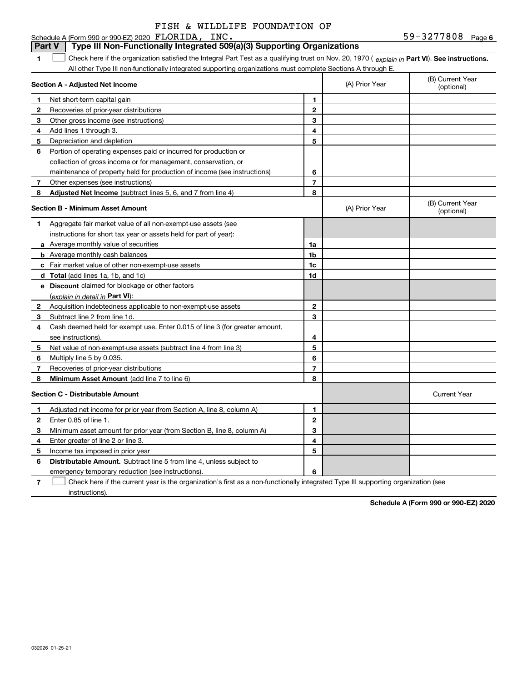#### **6**FLORIDA, INC. 59-3277808 **1Part VI** Check here if the organization satisfied the Integral Part Test as a qualifying trust on Nov. 20, 1970 ( explain in Part **VI**). See instructions. **Section A - Adjusted Net Income 123** Other gross income (see instructions) **4**Add lines 1 through 3. **56** Portion of operating expenses paid or incurred for production or **7** Other expenses (see instructions) **8** Adjusted Net Income (subtract lines 5, 6, and 7 from line 4) **8 8 1234567Section B - Minimum Asset Amount 1**Aggregate fair market value of all non-exempt-use assets (see **2**Acquisition indebtedness applicable to non-exempt-use assets **3** Subtract line 2 from line 1d. **4**Cash deemed held for exempt use. Enter 0.015 of line 3 (for greater amount, **5** Net value of non-exempt-use assets (subtract line 4 from line 3) **678a** Average monthly value of securities **b** Average monthly cash balances **c**Fair market value of other non-exempt-use assets **dTotal**  (add lines 1a, 1b, and 1c) **eDiscount** claimed for blockage or other factors **1a1b1c1d2345678**(explain in detail in Part VI): **Minimum Asset Amount**  (add line 7 to line 6) **Section C - Distributable Amount 12345612345Distributable Amount.** Subtract line 5 from line 4, unless subject to Schedule A (Form 990 or 990-EZ) 2020 FLORIDA, INC. All other Type III non-functionally integrated supporting organizations must complete Sections A through E. (B) Current Year (optional)(A) Prior Year Net short-term capital gain Recoveries of prior-year distributions Depreciation and depletion collection of gross income or for management, conservation, or maintenance of property held for production of income (see instructions) (B) Current Year (optional)(A) Prior Year instructions for short tax year or assets held for part of year): see instructions). Multiply line 5 by 0.035. Recoveries of prior-year distributions Current Year Adjusted net income for prior year (from Section A, line 8, column A) Enter 0.85 of line 1. Minimum asset amount for prior year (from Section B, line 8, column A) Enter greater of line 2 or line 3. Income tax imposed in prior year **Part V Type III Non-Functionally Integrated 509(a)(3) Supporting Organizations**   $\mathcal{L}^{\text{max}}$

emergency temporary reduction (see instructions).

**7**Check here if the current year is the organization's first as a non-functionally integrated Type III supporting organization (see instructions). $\mathcal{L}^{\text{max}}$ 

**6**

**Schedule A (Form 990 or 990-EZ) 2020**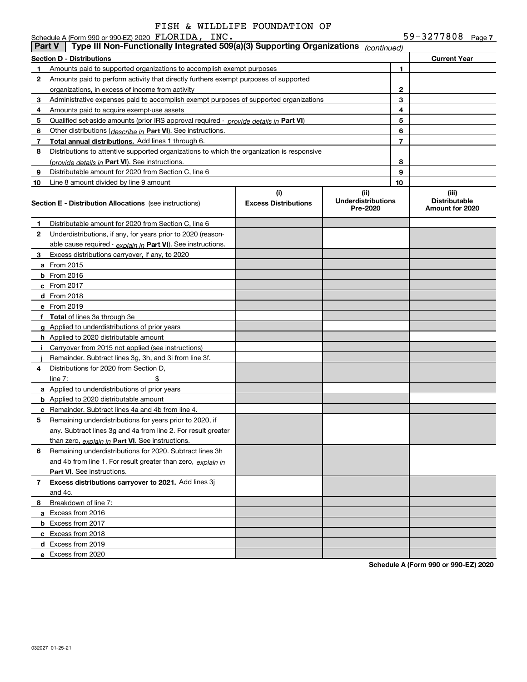Schedule A (Form 990 or 990-EZ) 2020 FLORIDA, INC

|               | Schedule A (Form 990 or 990-EZ) 2020 FLORIDA, INC.                                         |                                    |                                               |    | 59-3277808 $_{Page 7}$                           |  |
|---------------|--------------------------------------------------------------------------------------------|------------------------------------|-----------------------------------------------|----|--------------------------------------------------|--|
| <b>Part V</b> | Type III Non-Functionally Integrated 509(a)(3) Supporting Organizations                    |                                    | (continued)                                   |    |                                                  |  |
|               | <b>Section D - Distributions</b>                                                           |                                    |                                               |    | <b>Current Year</b>                              |  |
| 1             | Amounts paid to supported organizations to accomplish exempt purposes                      |                                    |                                               | 1  |                                                  |  |
| 2             | Amounts paid to perform activity that directly furthers exempt purposes of supported       |                                    |                                               |    |                                                  |  |
|               | organizations, in excess of income from activity                                           |                                    | 2                                             |    |                                                  |  |
| 3             | Administrative expenses paid to accomplish exempt purposes of supported organizations      |                                    |                                               | 3  |                                                  |  |
| 4             | Amounts paid to acquire exempt-use assets                                                  |                                    |                                               | 4  |                                                  |  |
| 5             | Qualified set-aside amounts (prior IRS approval required - provide details in Part VI)     |                                    |                                               | 5  |                                                  |  |
| 6             | Other distributions (describe in Part VI). See instructions.                               |                                    |                                               | 6  |                                                  |  |
| 7             | Total annual distributions. Add lines 1 through 6.                                         |                                    |                                               | 7  |                                                  |  |
| 8             | Distributions to attentive supported organizations to which the organization is responsive |                                    |                                               |    |                                                  |  |
|               | (provide details in Part VI). See instructions.                                            |                                    |                                               | 8  |                                                  |  |
| 9             | Distributable amount for 2020 from Section C, line 6                                       |                                    |                                               | 9  |                                                  |  |
| 10            | Line 8 amount divided by line 9 amount                                                     |                                    |                                               | 10 |                                                  |  |
|               | <b>Section E - Distribution Allocations</b> (see instructions)                             | (i)<br><b>Excess Distributions</b> | (ii)<br><b>Underdistributions</b><br>Pre-2020 |    | (iii)<br><b>Distributable</b><br>Amount for 2020 |  |
| 1             | Distributable amount for 2020 from Section C, line 6                                       |                                    |                                               |    |                                                  |  |
| 2             | Underdistributions, if any, for years prior to 2020 (reason-                               |                                    |                                               |    |                                                  |  |
|               | able cause required - explain in Part VI). See instructions.                               |                                    |                                               |    |                                                  |  |
| 3             | Excess distributions carryover, if any, to 2020                                            |                                    |                                               |    |                                                  |  |
|               | <b>a</b> From 2015                                                                         |                                    |                                               |    |                                                  |  |
|               | $b$ From 2016                                                                              |                                    |                                               |    |                                                  |  |
|               | $c$ From 2017                                                                              |                                    |                                               |    |                                                  |  |
|               | d From 2018                                                                                |                                    |                                               |    |                                                  |  |
|               | e From 2019                                                                                |                                    |                                               |    |                                                  |  |
|               | f Total of lines 3a through 3e                                                             |                                    |                                               |    |                                                  |  |
|               | g Applied to underdistributions of prior years                                             |                                    |                                               |    |                                                  |  |
|               | <b>h</b> Applied to 2020 distributable amount                                              |                                    |                                               |    |                                                  |  |
|               | i Carryover from 2015 not applied (see instructions)                                       |                                    |                                               |    |                                                  |  |
|               | Remainder. Subtract lines 3g, 3h, and 3i from line 3f.                                     |                                    |                                               |    |                                                  |  |
| 4             | Distributions for 2020 from Section D,                                                     |                                    |                                               |    |                                                  |  |
|               | \$<br>line $7:$                                                                            |                                    |                                               |    |                                                  |  |
|               | a Applied to underdistributions of prior years                                             |                                    |                                               |    |                                                  |  |
|               | <b>b</b> Applied to 2020 distributable amount                                              |                                    |                                               |    |                                                  |  |
|               | <b>c</b> Remainder. Subtract lines 4a and 4b from line 4.                                  |                                    |                                               |    |                                                  |  |
|               | Remaining underdistributions for years prior to 2020, if                                   |                                    |                                               |    |                                                  |  |
|               | any. Subtract lines 3g and 4a from line 2. For result greater                              |                                    |                                               |    |                                                  |  |
|               | than zero, explain in Part VI. See instructions.                                           |                                    |                                               |    |                                                  |  |
| 6             | Remaining underdistributions for 2020. Subtract lines 3h                                   |                                    |                                               |    |                                                  |  |
|               | and 4b from line 1. For result greater than zero, explain in                               |                                    |                                               |    |                                                  |  |
|               | Part VI. See instructions.                                                                 |                                    |                                               |    |                                                  |  |
| 7             | Excess distributions carryover to 2021. Add lines 3j                                       |                                    |                                               |    |                                                  |  |
|               | and 4c.                                                                                    |                                    |                                               |    |                                                  |  |
| 8             | Breakdown of line 7:                                                                       |                                    |                                               |    |                                                  |  |
|               | a Excess from 2016                                                                         |                                    |                                               |    |                                                  |  |
|               | <b>b</b> Excess from 2017                                                                  |                                    |                                               |    |                                                  |  |
|               | c Excess from 2018                                                                         |                                    |                                               |    |                                                  |  |
|               | d Excess from 2019                                                                         |                                    |                                               |    |                                                  |  |
|               | e Excess from 2020                                                                         |                                    |                                               |    |                                                  |  |
|               |                                                                                            |                                    |                                               |    |                                                  |  |

**Schedule A (Form 990 or 990-EZ) 2020**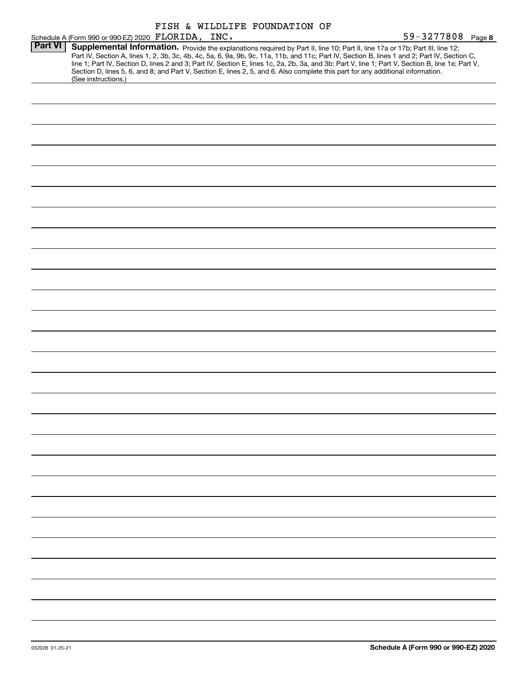|                |                                                                                                                                                  |  | FISH & WILDLIFE FOUNDATION OF |                   |
|----------------|--------------------------------------------------------------------------------------------------------------------------------------------------|--|-------------------------------|-------------------|
|                | Schedule A (Form 990 or 990-EZ) 2020 FLORIDA, INC.                                                                                               |  |                               | 59-3277808 Page 8 |
| <b>Part VI</b> |                                                                                                                                                  |  |                               |                   |
|                | Supplemental Information. Provide the explanations required by Part II, line 10; Part II, line 17a or 17b; Part III, line 12;                    |  |                               |                   |
|                | Part IV, Section A, lines 1, 2, 3b, 3c, 4b, 4c, 5a, 6, 9a, 9b, 9c, 11a, 11b, and 11c; Part IV, Section B, lines 1 and 2; Part IV, Section C,     |  |                               |                   |
|                | line 1; Part IV, Section D, lines 2 and 3; Part IV, Section E, lines 1c, 2a, 2b, 3a, and 3b; Part V, line 1; Part V, Section B, line 1e; Part V, |  |                               |                   |
|                | Section D, lines 5, 6, and 8; and Part V, Section E, lines 2, 5, and 6. Also complete this part for any additional information.                  |  |                               |                   |
|                | (See instructions.)                                                                                                                              |  |                               |                   |
|                |                                                                                                                                                  |  |                               |                   |
|                |                                                                                                                                                  |  |                               |                   |
|                |                                                                                                                                                  |  |                               |                   |
|                |                                                                                                                                                  |  |                               |                   |
|                |                                                                                                                                                  |  |                               |                   |
|                |                                                                                                                                                  |  |                               |                   |
|                |                                                                                                                                                  |  |                               |                   |
|                |                                                                                                                                                  |  |                               |                   |
|                |                                                                                                                                                  |  |                               |                   |
|                |                                                                                                                                                  |  |                               |                   |
|                |                                                                                                                                                  |  |                               |                   |
|                |                                                                                                                                                  |  |                               |                   |
|                |                                                                                                                                                  |  |                               |                   |
|                |                                                                                                                                                  |  |                               |                   |
|                |                                                                                                                                                  |  |                               |                   |
|                |                                                                                                                                                  |  |                               |                   |
|                |                                                                                                                                                  |  |                               |                   |
|                |                                                                                                                                                  |  |                               |                   |
|                |                                                                                                                                                  |  |                               |                   |
|                |                                                                                                                                                  |  |                               |                   |
|                |                                                                                                                                                  |  |                               |                   |
|                |                                                                                                                                                  |  |                               |                   |
|                |                                                                                                                                                  |  |                               |                   |
|                |                                                                                                                                                  |  |                               |                   |
|                |                                                                                                                                                  |  |                               |                   |
|                |                                                                                                                                                  |  |                               |                   |
|                |                                                                                                                                                  |  |                               |                   |
|                |                                                                                                                                                  |  |                               |                   |
|                |                                                                                                                                                  |  |                               |                   |
|                |                                                                                                                                                  |  |                               |                   |
|                |                                                                                                                                                  |  |                               |                   |
|                |                                                                                                                                                  |  |                               |                   |
|                |                                                                                                                                                  |  |                               |                   |
|                |                                                                                                                                                  |  |                               |                   |
|                |                                                                                                                                                  |  |                               |                   |
|                |                                                                                                                                                  |  |                               |                   |
|                |                                                                                                                                                  |  |                               |                   |
|                |                                                                                                                                                  |  |                               |                   |
|                |                                                                                                                                                  |  |                               |                   |
|                |                                                                                                                                                  |  |                               |                   |
|                |                                                                                                                                                  |  |                               |                   |
|                |                                                                                                                                                  |  |                               |                   |
|                |                                                                                                                                                  |  |                               |                   |
|                |                                                                                                                                                  |  |                               |                   |
|                |                                                                                                                                                  |  |                               |                   |
|                |                                                                                                                                                  |  |                               |                   |
|                |                                                                                                                                                  |  |                               |                   |
|                |                                                                                                                                                  |  |                               |                   |
|                |                                                                                                                                                  |  |                               |                   |
|                |                                                                                                                                                  |  |                               |                   |
|                |                                                                                                                                                  |  |                               |                   |
|                |                                                                                                                                                  |  |                               |                   |
|                |                                                                                                                                                  |  |                               |                   |
|                |                                                                                                                                                  |  |                               |                   |
|                |                                                                                                                                                  |  |                               |                   |
|                |                                                                                                                                                  |  |                               |                   |
|                |                                                                                                                                                  |  |                               |                   |
|                |                                                                                                                                                  |  |                               |                   |
|                |                                                                                                                                                  |  |                               |                   |
|                |                                                                                                                                                  |  |                               |                   |
|                |                                                                                                                                                  |  |                               |                   |
|                |                                                                                                                                                  |  |                               |                   |
|                |                                                                                                                                                  |  |                               |                   |
|                |                                                                                                                                                  |  |                               |                   |
|                |                                                                                                                                                  |  |                               |                   |
|                |                                                                                                                                                  |  |                               |                   |
|                |                                                                                                                                                  |  |                               |                   |
|                |                                                                                                                                                  |  |                               |                   |
|                |                                                                                                                                                  |  |                               |                   |
|                |                                                                                                                                                  |  |                               |                   |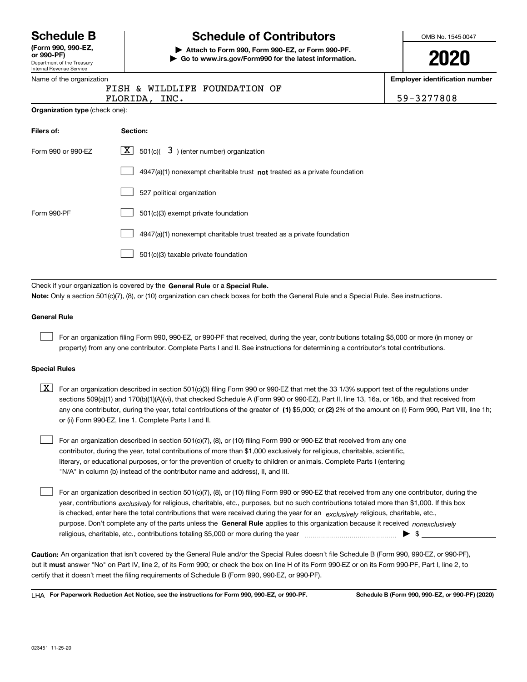Department of the Treasury **(Form 990, 990-EZ, or 990-PF)**

#### Internal Revenue Service Name of the organization

# **Schedule B Schedule of Contributors**

**| Attach to Form 990, Form 990-EZ, or Form 990-PF. | Go to www.irs.gov/Form990 for the latest information.** OMB No. 1545-0047

**2020**

**Employer identification number**

|                                       | FISH & WILDLIFE FOUNDATION OF<br>FLORIDA, INC.              | 59-3277808 |  |  |  |  |  |
|---------------------------------------|-------------------------------------------------------------|------------|--|--|--|--|--|
| <b>Organization type</b> (check one): |                                                             |            |  |  |  |  |  |
| Filers of:                            | Section:                                                    |            |  |  |  |  |  |
| Form 990 or 990-EZ                    | $\boxed{\textbf{X}}$ 501(c)( 3) (enter number) organization |            |  |  |  |  |  |

|             | 4947(a)(1) nonexempt charitable trust not treated as a private foundation |
|-------------|---------------------------------------------------------------------------|
|             | 527 political organization                                                |
| Form 990-PF | 501(c)(3) exempt private foundation                                       |
|             | 4947(a)(1) nonexempt charitable trust treated as a private foundation     |
|             | 501(c)(3) taxable private foundation                                      |

Check if your organization is covered by the **General Rule** or a **Special Rule. Note:**  Only a section 501(c)(7), (8), or (10) organization can check boxes for both the General Rule and a Special Rule. See instructions.

### **General Rule**

 $\mathcal{L}^{\text{max}}$ 

For an organization filing Form 990, 990-EZ, or 990-PF that received, during the year, contributions totaling \$5,000 or more (in money or property) from any one contributor. Complete Parts I and II. See instructions for determining a contributor's total contributions.

#### **Special Rules**

any one contributor, during the year, total contributions of the greater of  $\,$  (1) \$5,000; or **(2)** 2% of the amount on (i) Form 990, Part VIII, line 1h;  $\boxed{\textbf{X}}$  For an organization described in section 501(c)(3) filing Form 990 or 990-EZ that met the 33 1/3% support test of the regulations under sections 509(a)(1) and 170(b)(1)(A)(vi), that checked Schedule A (Form 990 or 990-EZ), Part II, line 13, 16a, or 16b, and that received from or (ii) Form 990-EZ, line 1. Complete Parts I and II.

For an organization described in section 501(c)(7), (8), or (10) filing Form 990 or 990-EZ that received from any one contributor, during the year, total contributions of more than \$1,000 exclusively for religious, charitable, scientific, literary, or educational purposes, or for the prevention of cruelty to children or animals. Complete Parts I (entering "N/A" in column (b) instead of the contributor name and address), II, and III.  $\mathcal{L}^{\text{max}}$ 

purpose. Don't complete any of the parts unless the **General Rule** applies to this organization because it received *nonexclusively* year, contributions <sub>exclusively</sub> for religious, charitable, etc., purposes, but no such contributions totaled more than \$1,000. If this box is checked, enter here the total contributions that were received during the year for an  $\;$ exclusively religious, charitable, etc., For an organization described in section 501(c)(7), (8), or (10) filing Form 990 or 990-EZ that received from any one contributor, during the religious, charitable, etc., contributions totaling \$5,000 or more during the year  $\Box$ — $\Box$   $\Box$  $\mathcal{L}^{\text{max}}$ 

**Caution:**  An organization that isn't covered by the General Rule and/or the Special Rules doesn't file Schedule B (Form 990, 990-EZ, or 990-PF),  **must** but it answer "No" on Part IV, line 2, of its Form 990; or check the box on line H of its Form 990-EZ or on its Form 990-PF, Part I, line 2, to certify that it doesn't meet the filing requirements of Schedule B (Form 990, 990-EZ, or 990-PF).

**For Paperwork Reduction Act Notice, see the instructions for Form 990, 990-EZ, or 990-PF. Schedule B (Form 990, 990-EZ, or 990-PF) (2020)** LHA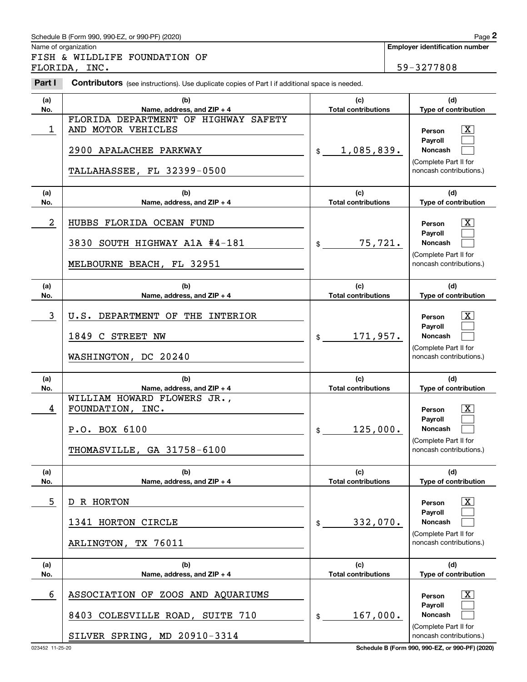# Schedule B (Form 990, 990-EZ, or 990-PF) (2020) Page 2

|                | Schedule B (Form 990, 990-EZ, or 990-PF) (2020)                                                       |                                   | Page 2                                                                                                      |
|----------------|-------------------------------------------------------------------------------------------------------|-----------------------------------|-------------------------------------------------------------------------------------------------------------|
|                | Name of organization<br>FISH & WILDLIFE FOUNDATION OF<br>FLORIDA, INC.                                |                                   | <b>Employer identification number</b><br>59-3277808                                                         |
| Part I         | <b>Contributors</b> (see instructions). Use duplicate copies of Part I if additional space is needed. |                                   |                                                                                                             |
| (a)<br>No.     | (b)<br>Name, address, and ZIP + 4<br>FLORIDA DEPARTMENT OF HIGHWAY SAFETY                             | (c)<br><b>Total contributions</b> | (d)<br>Type of contribution                                                                                 |
| 1              | AND MOTOR VEHICLES<br>2900 APALACHEE PARKWAY<br>TALLAHASSEE, FL 32399-0500                            | 1,085,839.<br>$\frac{1}{2}$       | $\mathbf{X}$<br>Person<br>Payroll<br>Noncash<br>(Complete Part II for<br>noncash contributions.)            |
| (a)<br>No.     | (b)<br>Name, address, and ZIP + 4                                                                     | (c)<br><b>Total contributions</b> | (d)<br>Type of contribution                                                                                 |
| $\overline{a}$ | HUBBS FLORIDA OCEAN FUND<br>3830 SOUTH HIGHWAY A1A #4-181<br>MELBOURNE BEACH, FL 32951                | 75,721.<br>\$                     | $\overline{\mathbf{X}}$<br>Person<br>Payroll<br>Noncash<br>(Complete Part II for<br>noncash contributions.) |
| (a)<br>No.     | (b)<br>Name, address, and ZIP + 4                                                                     | (c)<br><b>Total contributions</b> | (d)<br>Type of contribution                                                                                 |
| 3              | DEPARTMENT OF THE INTERIOR<br>U.S.<br>1849 C STREET NW<br>WASHINGTON, DC 20240                        | 171,957.<br>\$                    | $\overline{\text{X}}$<br>Person<br>Payroll<br>Noncash<br>(Complete Part II for<br>noncash contributions.)   |
| (a)<br>No.     | (b)<br>Name, address, and ZIP + 4                                                                     | (c)<br><b>Total contributions</b> | (d)<br>Type of contribution                                                                                 |
| 4              | WILLIAM HOWARD FLOWERS JR.,<br>FOUNDATION, INC.<br>P.O. BOX 6100<br>THOMASVILLE, GA 31758-6100        | 125,000.<br>\$                    | $\mathbf{X}$<br>Person<br>Payroll<br>Noncash<br>(Complete Part II for<br>noncash contributions.)            |
| (a)<br>No.     | (b)<br>Name, address, and ZIP + 4                                                                     | (c)<br><b>Total contributions</b> | (d)<br>Type of contribution                                                                                 |
| 5              | R HORTON<br>D<br>1341 HORTON CIRCLE<br>ARLINGTON, TX 76011                                            | 332,070.<br>\$                    | $\overline{\mathbf{X}}$<br>Person<br>Pavroll<br>Noncash<br>(Complete Part II for<br>noncash contributions.) |
| (a)<br>No.     | (b)<br>Name, address, and $ZIP + 4$                                                                   | (c)<br><b>Total contributions</b> | (d)<br>Type of contribution                                                                                 |
| 6              | ASSOCIATION OF ZOOS AND AQUARIUMS<br>8403 COLESVILLE ROAD, SUITE 710<br>SILVER SPRING, MD 20910-3314  | 167,000.<br>\$                    | $\overline{\mathbf{X}}$<br>Person<br>Payroll<br>Noncash<br>(Complete Part II for<br>noncash contributions.) |

023452 11-25-20 **Schedule B (Form 990, 990-EZ, or 990-PF) (2020)**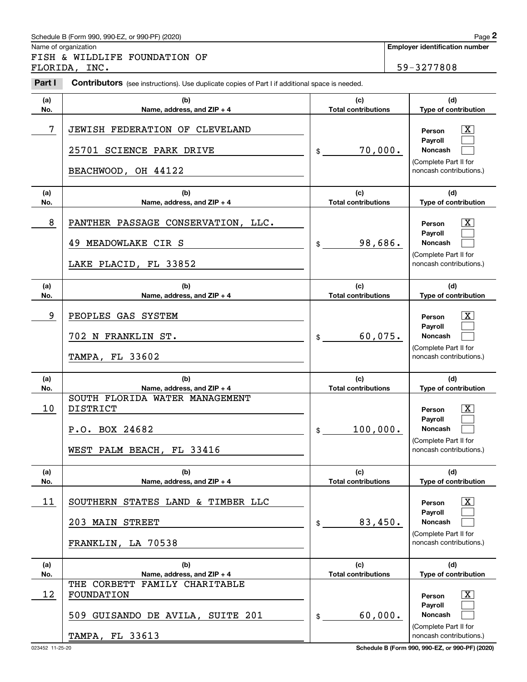# Schedule B (Form 990, 990-EZ, or 990-PF) (2020) Page 2

|            | Schedule B (Form 990, 990-EZ, or 990-PF) (2020)                                                       |                                   | Page 2                                                                                                      |
|------------|-------------------------------------------------------------------------------------------------------|-----------------------------------|-------------------------------------------------------------------------------------------------------------|
|            | Name of organization<br>FISH & WILDLIFE FOUNDATION OF<br>FLORIDA, INC.                                |                                   | <b>Employer identification number</b><br>59-3277808                                                         |
| Part I     | <b>Contributors</b> (see instructions). Use duplicate copies of Part I if additional space is needed. |                                   |                                                                                                             |
| (a)<br>No. | (b)<br>Name, address, and ZIP + 4                                                                     | (c)<br><b>Total contributions</b> | (d)<br>Type of contribution                                                                                 |
| 7          | JEWISH FEDERATION OF CLEVELAND<br>25701 SCIENCE PARK DRIVE<br>BEACHWOOD, OH 44122                     | 70,000.<br>$\frac{1}{2}$          | $\overline{\mathbf{X}}$<br>Person<br>Payroll<br>Noncash<br>(Complete Part II for<br>noncash contributions.) |
| (a)<br>No. | (b)<br>Name, address, and ZIP + 4                                                                     | (c)<br><b>Total contributions</b> | (d)<br>Type of contribution                                                                                 |
| 8          | PANTHER PASSAGE CONSERVATION, LLC.<br>49 MEADOWLAKE CIR S<br>LAKE PLACID, FL 33852                    | 98,686.<br>\$                     | $\overline{\mathbf{X}}$<br>Person<br>Payroll<br>Noncash<br>(Complete Part II for<br>noncash contributions.) |
| (a)<br>No. | (b)<br>Name, address, and ZIP + 4                                                                     | (c)<br><b>Total contributions</b> | (d)<br>Type of contribution                                                                                 |
| 9          | PEOPLES GAS SYSTEM<br>702 N FRANKLIN ST.<br><b>TAMPA, FL 33602</b>                                    | 60,075.<br>\$                     | X<br>Person<br>Payroll<br>Noncash<br>(Complete Part II for<br>noncash contributions.)                       |
| (a)<br>No. | (b)<br>Name, address, and ZIP + 4                                                                     | (c)<br><b>Total contributions</b> | (d)<br>Type of contribution                                                                                 |
| 10         | SOUTH FLORIDA WATER MANAGEMENT<br><b>DISTRICT</b><br>P.O. BOX 24682<br>WEST PALM BEACH, FL 33416      | 100,000.<br>\$                    | $\mathbf{X}$<br>Person<br>Payroll<br>Noncash<br>(Complete Part II for<br>noncash contributions.)            |
| (a)<br>No. | (b)<br>Name, address, and ZIP + 4                                                                     | (c)<br><b>Total contributions</b> | (d)<br>Type of contribution                                                                                 |
| 11         | SOUTHERN STATES LAND & TIMBER LLC<br>203 MAIN STREET<br>FRANKLIN, LA 70538                            | 83,450.<br>\$                     | $\boxed{\text{X}}$<br>Person<br>Payroll<br>Noncash<br>(Complete Part II for<br>noncash contributions.)      |
| (a)<br>No. | (b)<br>Name, address, and ZIP + 4                                                                     | (c)<br><b>Total contributions</b> | (d)<br>Type of contribution                                                                                 |
| 12         | THE CORBETT FAMILY CHARITABLE<br>FOUNDATION<br>509 GUISANDO DE AVILA, SUITE 201                       | 60,000.<br>\$                     | $\overline{\mathbf{X}}$<br>Person<br>Payroll<br>Noncash<br>(Complete Part II for                            |
|            | <b>TAMPA, FL 33613</b>                                                                                |                                   | noncash contributions.)                                                                                     |

023452 11-25-20 **Schedule B (Form 990, 990-EZ, or 990-PF) (2020)**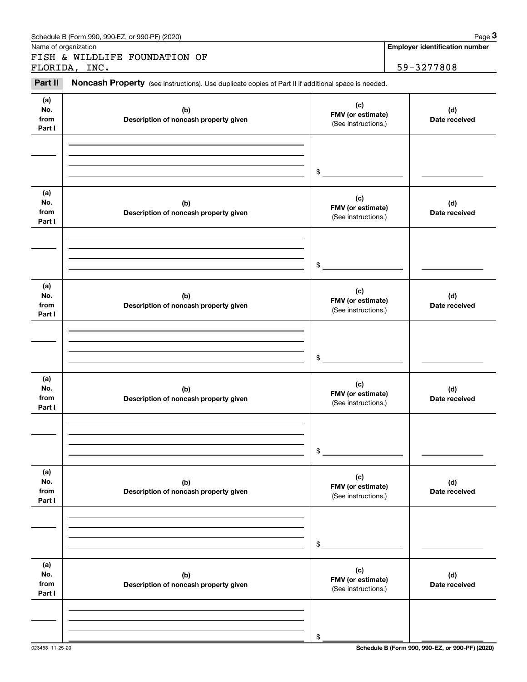| Name of organization         | Schedule B (Form 990, 990-EZ, or 990-PF) (2020)                                                     |                                                 | Page 3<br><b>Employer identification number</b> |
|------------------------------|-----------------------------------------------------------------------------------------------------|-------------------------------------------------|-------------------------------------------------|
|                              | FISH & WILDLIFE FOUNDATION OF<br>FLORIDA, INC.                                                      |                                                 | 59-3277808                                      |
| Part II                      | Noncash Property (see instructions). Use duplicate copies of Part II if additional space is needed. |                                                 |                                                 |
| (a)<br>No.<br>from<br>Part I | (b)<br>Description of noncash property given                                                        | (c)<br>FMV (or estimate)<br>(See instructions.) | (d)<br>Date received                            |
|                              |                                                                                                     | \$                                              |                                                 |
| (a)<br>No.<br>from<br>Part I | (b)<br>Description of noncash property given                                                        | (c)<br>FMV (or estimate)<br>(See instructions.) | (d)<br>Date received                            |
|                              |                                                                                                     | \$                                              |                                                 |
| (a)<br>No.<br>from<br>Part I | (b)<br>Description of noncash property given                                                        | (c)<br>FMV (or estimate)<br>(See instructions.) | (d)<br>Date received                            |
|                              |                                                                                                     | \$                                              |                                                 |
| (a)<br>No.<br>from<br>Part I | (b)<br>Description of noncash property given                                                        | (c)<br>FMV (or estimate)<br>(See instructions.) | (d)<br>Date received                            |
|                              |                                                                                                     | \$                                              |                                                 |
| (a)<br>No.<br>from<br>Part I | (b)<br>Description of noncash property given                                                        | (c)<br>FMV (or estimate)<br>(See instructions.) | (d)<br>Date received                            |
|                              |                                                                                                     | \$                                              |                                                 |
| (a)<br>No.<br>from<br>Part I | (b)<br>Description of noncash property given                                                        | (c)<br>FMV (or estimate)<br>(See instructions.) | (d)<br>Date received                            |
|                              |                                                                                                     | \$                                              |                                                 |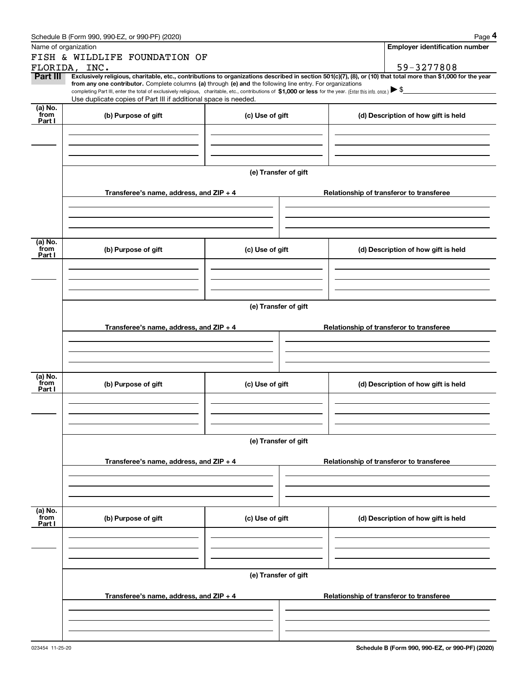|                 | Schedule B (Form 990, 990-EZ, or 990-PF) (2020)                                                                                                                                   |                      | Page 4                                                                                                                                                         |
|-----------------|-----------------------------------------------------------------------------------------------------------------------------------------------------------------------------------|----------------------|----------------------------------------------------------------------------------------------------------------------------------------------------------------|
|                 | Name of organization                                                                                                                                                              |                      | <b>Employer identification number</b>                                                                                                                          |
|                 | FISH & WILDLIFE FOUNDATION OF                                                                                                                                                     |                      |                                                                                                                                                                |
|                 | FLORIDA, INC.                                                                                                                                                                     |                      | 59-3277808                                                                                                                                                     |
| <b>Part III</b> | from any one contributor. Complete columns (a) through (e) and the following line entry. For organizations                                                                        |                      | Exclusively religious, charitable, etc., contributions to organizations described in section 501(c)(7), (8), or (10) that total more than \$1,000 for the year |
|                 | completing Part III, enter the total of exclusively religious, charitable, etc., contributions of \$1,000 or less for the year. (Enter this info. once.) $\blacktriangleright$ \$ |                      |                                                                                                                                                                |
|                 | Use duplicate copies of Part III if additional space is needed.                                                                                                                   |                      |                                                                                                                                                                |
| (a) No.<br>from | (b) Purpose of gift                                                                                                                                                               | (c) Use of gift      | (d) Description of how gift is held                                                                                                                            |
| Part I          |                                                                                                                                                                                   |                      |                                                                                                                                                                |
|                 |                                                                                                                                                                                   |                      |                                                                                                                                                                |
|                 |                                                                                                                                                                                   |                      |                                                                                                                                                                |
|                 |                                                                                                                                                                                   |                      |                                                                                                                                                                |
|                 |                                                                                                                                                                                   | (e) Transfer of gift |                                                                                                                                                                |
|                 |                                                                                                                                                                                   |                      |                                                                                                                                                                |
|                 | Transferee's name, address, and ZIP + 4                                                                                                                                           |                      | Relationship of transferor to transferee                                                                                                                       |
|                 |                                                                                                                                                                                   |                      |                                                                                                                                                                |
|                 |                                                                                                                                                                                   |                      |                                                                                                                                                                |
|                 |                                                                                                                                                                                   |                      |                                                                                                                                                                |
|                 |                                                                                                                                                                                   |                      |                                                                                                                                                                |
| (a) No.<br>from | (b) Purpose of gift                                                                                                                                                               | (c) Use of gift      | (d) Description of how gift is held                                                                                                                            |
| Part I          |                                                                                                                                                                                   |                      |                                                                                                                                                                |
|                 |                                                                                                                                                                                   |                      |                                                                                                                                                                |
|                 |                                                                                                                                                                                   |                      |                                                                                                                                                                |
|                 |                                                                                                                                                                                   |                      |                                                                                                                                                                |
|                 |                                                                                                                                                                                   | (e) Transfer of gift |                                                                                                                                                                |
|                 |                                                                                                                                                                                   |                      |                                                                                                                                                                |
|                 | Transferee's name, address, and ZIP + 4                                                                                                                                           |                      | Relationship of transferor to transferee                                                                                                                       |
|                 |                                                                                                                                                                                   |                      |                                                                                                                                                                |
|                 |                                                                                                                                                                                   |                      |                                                                                                                                                                |
|                 |                                                                                                                                                                                   |                      |                                                                                                                                                                |
| (a) No.         |                                                                                                                                                                                   |                      |                                                                                                                                                                |
| from<br>Part I  | (b) Purpose of gift                                                                                                                                                               | (c) Use of gift      | (d) Description of how gift is held                                                                                                                            |
|                 |                                                                                                                                                                                   |                      |                                                                                                                                                                |
|                 |                                                                                                                                                                                   |                      |                                                                                                                                                                |
|                 |                                                                                                                                                                                   |                      |                                                                                                                                                                |
|                 |                                                                                                                                                                                   |                      |                                                                                                                                                                |
|                 |                                                                                                                                                                                   | (e) Transfer of gift |                                                                                                                                                                |
|                 | Transferee's name, address, and ZIP + 4                                                                                                                                           |                      | Relationship of transferor to transferee                                                                                                                       |
|                 |                                                                                                                                                                                   |                      |                                                                                                                                                                |
|                 |                                                                                                                                                                                   |                      |                                                                                                                                                                |
|                 |                                                                                                                                                                                   |                      |                                                                                                                                                                |
|                 |                                                                                                                                                                                   |                      |                                                                                                                                                                |
| (a) No.<br>from | (b) Purpose of gift                                                                                                                                                               | (c) Use of gift      | (d) Description of how gift is held                                                                                                                            |
| Part I          |                                                                                                                                                                                   |                      |                                                                                                                                                                |
|                 |                                                                                                                                                                                   |                      |                                                                                                                                                                |
|                 |                                                                                                                                                                                   |                      |                                                                                                                                                                |
|                 |                                                                                                                                                                                   |                      |                                                                                                                                                                |
|                 |                                                                                                                                                                                   | (e) Transfer of gift |                                                                                                                                                                |
|                 |                                                                                                                                                                                   |                      |                                                                                                                                                                |
|                 | Transferee's name, address, and ZIP + 4                                                                                                                                           |                      | Relationship of transferor to transferee                                                                                                                       |
|                 |                                                                                                                                                                                   |                      |                                                                                                                                                                |
|                 |                                                                                                                                                                                   |                      |                                                                                                                                                                |
|                 |                                                                                                                                                                                   |                      |                                                                                                                                                                |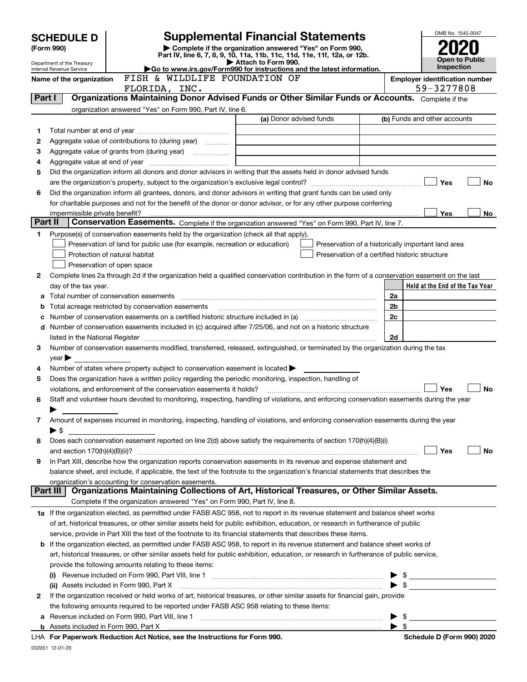|         | <b>Supplemental Financial Statements</b><br><b>SCHEDULE D</b>          |                                                                                                                                                                                                             |                                                                                                                                                                                                                                |                          |                                                     |
|---------|------------------------------------------------------------------------|-------------------------------------------------------------------------------------------------------------------------------------------------------------------------------------------------------------|--------------------------------------------------------------------------------------------------------------------------------------------------------------------------------------------------------------------------------|--------------------------|-----------------------------------------------------|
|         | Complete if the organization answered "Yes" on Form 990,<br>(Form 990) |                                                                                                                                                                                                             |                                                                                                                                                                                                                                |                          |                                                     |
|         | Department of the Treasury                                             |                                                                                                                                                                                                             | Part IV, line 6, 7, 8, 9, 10, 11a, 11b, 11c, 11d, 11e, 11f, 12a, or 12b.<br>Attach to Form 990.                                                                                                                                |                          | Open to Public                                      |
|         | Internal Revenue Service                                               |                                                                                                                                                                                                             | Go to www.irs.gov/Form990 for instructions and the latest information.                                                                                                                                                         |                          | Inspection                                          |
|         | Name of the organization                                               | FISH & WILDLIFE FOUNDATION OF                                                                                                                                                                               |                                                                                                                                                                                                                                |                          | <b>Employer identification number</b><br>59-3277808 |
| Part I  |                                                                        | FLORIDA, INC.                                                                                                                                                                                               | Organizations Maintaining Donor Advised Funds or Other Similar Funds or Accounts. Complete if the                                                                                                                              |                          |                                                     |
|         |                                                                        | organization answered "Yes" on Form 990, Part IV, line 6.                                                                                                                                                   |                                                                                                                                                                                                                                |                          |                                                     |
|         |                                                                        |                                                                                                                                                                                                             | (a) Donor advised funds                                                                                                                                                                                                        |                          | (b) Funds and other accounts                        |
| 1       |                                                                        |                                                                                                                                                                                                             |                                                                                                                                                                                                                                |                          |                                                     |
| 2       |                                                                        | Aggregate value of contributions to (during year)                                                                                                                                                           |                                                                                                                                                                                                                                |                          |                                                     |
| 3       |                                                                        |                                                                                                                                                                                                             |                                                                                                                                                                                                                                |                          |                                                     |
| 4       |                                                                        |                                                                                                                                                                                                             |                                                                                                                                                                                                                                |                          |                                                     |
| 5       |                                                                        |                                                                                                                                                                                                             | Did the organization inform all donors and donor advisors in writing that the assets held in donor advised funds                                                                                                               |                          |                                                     |
|         |                                                                        |                                                                                                                                                                                                             |                                                                                                                                                                                                                                |                          | Yes<br><b>No</b>                                    |
| 6       |                                                                        |                                                                                                                                                                                                             | Did the organization inform all grantees, donors, and donor advisors in writing that grant funds can be used only                                                                                                              |                          |                                                     |
|         |                                                                        |                                                                                                                                                                                                             | for charitable purposes and not for the benefit of the donor or donor advisor, or for any other purpose conferring                                                                                                             |                          |                                                     |
| Part II | impermissible private benefit?                                         |                                                                                                                                                                                                             | Conservation Easements. Complete if the organization answered "Yes" on Form 990, Part IV, line 7.                                                                                                                              |                          | Yes<br>No                                           |
| 1       |                                                                        | Purpose(s) of conservation easements held by the organization (check all that apply).                                                                                                                       |                                                                                                                                                                                                                                |                          |                                                     |
|         |                                                                        | Preservation of land for public use (for example, recreation or education)                                                                                                                                  | Preservation of a historically important land area                                                                                                                                                                             |                          |                                                     |
|         |                                                                        | Protection of natural habitat                                                                                                                                                                               | Preservation of a certified historic structure                                                                                                                                                                                 |                          |                                                     |
|         |                                                                        | Preservation of open space                                                                                                                                                                                  |                                                                                                                                                                                                                                |                          |                                                     |
| 2       |                                                                        |                                                                                                                                                                                                             | Complete lines 2a through 2d if the organization held a qualified conservation contribution in the form of a conservation easement on the last                                                                                 |                          |                                                     |
|         | day of the tax year.                                                   |                                                                                                                                                                                                             |                                                                                                                                                                                                                                |                          | Held at the End of the Tax Year                     |
| а       |                                                                        | Total number of conservation easements                                                                                                                                                                      |                                                                                                                                                                                                                                | 2a                       |                                                     |
| b       |                                                                        | Total acreage restricted by conservation easements                                                                                                                                                          |                                                                                                                                                                                                                                | 2b                       |                                                     |
|         |                                                                        |                                                                                                                                                                                                             | Number of conservation easements on a certified historic structure included in (a) manufacture of conservation                                                                                                                 | 2c                       |                                                     |
| d       |                                                                        |                                                                                                                                                                                                             | Number of conservation easements included in (c) acquired after 7/25/06, and not on a historic structure                                                                                                                       |                          |                                                     |
|         |                                                                        |                                                                                                                                                                                                             | listed in the National Register [1,1,2000] [1,2000] [1,2000] [1,2000] [1,2000] [1,2000] [1,2000] [1,2000] [1,2000] [1,2000] [1,2000] [1,2000] [1,2000] [1,2000] [1,2000] [1,2000] [1,2000] [1,2000] [1,2000] [1,2000] [1,2000] | 2d                       |                                                     |
| 3       |                                                                        |                                                                                                                                                                                                             | Number of conservation easements modified, transferred, released, extinguished, or terminated by the organization during the tax                                                                                               |                          |                                                     |
|         | $year \blacktriangleright$                                             |                                                                                                                                                                                                             |                                                                                                                                                                                                                                |                          |                                                     |
| 4<br>5  |                                                                        | Number of states where property subject to conservation easement is located $\blacktriangleright$<br>Does the organization have a written policy regarding the periodic monitoring, inspection, handling of |                                                                                                                                                                                                                                |                          |                                                     |
|         |                                                                        | violations, and enforcement of the conservation easements it holds?                                                                                                                                         |                                                                                                                                                                                                                                |                          | Yes<br><b>No</b>                                    |
| 6       |                                                                        |                                                                                                                                                                                                             | Staff and volunteer hours devoted to monitoring, inspecting, handling of violations, and enforcing conservation easements during the year                                                                                      |                          |                                                     |
|         |                                                                        |                                                                                                                                                                                                             |                                                                                                                                                                                                                                |                          |                                                     |
| 7       |                                                                        |                                                                                                                                                                                                             | Amount of expenses incurred in monitoring, inspecting, handling of violations, and enforcing conservation easements during the year                                                                                            |                          |                                                     |
|         | ▶ \$                                                                   |                                                                                                                                                                                                             |                                                                                                                                                                                                                                |                          |                                                     |
| 8       |                                                                        |                                                                                                                                                                                                             | Does each conservation easement reported on line 2(d) above satisfy the requirements of section 170(h)(4)(B)(i)                                                                                                                |                          |                                                     |
|         |                                                                        |                                                                                                                                                                                                             |                                                                                                                                                                                                                                |                          | Yes<br>No                                           |
| 9       |                                                                        |                                                                                                                                                                                                             | In Part XIII, describe how the organization reports conservation easements in its revenue and expense statement and                                                                                                            |                          |                                                     |
|         |                                                                        |                                                                                                                                                                                                             | balance sheet, and include, if applicable, the text of the footnote to the organization's financial statements that describes the                                                                                              |                          |                                                     |
|         | Part III                                                               | organization's accounting for conservation easements.                                                                                                                                                       | Organizations Maintaining Collections of Art, Historical Treasures, or Other Similar Assets.                                                                                                                                   |                          |                                                     |
|         |                                                                        | Complete if the organization answered "Yes" on Form 990, Part IV, line 8.                                                                                                                                   |                                                                                                                                                                                                                                |                          |                                                     |
|         |                                                                        |                                                                                                                                                                                                             | 1a If the organization elected, as permitted under FASB ASC 958, not to report in its revenue statement and balance sheet works                                                                                                |                          |                                                     |
|         |                                                                        |                                                                                                                                                                                                             | of art, historical treasures, or other similar assets held for public exhibition, education, or research in furtherance of public                                                                                              |                          |                                                     |
|         |                                                                        |                                                                                                                                                                                                             | service, provide in Part XIII the text of the footnote to its financial statements that describes these items.                                                                                                                 |                          |                                                     |
| b       |                                                                        |                                                                                                                                                                                                             | If the organization elected, as permitted under FASB ASC 958, to report in its revenue statement and balance sheet works of                                                                                                    |                          |                                                     |
|         |                                                                        |                                                                                                                                                                                                             | art, historical treasures, or other similar assets held for public exhibition, education, or research in furtherance of public service,                                                                                        |                          |                                                     |
|         |                                                                        | provide the following amounts relating to these items:                                                                                                                                                      |                                                                                                                                                                                                                                |                          |                                                     |
|         |                                                                        |                                                                                                                                                                                                             |                                                                                                                                                                                                                                |                          | $\triangleright$ \$                                 |
|         |                                                                        | (ii) Assets included in Form 990, Part X                                                                                                                                                                    |                                                                                                                                                                                                                                |                          |                                                     |
| 2       |                                                                        |                                                                                                                                                                                                             | If the organization received or held works of art, historical treasures, or other similar assets for financial gain, provide                                                                                                   |                          |                                                     |
|         |                                                                        | the following amounts required to be reported under FASB ASC 958 relating to these items:                                                                                                                   |                                                                                                                                                                                                                                |                          |                                                     |
| а       |                                                                        |                                                                                                                                                                                                             |                                                                                                                                                                                                                                |                          | \$                                                  |
| b       |                                                                        |                                                                                                                                                                                                             | Assets included in Form 990, Part X <i>maching and accountant content in the sets included</i> in Form 990, Part X                                                                                                             | $\blacktriangleright$ \$ |                                                     |
|         |                                                                        | LHA For Paperwork Reduction Act Notice, see the Instructions for Form 990.                                                                                                                                  |                                                                                                                                                                                                                                |                          | Schedule D (Form 990) 2020                          |

032051 12-01-20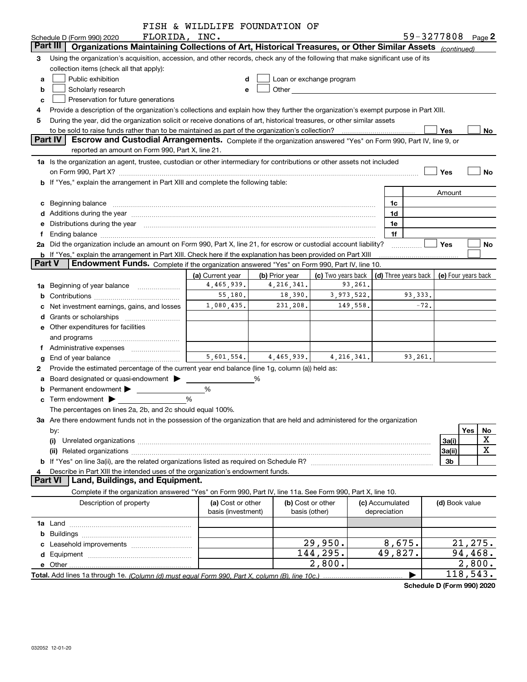|               |                                                                                                                                                                                                                                | FISH & WILDLIFE FOUNDATION OF |                        |                          |                                              |         |                   |           |
|---------------|--------------------------------------------------------------------------------------------------------------------------------------------------------------------------------------------------------------------------------|-------------------------------|------------------------|--------------------------|----------------------------------------------|---------|-------------------|-----------|
|               | FLORIDA, INC.<br>Schedule D (Form 990) 2020                                                                                                                                                                                    |                               |                        |                          |                                              |         | 59-3277808 Page 2 |           |
|               | Organizations Maintaining Collections of Art, Historical Treasures, or Other Similar Assets $_{(continued)}$<br>Part III                                                                                                       |                               |                        |                          |                                              |         |                   |           |
| 3             | Using the organization's acquisition, accession, and other records, check any of the following that make significant use of its                                                                                                |                               |                        |                          |                                              |         |                   |           |
|               | collection items (check all that apply):                                                                                                                                                                                       |                               |                        |                          |                                              |         |                   |           |
| a             | Public exhibition                                                                                                                                                                                                              | d                             |                        | Loan or exchange program |                                              |         |                   |           |
| b             | Scholarly research                                                                                                                                                                                                             | e                             | <b>Other Community</b> |                          |                                              |         |                   |           |
| c             | Preservation for future generations                                                                                                                                                                                            |                               |                        |                          |                                              |         |                   |           |
| 4             | Provide a description of the organization's collections and explain how they further the organization's exempt purpose in Part XIII.                                                                                           |                               |                        |                          |                                              |         |                   |           |
| 5             | During the year, did the organization solicit or receive donations of art, historical treasures, or other similar assets                                                                                                       |                               |                        |                          |                                              |         |                   |           |
|               |                                                                                                                                                                                                                                |                               |                        |                          |                                              |         | Yes               | No        |
|               | Part IV<br>Escrow and Custodial Arrangements. Complete if the organization answered "Yes" on Form 990, Part IV, line 9, or                                                                                                     |                               |                        |                          |                                              |         |                   |           |
|               | reported an amount on Form 990, Part X, line 21.                                                                                                                                                                               |                               |                        |                          |                                              |         |                   |           |
|               | 1a Is the organization an agent, trustee, custodian or other intermediary for contributions or other assets not included                                                                                                       |                               |                        |                          |                                              |         |                   |           |
|               | on Form 990, Part X? [11] matter and the contract of the contract of the contract of the contract of the contract of the contract of the contract of the contract of the contract of the contract of the contract of the contr |                               |                        |                          |                                              |         | Yes               | <b>No</b> |
|               | <b>b</b> If "Yes," explain the arrangement in Part XIII and complete the following table:                                                                                                                                      |                               |                        |                          |                                              |         |                   |           |
|               |                                                                                                                                                                                                                                |                               |                        |                          |                                              |         |                   |           |
|               |                                                                                                                                                                                                                                |                               |                        |                          |                                              |         | Amount            |           |
| c             | Beginning balance                                                                                                                                                                                                              |                               |                        |                          | 1c                                           |         |                   |           |
|               |                                                                                                                                                                                                                                |                               |                        |                          | 1d                                           |         |                   |           |
| е             | Distributions during the year manufactured and continuum and contained and the year manufactured and contained                                                                                                                 |                               |                        |                          | 1e                                           |         |                   |           |
| f             |                                                                                                                                                                                                                                |                               |                        |                          | 1f                                           |         |                   |           |
|               | 2a Did the organization include an amount on Form 990, Part X, line 21, for escrow or custodial account liability?                                                                                                             |                               |                        |                          |                                              |         | Yes               | No        |
|               | b If "Yes," explain the arrangement in Part XIII. Check here if the explanation has been provided on Part XIII                                                                                                                 |                               |                        |                          |                                              |         |                   |           |
| <b>Part V</b> | Endowment Funds. Complete if the organization answered "Yes" on Form 990, Part IV, line 10.                                                                                                                                    |                               |                        |                          |                                              |         |                   |           |
|               |                                                                                                                                                                                                                                | (a) Current year              | (b) Prior year         | (c) Two years back       | (d) Three years back $ $ (e) Four years back |         |                   |           |
| 1a            | Beginning of year balance                                                                                                                                                                                                      | 4,465,939.                    | 4, 216, 341.           | 93,261.                  |                                              |         |                   |           |
| b             |                                                                                                                                                                                                                                | 55, 180.                      | 18,390.                | 3,973,522.               |                                              | 93,333. |                   |           |
|               | Net investment earnings, gains, and losses                                                                                                                                                                                     | 1,080,435.                    | 231,208.               | 149,558.                 |                                              | $-72.$  |                   |           |
|               |                                                                                                                                                                                                                                |                               |                        |                          |                                              |         |                   |           |
|               | <b>e</b> Other expenditures for facilities                                                                                                                                                                                     |                               |                        |                          |                                              |         |                   |           |
|               | and programs                                                                                                                                                                                                                   |                               |                        |                          |                                              |         |                   |           |
| f             | Administrative expenses                                                                                                                                                                                                        |                               |                        |                          |                                              |         |                   |           |
| g             | End of year balance                                                                                                                                                                                                            | 5,601,554.                    | 4,465,939.             | 4, 216, 341.             |                                              | 93,261. |                   |           |
| 2             | Provide the estimated percentage of the current year end balance (line 1g, column (a)) held as:                                                                                                                                |                               |                        |                          |                                              |         |                   |           |
| a             | Board designated or quasi-endowment                                                                                                                                                                                            |                               | %                      |                          |                                              |         |                   |           |
| b             | Permanent endowment >                                                                                                                                                                                                          | %                             |                        |                          |                                              |         |                   |           |
| c             | Term endowment                                                                                                                                                                                                                 | %                             |                        |                          |                                              |         |                   |           |
|               | The percentages on lines 2a, 2b, and 2c should equal 100%.                                                                                                                                                                     |                               |                        |                          |                                              |         |                   |           |
|               | 3a Are there endowment funds not in the possession of the organization that are held and administered for the organization                                                                                                     |                               |                        |                          |                                              |         |                   |           |
|               |                                                                                                                                                                                                                                |                               |                        |                          |                                              |         |                   | Yes<br>No |
|               | by:                                                                                                                                                                                                                            |                               |                        |                          |                                              |         | 3a(i)             | X         |
|               | (i)                                                                                                                                                                                                                            |                               |                        |                          |                                              |         |                   | X         |
|               | (ii)                                                                                                                                                                                                                           |                               |                        |                          |                                              |         | 3a(ii)            |           |
|               |                                                                                                                                                                                                                                |                               |                        |                          |                                              |         | 3b                |           |
| 4             | Describe in Part XIII the intended uses of the organization's endowment funds.<br>Land, Buildings, and Equipment.<br><b>Part VI</b>                                                                                            |                               |                        |                          |                                              |         |                   |           |
|               |                                                                                                                                                                                                                                |                               |                        |                          |                                              |         |                   |           |
|               | Complete if the organization answered "Yes" on Form 990, Part IV, line 11a. See Form 990, Part X, line 10.                                                                                                                     |                               |                        |                          |                                              |         |                   |           |
|               | Description of property                                                                                                                                                                                                        | (a) Cost or other             |                        | (b) Cost or other        | (c) Accumulated                              |         | (d) Book value    |           |
|               |                                                                                                                                                                                                                                | basis (investment)            |                        | basis (other)            | depreciation                                 |         |                   |           |
|               |                                                                                                                                                                                                                                |                               |                        |                          |                                              |         |                   |           |
|               |                                                                                                                                                                                                                                |                               |                        |                          |                                              |         |                   |           |
|               |                                                                                                                                                                                                                                |                               |                        | 29,950.                  | 8,675.                                       |         |                   | 21, 275.  |
|               |                                                                                                                                                                                                                                |                               |                        | 144,295.                 | 49,827.                                      |         |                   | 94, 468.  |
|               |                                                                                                                                                                                                                                |                               |                        | 2,800.                   |                                              |         |                   | 2,800.    |
|               |                                                                                                                                                                                                                                |                               |                        |                          |                                              |         |                   | 118,543.  |

**Schedule D (Form 990) 2020**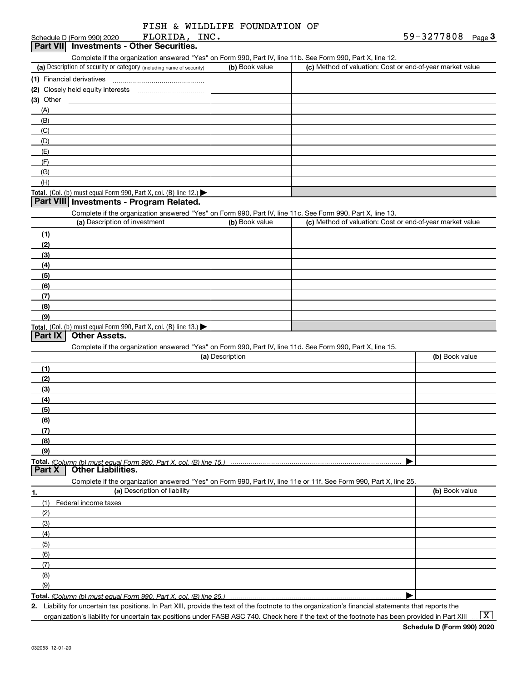| FISH & WILDLIFE FOUNDATION OF |  |
|-------------------------------|--|
|-------------------------------|--|

| ) (Form 990) 2020 |  | FI |  |
|-------------------|--|----|--|
|                   |  |    |  |

| FLORIDA,<br>Schedule D (Form 990) 2020   | INC. |                                                                                                            | 59-3277808 | $P$ aqe $3$ |
|------------------------------------------|------|------------------------------------------------------------------------------------------------------------|------------|-------------|
| Part VII Investments - Other Securities. |      |                                                                                                            |            |             |
|                                          |      | Complete if the organization answered "Yes" on Form 990, Part IV, line 11b, See Form 990, Part X, line 12. |            |             |
|                                          |      |                                                                                                            |            |             |

| (a) Description of security or category (including name of security)                   | (b) Book value | (c) Method of valuation: Cost or end-of-year market value |
|----------------------------------------------------------------------------------------|----------------|-----------------------------------------------------------|
| (1) Financial derivatives                                                              |                |                                                           |
| (2) Closely held equity interests                                                      |                |                                                           |
| $(3)$ Other                                                                            |                |                                                           |
| (A)                                                                                    |                |                                                           |
| (B)                                                                                    |                |                                                           |
| (C)                                                                                    |                |                                                           |
| (D)                                                                                    |                |                                                           |
| (E)                                                                                    |                |                                                           |
| (F)                                                                                    |                |                                                           |
| (G)                                                                                    |                |                                                           |
| (H)                                                                                    |                |                                                           |
| Total. (Col. (b) must equal Form 990, Part X, col. (B) line 12.) $\blacktriangleright$ |                |                                                           |

### **Part VIII Investments - Program Related.**

Complete if the organization answered "Yes" on Form 990, Part IV, line 11c. See Form 990, Part X, line 13.

| (a) Description of investment                                       | (b) Book value | (c) Method of valuation: Cost or end-of-year market value |
|---------------------------------------------------------------------|----------------|-----------------------------------------------------------|
| (1)                                                                 |                |                                                           |
| (2)                                                                 |                |                                                           |
| $\frac{1}{2}$                                                       |                |                                                           |
| (4)                                                                 |                |                                                           |
| (5)                                                                 |                |                                                           |
| (6)                                                                 |                |                                                           |
| (7)                                                                 |                |                                                           |
| (8)                                                                 |                |                                                           |
| (9)                                                                 |                |                                                           |
| Total. (Col. (b) must equal Form 990, Part X, col. (B) line $13.$ ) |                |                                                           |

### **Part IX Other Assets.**

Complete if the organization answered "Yes" on Form 990, Part IV, line 11d. See Form 990, Part X, line 15.

|               | (a) Description                                                                                                   | (b) Book value |
|---------------|-------------------------------------------------------------------------------------------------------------------|----------------|
| (1)           |                                                                                                                   |                |
| (2)           |                                                                                                                   |                |
| (3)           |                                                                                                                   |                |
| (4)           |                                                                                                                   |                |
| (5)           |                                                                                                                   |                |
| (6)           |                                                                                                                   |                |
| (7)           |                                                                                                                   |                |
| (8)           |                                                                                                                   |                |
| (9)           |                                                                                                                   |                |
|               |                                                                                                                   |                |
| <b>Part X</b> | <b>Other Liabilities.</b>                                                                                         |                |
|               | Complete if the organization answered "Yes" on Form 990, Part IV, line 11e or 11f. See Form 990, Part X, line 25. |                |
| 1.            | (a) Description of liability                                                                                      | (b) Book value |
|               | Federal income taxes                                                                                              |                |
| (2)           |                                                                                                                   |                |
| (3)           |                                                                                                                   |                |

| ושו                                                                      |  |
|--------------------------------------------------------------------------|--|
| (4)                                                                      |  |
| (5)                                                                      |  |
| (6)                                                                      |  |
|                                                                          |  |
| (8)                                                                      |  |
| (9)                                                                      |  |
| <b>Total,</b> (Column (b) must equal Form 990, Part X, col. (R) line 25. |  |

**Total.**  *(Column (b) must equal Form 990, Part X, col. (B) line 25.)* 

**2.** Liability for uncertain tax positions. In Part XIII, provide the text of the footnote to the organization's financial statements that reports the

organization's liability for uncertain tax positions under FASB ASC 740. Check here if the text of the footnote has been provided in Part XIII  $\vert$  X  $\vert$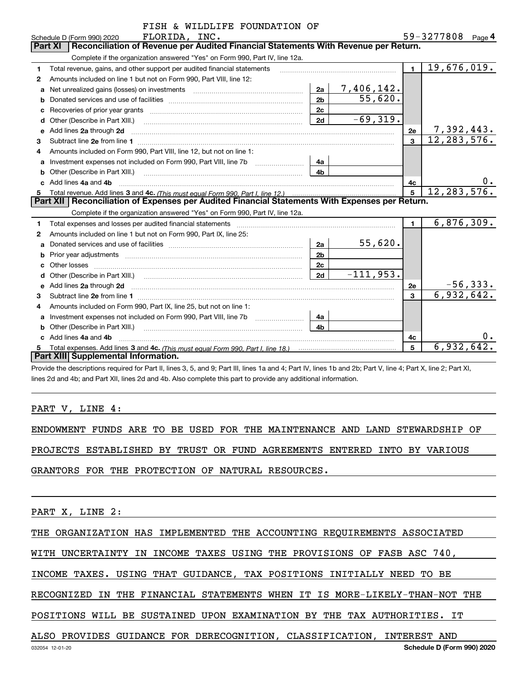|   | FISH & WILDLIFE FOUNDATION OF                                                                                                                                                                                                       |                |                   |                |                   |
|---|-------------------------------------------------------------------------------------------------------------------------------------------------------------------------------------------------------------------------------------|----------------|-------------------|----------------|-------------------|
|   | FLORIDA, INC.<br>Schedule D (Form 990) 2020                                                                                                                                                                                         |                |                   |                | 59-3277808 Page 4 |
|   | Reconciliation of Revenue per Audited Financial Statements With Revenue per Return.<br>Part XI                                                                                                                                      |                |                   |                |                   |
|   | Complete if the organization answered "Yes" on Form 990, Part IV, line 12a.                                                                                                                                                         |                |                   |                |                   |
| 1 | Total revenue, gains, and other support per audited financial statements                                                                                                                                                            |                |                   | $\mathbf{1}$   | 19,676,019.       |
| 2 | Amounts included on line 1 but not on Form 990, Part VIII, line 12:                                                                                                                                                                 |                |                   |                |                   |
| a | Net unrealized gains (losses) on investments [11] matter contracts and the unrealized gains (losses) on investments                                                                                                                 | 2a             | <u>7,406,142.</u> |                |                   |
| b |                                                                                                                                                                                                                                     | 2 <sub>b</sub> | 55,620.           |                |                   |
|   |                                                                                                                                                                                                                                     | 2 <sub>c</sub> |                   |                |                   |
| d |                                                                                                                                                                                                                                     | 2d             | $-69,319.$        |                |                   |
| е | Add lines 2a through 2d                                                                                                                                                                                                             |                |                   | 2e             | 7,392,443.        |
| 3 |                                                                                                                                                                                                                                     |                |                   |                | 12, 283, 576.     |
| 4 | Amounts included on Form 990, Part VIII, line 12, but not on line 1:                                                                                                                                                                |                |                   |                |                   |
| a |                                                                                                                                                                                                                                     | 4a             |                   |                |                   |
| b |                                                                                                                                                                                                                                     | 4b             |                   |                |                   |
|   | Add lines 4a and 4b                                                                                                                                                                                                                 |                |                   | 4с             | 0.                |
| 5 |                                                                                                                                                                                                                                     |                |                   | 5              | 12, 283, 576.     |
|   | Part XII   Reconciliation of Expenses per Audited Financial Statements With Expenses per Return.                                                                                                                                    |                |                   |                |                   |
|   | Complete if the organization answered "Yes" on Form 990, Part IV, line 12a.                                                                                                                                                         |                |                   |                |                   |
| 1 |                                                                                                                                                                                                                                     |                |                   | $\blacksquare$ | 6,876,309.        |
| 2 | Amounts included on line 1 but not on Form 990, Part IX, line 25:                                                                                                                                                                   |                |                   |                |                   |
| a |                                                                                                                                                                                                                                     | 2a             | 55,620.           |                |                   |
| b | Prior year adjustments <i>www.www.www.www.www.www.www.www.www.</i> ww.                                                                                                                                                              | 2 <sub>b</sub> |                   |                |                   |
|   | Other losses                                                                                                                                                                                                                        | 2c             |                   |                |                   |
|   |                                                                                                                                                                                                                                     | 2d             | $-111,953.$       |                |                   |
| е | Add lines 2a through 2d <b>contained a contained a contained a contained a</b> contained a contact the state of the state of the state of the state of the state of the state of the state of the state of the state of the state o |                |                   | 2e             | $-56,333.$        |
| 3 |                                                                                                                                                                                                                                     |                |                   | 3              | 6,932,642.        |
| 4 | Amounts included on Form 990, Part IX, line 25, but not on line 1:                                                                                                                                                                  |                |                   |                |                   |
| a | Investment expenses not included on Form 990, Part VIII, line 7b [11, 111, 111, 111]                                                                                                                                                | 4a             |                   |                |                   |
| b |                                                                                                                                                                                                                                     | 4b             |                   |                |                   |
|   | Add lines 4a and 4b                                                                                                                                                                                                                 |                |                   | 4c             | υ.                |
|   | Part XIII Supplemental Information.                                                                                                                                                                                                 |                |                   | 5              | 6,932,642.        |
|   |                                                                                                                                                                                                                                     |                |                   |                |                   |

Provide the descriptions required for Part II, lines 3, 5, and 9; Part III, lines 1a and 4; Part IV, lines 1b and 2b; Part V, line 4; Part X, line 2; Part XI, lines 2d and 4b; and Part XII, lines 2d and 4b. Also complete this part to provide any additional information.

## PART V, LINE 4:

ENDOWMENT FUNDS ARE TO BE USED FOR THE MAINTENANCE AND LAND STEWARDSHIP OF

PROJECTS ESTABLISHED BY TRUST OR FUND AGREEMENTS ENTERED INTO BY VARIOUS

GRANTORS FOR THE PROTECTION OF NATURAL RESOURCES.

PART X, LINE 2:

THE ORGANIZATION HAS IMPLEMENTED THE ACCOUNTING REQUIREMENTS ASSOCIATED

WITH UNCERTAINTY IN INCOME TAXES USING THE PROVISIONS OF FASB ASC 740,

INCOME TAXES. USING THAT GUIDANCE, TAX POSITIONS INITIALLY NEED TO BE

RECOGNIZED IN THE FINANCIAL STATEMENTS WHEN IT IS MORE-LIKELY-THAN-NOT THE

POSITIONS WILL BE SUSTAINED UPON EXAMINATION BY THE TAX AUTHORITIES. IT

ALSO PROVIDES GUIDANCE FOR DERECOGNITION, CLASSIFICATION, INTEREST AND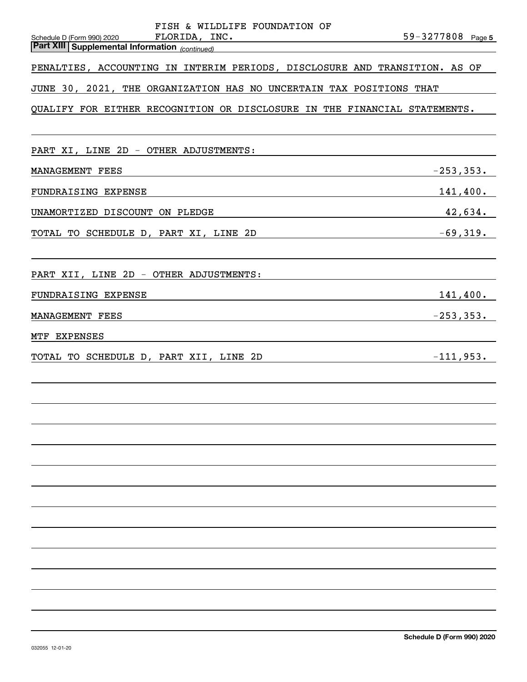| FISH & WILDLIFE FOUNDATION OF                                                                       |                   |
|-----------------------------------------------------------------------------------------------------|-------------------|
| Schedule D (Form 990) 2020 FLORIDA, INC.<br><b>Part XIII   Supplemental Information</b> (continued) | 59-3277808 Page 5 |
|                                                                                                     |                   |
| PENALTIES, ACCOUNTING IN INTERIM PERIODS, DISCLOSURE AND TRANSITION. AS OF                          |                   |
| JUNE 30, 2021, THE ORGANIZATION HAS NO UNCERTAIN TAX POSITIONS THAT                                 |                   |
| QUALIFY FOR EITHER RECOGNITION OR DISCLOSURE IN THE FINANCIAL STATEMENTS.                           |                   |
|                                                                                                     |                   |
|                                                                                                     |                   |
| PART XI, LINE 2D - OTHER ADJUSTMENTS:                                                               |                   |
| MANAGEMENT FEES                                                                                     | $-253, 353.$      |
| FUNDRAISING EXPENSE                                                                                 | $141,400$ .       |
| 42,634.<br>UNAMORTIZED DISCOUNT ON PLEDGE                                                           |                   |
|                                                                                                     |                   |
| $-69,319.$<br>TOTAL TO SCHEDULE D, PART XI, LINE 2D                                                 |                   |
|                                                                                                     |                   |
| PART XII, LINE 2D - OTHER ADJUSTMENTS:                                                              |                   |
| FUNDRAISING EXPENSE<br><u> 1989 - Johann Stoff, amerikansk politiker (d. 1989)</u>                  | 141,400.          |
| MANAGEMENT FEES<br><u> 1989 - Johann Barbara, martxa alemaniar arg</u>                              | $-253, 353.$      |
|                                                                                                     |                   |
| MTF EXPENSES                                                                                        |                   |
| TOTAL TO SCHEDULE D, PART XII, LINE 2D                                                              | $-111,953.$       |
|                                                                                                     |                   |
|                                                                                                     |                   |
|                                                                                                     |                   |
|                                                                                                     |                   |
|                                                                                                     |                   |
|                                                                                                     |                   |
|                                                                                                     |                   |
|                                                                                                     |                   |
|                                                                                                     |                   |
|                                                                                                     |                   |
|                                                                                                     |                   |
|                                                                                                     |                   |
|                                                                                                     |                   |
|                                                                                                     |                   |
|                                                                                                     |                   |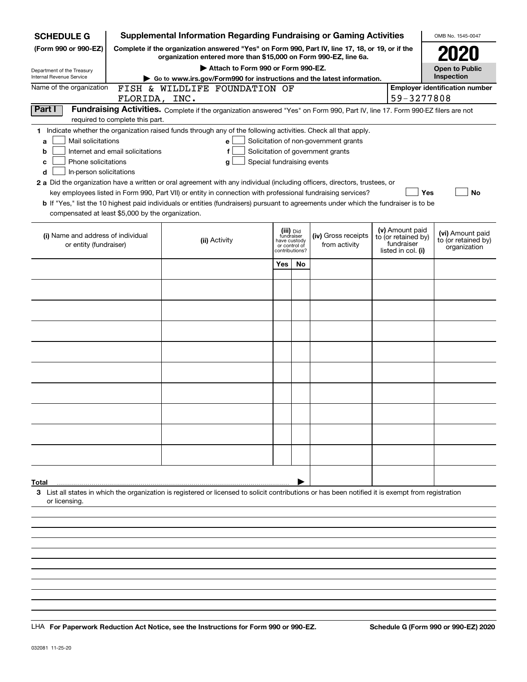| <b>SCHEDULE G</b>                                            |                                  | <b>Supplemental Information Regarding Fundraising or Gaming Activities</b>                                                                                          |                            |                               |           |                                       |                                   | OMB No. 1545-0047                     |
|--------------------------------------------------------------|----------------------------------|---------------------------------------------------------------------------------------------------------------------------------------------------------------------|----------------------------|-------------------------------|-----------|---------------------------------------|-----------------------------------|---------------------------------------|
| (Form 990 or 990-EZ)                                         |                                  | Complete if the organization answered "Yes" on Form 990, Part IV, line 17, 18, or 19, or if the<br>organization entered more than \$15,000 on Form 990-EZ, line 6a. |                            |                               |           |                                       |                                   |                                       |
| Department of the Treasury                                   |                                  | Attach to Form 990 or Form 990-EZ.                                                                                                                                  |                            |                               |           |                                       |                                   | <b>Open to Public</b>                 |
| Internal Revenue Service<br>Name of the organization         |                                  | Go to www.irs.gov/Form990 for instructions and the latest information.                                                                                              |                            |                               |           |                                       |                                   | Inspection                            |
|                                                              | FLORIDA, INC.                    | FISH & WILDLIFE FOUNDATION OF                                                                                                                                       |                            |                               |           |                                       | 59-3277808                        | <b>Employer identification number</b> |
| Part I                                                       |                                  | Fundraising Activities. Complete if the organization answered "Yes" on Form 990, Part IV, line 17. Form 990-EZ filers are not                                       |                            |                               |           |                                       |                                   |                                       |
|                                                              | required to complete this part.  |                                                                                                                                                                     |                            |                               |           |                                       |                                   |                                       |
|                                                              |                                  | 1 Indicate whether the organization raised funds through any of the following activities. Check all that apply.                                                     |                            |                               |           |                                       |                                   |                                       |
| Mail solicitations<br>a                                      |                                  | е                                                                                                                                                                   |                            |                               |           | Solicitation of non-government grants |                                   |                                       |
| b<br>Phone solicitations                                     | Internet and email solicitations | f                                                                                                                                                                   | Special fundraising events |                               |           | Solicitation of government grants     |                                   |                                       |
| с<br>In-person solicitations<br>d                            |                                  | g                                                                                                                                                                   |                            |                               |           |                                       |                                   |                                       |
|                                                              |                                  | 2 a Did the organization have a written or oral agreement with any individual (including officers, directors, trustees, or                                          |                            |                               |           |                                       |                                   |                                       |
|                                                              |                                  | key employees listed in Form 990, Part VII) or entity in connection with professional fundraising services?                                                         |                            |                               |           |                                       | Yes                               | <b>No</b>                             |
|                                                              |                                  | b If "Yes," list the 10 highest paid individuals or entities (fundraisers) pursuant to agreements under which the fundraiser is to be                               |                            |                               |           |                                       |                                   |                                       |
| compensated at least \$5,000 by the organization.            |                                  |                                                                                                                                                                     |                            |                               |           |                                       |                                   |                                       |
|                                                              |                                  |                                                                                                                                                                     |                            | (iii) Did<br>fundraiser       |           |                                       | (v) Amount paid                   | (vi) Amount paid                      |
| (i) Name and address of individual<br>or entity (fundraiser) |                                  | (ii) Activity                                                                                                                                                       |                            | have custody<br>or control of |           | (iv) Gross receipts<br>from activity  | to (or retained by)<br>fundraiser | to (or retained by)<br>organization   |
|                                                              |                                  |                                                                                                                                                                     |                            | contributions?                |           |                                       | listed in col. (i)                |                                       |
|                                                              |                                  |                                                                                                                                                                     |                            | Yes                           | <b>No</b> |                                       |                                   |                                       |
|                                                              |                                  |                                                                                                                                                                     |                            |                               |           |                                       |                                   |                                       |
|                                                              |                                  |                                                                                                                                                                     |                            |                               |           |                                       |                                   |                                       |
|                                                              |                                  |                                                                                                                                                                     |                            |                               |           |                                       |                                   |                                       |
|                                                              |                                  |                                                                                                                                                                     |                            |                               |           |                                       |                                   |                                       |
|                                                              |                                  |                                                                                                                                                                     |                            |                               |           |                                       |                                   |                                       |
|                                                              |                                  |                                                                                                                                                                     |                            |                               |           |                                       |                                   |                                       |
|                                                              |                                  |                                                                                                                                                                     |                            |                               |           |                                       |                                   |                                       |
|                                                              |                                  |                                                                                                                                                                     |                            |                               |           |                                       |                                   |                                       |
|                                                              |                                  |                                                                                                                                                                     |                            |                               |           |                                       |                                   |                                       |
|                                                              |                                  |                                                                                                                                                                     |                            |                               |           |                                       |                                   |                                       |
|                                                              |                                  |                                                                                                                                                                     |                            |                               |           |                                       |                                   |                                       |
|                                                              |                                  |                                                                                                                                                                     |                            |                               |           |                                       |                                   |                                       |
|                                                              |                                  |                                                                                                                                                                     |                            |                               |           |                                       |                                   |                                       |
|                                                              |                                  |                                                                                                                                                                     |                            |                               |           |                                       |                                   |                                       |
|                                                              |                                  |                                                                                                                                                                     |                            |                               |           |                                       |                                   |                                       |
|                                                              |                                  |                                                                                                                                                                     |                            |                               |           |                                       |                                   |                                       |
| Total                                                        |                                  |                                                                                                                                                                     |                            |                               |           |                                       |                                   |                                       |
|                                                              |                                  | 3 List all states in which the organization is registered or licensed to solicit contributions or has been notified it is exempt from registration                  |                            |                               |           |                                       |                                   |                                       |
| or licensing.                                                |                                  |                                                                                                                                                                     |                            |                               |           |                                       |                                   |                                       |
|                                                              |                                  |                                                                                                                                                                     |                            |                               |           |                                       |                                   |                                       |
|                                                              |                                  |                                                                                                                                                                     |                            |                               |           |                                       |                                   |                                       |
|                                                              |                                  |                                                                                                                                                                     |                            |                               |           |                                       |                                   |                                       |

LHA For Paperwork Reduction Act Notice, see the Instructions for Form 990 or 990-EZ. Schedule G (Form 990 or 990-EZ) 2020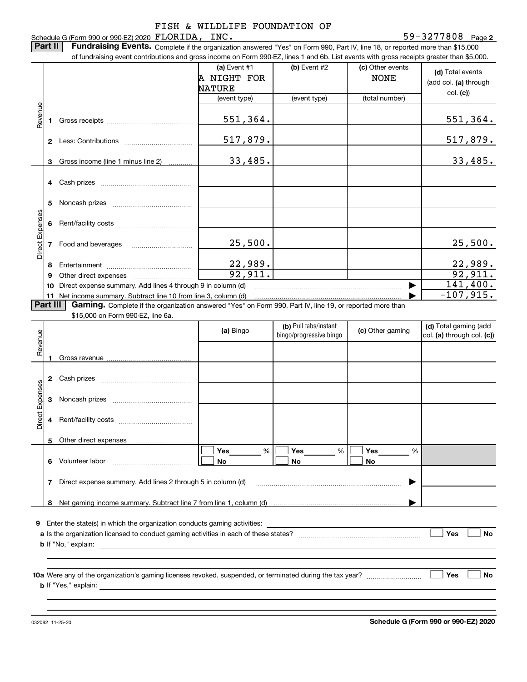|                 |                                                                  | of fundraising event contributions and gross income on Form 990-EZ, lines 1 and 6b. List events with gross receipts greater than \$5,000.<br>(a) Event #1<br>A NIGHT FOR | (b) Event #2                                     | (c) Other events<br><b>NONE</b> | (d) Total events                                    |
|-----------------|------------------------------------------------------------------|--------------------------------------------------------------------------------------------------------------------------------------------------------------------------|--------------------------------------------------|---------------------------------|-----------------------------------------------------|
|                 |                                                                  | <b>NATURE</b>                                                                                                                                                            |                                                  |                                 | (add col. (a) through<br>col. (c)                   |
|                 |                                                                  | (event type)                                                                                                                                                             | (event type)                                     | (total number)                  |                                                     |
| Revenue         | 1                                                                | 551,364.                                                                                                                                                                 |                                                  |                                 | 551,364.                                            |
|                 |                                                                  | 517,879.                                                                                                                                                                 |                                                  |                                 | 517,879.                                            |
|                 | Gross income (line 1 minus line 2)<br>3                          | 33,485.                                                                                                                                                                  |                                                  |                                 | 33,485.                                             |
|                 |                                                                  |                                                                                                                                                                          |                                                  |                                 |                                                     |
|                 | 5                                                                |                                                                                                                                                                          |                                                  |                                 |                                                     |
| Direct Expenses | 6                                                                |                                                                                                                                                                          |                                                  |                                 |                                                     |
|                 | 7                                                                | 25,500.                                                                                                                                                                  |                                                  |                                 | 25,500.                                             |
|                 | 8                                                                |                                                                                                                                                                          |                                                  |                                 | 22,989.                                             |
|                 | 9                                                                | $\frac{22,989}{92,911}.$                                                                                                                                                 |                                                  |                                 | 92,911.<br>141,400.                                 |
|                 |                                                                  |                                                                                                                                                                          |                                                  |                                 | $-107,915.$                                         |
|                 | Part III<br>\$15,000 on Form 990-EZ, line 6a.                    | Gaming. Complete if the organization answered "Yes" on Form 990, Part IV, line 19, or reported more than                                                                 |                                                  |                                 |                                                     |
| Revenue         |                                                                  | (a) Bingo                                                                                                                                                                | (b) Pull tabs/instant<br>bingo/progressive bingo | (c) Other gaming                | (d) Total gaming (add<br>col. (a) through col. (c)) |
|                 |                                                                  |                                                                                                                                                                          |                                                  |                                 |                                                     |
|                 |                                                                  |                                                                                                                                                                          |                                                  |                                 |                                                     |
| es              |                                                                  |                                                                                                                                                                          |                                                  |                                 |                                                     |
|                 | 3                                                                |                                                                                                                                                                          |                                                  |                                 |                                                     |
|                 | 4                                                                |                                                                                                                                                                          |                                                  |                                 |                                                     |
| Direct Expens   |                                                                  |                                                                                                                                                                          |                                                  |                                 |                                                     |
|                 | 6 Volunteer labor                                                | %<br>Yes<br>No.                                                                                                                                                          | Yes<br>%<br>No                                   | Yes<br>%<br>No                  |                                                     |
|                 |                                                                  |                                                                                                                                                                          |                                                  |                                 |                                                     |
|                 | Direct expense summary. Add lines 2 through 5 in column (d)<br>7 |                                                                                                                                                                          |                                                  | ▶                               |                                                     |
|                 | 8                                                                |                                                                                                                                                                          |                                                  |                                 |                                                     |
| 9               |                                                                  |                                                                                                                                                                          |                                                  |                                 |                                                     |
|                 |                                                                  |                                                                                                                                                                          |                                                  |                                 | Yes<br><b>No</b>                                    |

032082 11-25-20

**Schedule G (Form 990 or 990-EZ) 2020**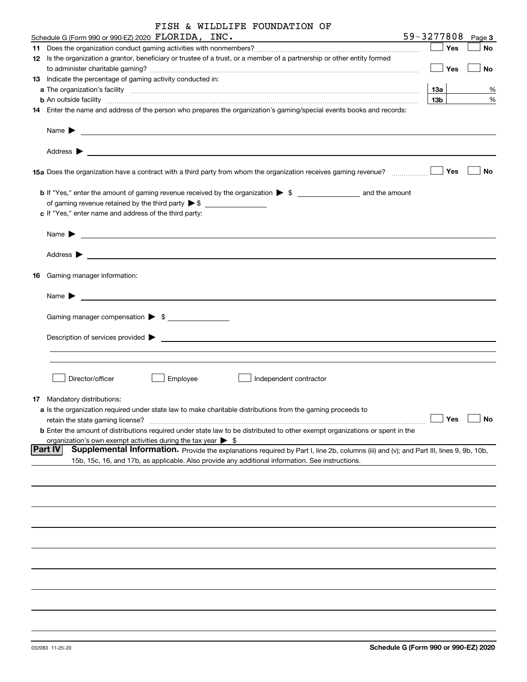| FISH & WILDLIFE FOUNDATION OF |  |  |  |  |
|-------------------------------|--|--|--|--|
|-------------------------------|--|--|--|--|

| Schedule G (Form 990 or 990-EZ) 2020 FLORIDA, INC.                                                                                                                                                                                        | 59-3277808      | Page 3    |
|-------------------------------------------------------------------------------------------------------------------------------------------------------------------------------------------------------------------------------------------|-----------------|-----------|
|                                                                                                                                                                                                                                           | Yes             | No        |
| 12 Is the organization a grantor, beneficiary or trustee of a trust, or a member of a partnership or other entity formed                                                                                                                  |                 |           |
|                                                                                                                                                                                                                                           | Yes             | No        |
| 13 Indicate the percentage of gaming activity conducted in:                                                                                                                                                                               |                 |           |
|                                                                                                                                                                                                                                           | 1За             | %         |
| <b>b</b> An outside facility <b>contained a contract and a contract of the contract of the contract of the contract of the contract of the contract of the contract of the contract of the contract of the contract of the contract o</b> | 13 <sub>b</sub> | %         |
| 14 Enter the name and address of the person who prepares the organization's gaming/special events books and records:                                                                                                                      |                 |           |
|                                                                                                                                                                                                                                           |                 |           |
| Address $\blacktriangleright$                                                                                                                                                                                                             |                 |           |
| 15a Does the organization have a contract with a third party from whom the organization receives gaming revenue?                                                                                                                          | Yes             | No        |
| <b>b</b> If "Yes," enter the amount of gaming revenue received by the organization $\triangleright$ \$                                                                                                                                    |                 |           |
|                                                                                                                                                                                                                                           |                 |           |
| c If "Yes," enter name and address of the third party:                                                                                                                                                                                    |                 |           |
|                                                                                                                                                                                                                                           |                 |           |
| Name $\blacktriangleright$<br><u> 1989 - Johann Stein, mars an deutscher Stein und der Stein und der Stein und der Stein und der Stein und der</u>                                                                                        |                 |           |
|                                                                                                                                                                                                                                           |                 |           |
| 16 Gaming manager information:                                                                                                                                                                                                            |                 |           |
| <u> 1989 - Johann Barbara, martin amerikan basal dan berasal dan berasal dalam basal dalam basal dalam basal dala</u><br>Name $\blacktriangleright$                                                                                       |                 |           |
| Gaming manager compensation > \$                                                                                                                                                                                                          |                 |           |
|                                                                                                                                                                                                                                           |                 |           |
| $Description of services provided$ $\triangleright$                                                                                                                                                                                       |                 |           |
|                                                                                                                                                                                                                                           |                 |           |
|                                                                                                                                                                                                                                           |                 |           |
| Director/officer<br>Employee<br>Independent contractor                                                                                                                                                                                    |                 |           |
| 17 Mandatory distributions:                                                                                                                                                                                                               |                 |           |
| a Is the organization required under state law to make charitable distributions from the gaming proceeds to                                                                                                                               |                 |           |
| retain the state gaming license?                                                                                                                                                                                                          | $\Box$ Yes      | $\Box$ No |
| <b>b</b> Enter the amount of distributions required under state law to be distributed to other exempt organizations or spent in the                                                                                                       |                 |           |
| organization's own exempt activities during the tax year $\triangleright$ \$                                                                                                                                                              |                 |           |
| Part IV<br>Supplemental Information. Provide the explanations required by Part I, line 2b, columns (iii) and (v); and Part III, lines 9, 9b, 10b,                                                                                         |                 |           |
| 15b, 15c, 16, and 17b, as applicable. Also provide any additional information. See instructions.                                                                                                                                          |                 |           |
|                                                                                                                                                                                                                                           |                 |           |
|                                                                                                                                                                                                                                           |                 |           |
|                                                                                                                                                                                                                                           |                 |           |
|                                                                                                                                                                                                                                           |                 |           |
|                                                                                                                                                                                                                                           |                 |           |
|                                                                                                                                                                                                                                           |                 |           |
|                                                                                                                                                                                                                                           |                 |           |
|                                                                                                                                                                                                                                           |                 |           |
|                                                                                                                                                                                                                                           |                 |           |
|                                                                                                                                                                                                                                           |                 |           |
|                                                                                                                                                                                                                                           |                 |           |
|                                                                                                                                                                                                                                           |                 |           |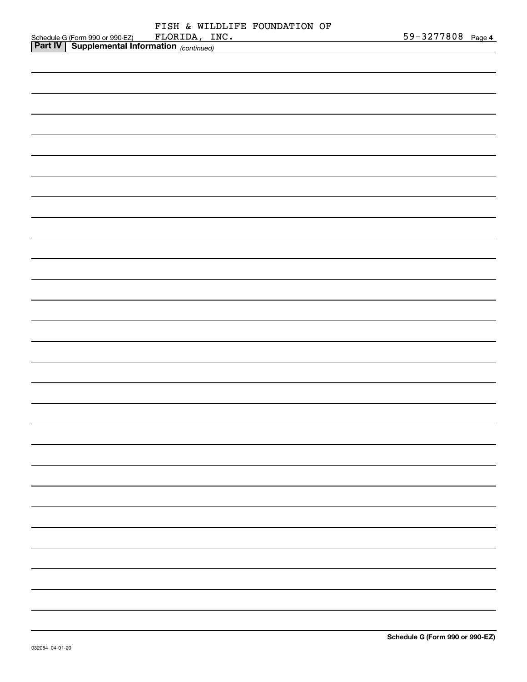|    |  |               | FISH & WILDLIFE FOUNDATION OF |  |
|----|--|---------------|-------------------------------|--|
| Z) |  | FLORIDA, INC. |                               |  |

| Schedule G (Form 990 or 990-EZ) FLORIDA, INC.<br>Part IV Supplemental Information (continued) |  |  |  |  | 59-3277808 Page 4 |  |
|-----------------------------------------------------------------------------------------------|--|--|--|--|-------------------|--|
|                                                                                               |  |  |  |  |                   |  |
|                                                                                               |  |  |  |  |                   |  |
|                                                                                               |  |  |  |  |                   |  |
|                                                                                               |  |  |  |  |                   |  |
|                                                                                               |  |  |  |  |                   |  |
|                                                                                               |  |  |  |  |                   |  |
|                                                                                               |  |  |  |  |                   |  |
|                                                                                               |  |  |  |  |                   |  |
|                                                                                               |  |  |  |  |                   |  |
|                                                                                               |  |  |  |  |                   |  |
|                                                                                               |  |  |  |  |                   |  |
|                                                                                               |  |  |  |  |                   |  |
|                                                                                               |  |  |  |  |                   |  |
|                                                                                               |  |  |  |  |                   |  |
|                                                                                               |  |  |  |  |                   |  |
|                                                                                               |  |  |  |  |                   |  |
|                                                                                               |  |  |  |  |                   |  |
|                                                                                               |  |  |  |  |                   |  |
|                                                                                               |  |  |  |  |                   |  |
|                                                                                               |  |  |  |  |                   |  |
|                                                                                               |  |  |  |  |                   |  |
|                                                                                               |  |  |  |  |                   |  |
|                                                                                               |  |  |  |  |                   |  |
|                                                                                               |  |  |  |  |                   |  |
|                                                                                               |  |  |  |  |                   |  |
|                                                                                               |  |  |  |  |                   |  |
|                                                                                               |  |  |  |  |                   |  |
|                                                                                               |  |  |  |  |                   |  |
|                                                                                               |  |  |  |  |                   |  |
|                                                                                               |  |  |  |  |                   |  |
|                                                                                               |  |  |  |  |                   |  |
|                                                                                               |  |  |  |  |                   |  |
|                                                                                               |  |  |  |  |                   |  |
|                                                                                               |  |  |  |  |                   |  |
|                                                                                               |  |  |  |  |                   |  |
|                                                                                               |  |  |  |  |                   |  |
|                                                                                               |  |  |  |  |                   |  |
|                                                                                               |  |  |  |  |                   |  |
|                                                                                               |  |  |  |  |                   |  |
|                                                                                               |  |  |  |  |                   |  |
|                                                                                               |  |  |  |  |                   |  |
|                                                                                               |  |  |  |  |                   |  |
|                                                                                               |  |  |  |  |                   |  |
|                                                                                               |  |  |  |  |                   |  |
|                                                                                               |  |  |  |  |                   |  |
|                                                                                               |  |  |  |  |                   |  |
|                                                                                               |  |  |  |  |                   |  |
|                                                                                               |  |  |  |  |                   |  |
|                                                                                               |  |  |  |  |                   |  |
|                                                                                               |  |  |  |  |                   |  |
|                                                                                               |  |  |  |  |                   |  |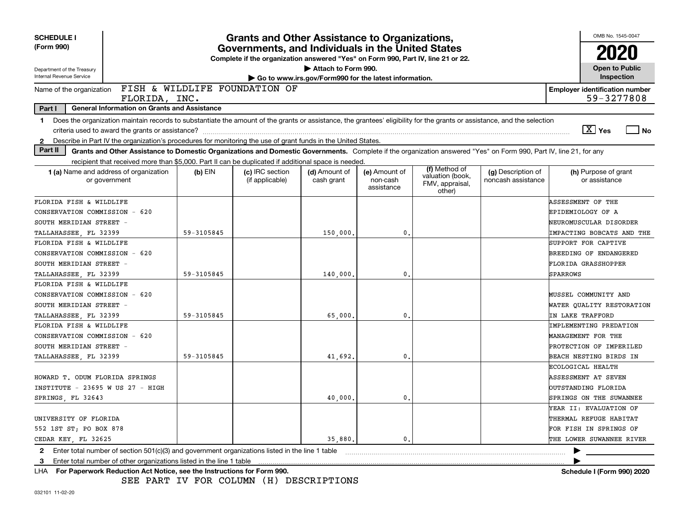| <b>SCHEDULE I</b>                                                                                                                                                              |            | <b>Grants and Other Assistance to Organizations,</b>                                                                                  |                                                                              |                                         |                                                                |                                          | OMB No. 1545-0047                                   |
|--------------------------------------------------------------------------------------------------------------------------------------------------------------------------------|------------|---------------------------------------------------------------------------------------------------------------------------------------|------------------------------------------------------------------------------|-----------------------------------------|----------------------------------------------------------------|------------------------------------------|-----------------------------------------------------|
| (Form 990)                                                                                                                                                                     |            | Governments, and Individuals in the United States<br>Complete if the organization answered "Yes" on Form 990, Part IV, line 21 or 22. |                                                                              |                                         |                                                                |                                          |                                                     |
| Department of the Treasury<br>Internal Revenue Service                                                                                                                         |            |                                                                                                                                       | Attach to Form 990.<br>Go to www.irs.gov/Form990 for the latest information. |                                         |                                                                |                                          | <b>Open to Public</b><br>Inspection                 |
| Name of the organization<br>FLORIDA, INC.                                                                                                                                      |            | FISH & WILDLIFE FOUNDATION OF                                                                                                         |                                                                              |                                         |                                                                |                                          | <b>Employer identification number</b><br>59-3277808 |
| Part I<br><b>General Information on Grants and Assistance</b>                                                                                                                  |            |                                                                                                                                       |                                                                              |                                         |                                                                |                                          |                                                     |
| Does the organization maintain records to substantiate the amount of the grants or assistance, the grantees' eligibility for the grants or assistance, and the selection<br>1. |            |                                                                                                                                       |                                                                              |                                         |                                                                |                                          |                                                     |
|                                                                                                                                                                                |            |                                                                                                                                       |                                                                              |                                         |                                                                |                                          | $\sqrt{X}$ Yes<br>l No                              |
| Describe in Part IV the organization's procedures for monitoring the use of grant funds in the United States.<br>2                                                             |            |                                                                                                                                       |                                                                              |                                         |                                                                |                                          |                                                     |
| Part II<br>Grants and Other Assistance to Domestic Organizations and Domestic Governments. Complete if the organization answered "Yes" on Form 990, Part IV, line 21, for any  |            |                                                                                                                                       |                                                                              |                                         |                                                                |                                          |                                                     |
| recipient that received more than \$5,000. Part II can be duplicated if additional space is needed.                                                                            |            |                                                                                                                                       |                                                                              |                                         |                                                                |                                          |                                                     |
| 1 (a) Name and address of organization<br>or government                                                                                                                        | $(b)$ EIN  | (c) IRC section<br>(if applicable)                                                                                                    | (d) Amount of<br>cash grant                                                  | (e) Amount of<br>non-cash<br>assistance | (f) Method of<br>valuation (book,<br>FMV, appraisal,<br>other) | (g) Description of<br>noncash assistance | (h) Purpose of grant<br>or assistance               |
| FLORIDA FISH & WILDLIFE                                                                                                                                                        |            |                                                                                                                                       |                                                                              |                                         |                                                                |                                          | ASSESSMENT OF THE                                   |
| CONSERVATION COMMISSION - 620                                                                                                                                                  |            |                                                                                                                                       |                                                                              |                                         |                                                                |                                          | EPIDEMIOLOGY OF A                                   |
| SOUTH MERIDIAN STREET -                                                                                                                                                        |            |                                                                                                                                       |                                                                              |                                         |                                                                |                                          | NEUROMUSCULAR DISORDER                              |
| TALLAHASSEE, FL 32399                                                                                                                                                          | 59-3105845 |                                                                                                                                       | 150,000                                                                      | 0.                                      |                                                                |                                          | IMPACTING BOBCATS AND THE                           |
| FLORIDA FISH & WILDLIFE                                                                                                                                                        |            |                                                                                                                                       |                                                                              |                                         |                                                                |                                          | SUPPORT FOR CAPTIVE                                 |
| CONSERVATION COMMISSION - 620                                                                                                                                                  |            |                                                                                                                                       |                                                                              |                                         |                                                                |                                          | BREEDING OF ENDANGERED                              |
| SOUTH MERIDIAN STREET -                                                                                                                                                        |            |                                                                                                                                       |                                                                              |                                         |                                                                |                                          | FLORIDA GRASSHOPPER                                 |
| TALLAHASSEE, FL 32399                                                                                                                                                          | 59-3105845 |                                                                                                                                       | 140,000                                                                      | 0.                                      |                                                                |                                          | <b>SPARROWS</b>                                     |
| FLORIDA FISH & WILDLIFE                                                                                                                                                        |            |                                                                                                                                       |                                                                              |                                         |                                                                |                                          |                                                     |
| CONSERVATION COMMISSION - 620                                                                                                                                                  |            |                                                                                                                                       |                                                                              |                                         |                                                                |                                          | MUSSEL COMMUNITY AND                                |
| SOUTH MERIDIAN STREET -                                                                                                                                                        |            |                                                                                                                                       |                                                                              |                                         |                                                                |                                          | WATER QUALITY RESTORATION                           |
| TALLAHASSEE FL 32399                                                                                                                                                           | 59-3105845 |                                                                                                                                       | 65,000                                                                       | $\mathbf{0}$ .                          |                                                                |                                          | IN LAKE TRAFFORD                                    |
| FLORIDA FISH & WILDLIFE                                                                                                                                                        |            |                                                                                                                                       |                                                                              |                                         |                                                                |                                          | IMPLEMENTING PREDATION                              |
| CONSERVATION COMMISSION - 620                                                                                                                                                  |            |                                                                                                                                       |                                                                              |                                         |                                                                |                                          | MANAGEMENT FOR THE                                  |
| SOUTH MERIDIAN STREET -                                                                                                                                                        |            |                                                                                                                                       |                                                                              |                                         |                                                                |                                          | PROTECTION OF IMPERILED                             |
| TALLAHASSEE, FL 32399                                                                                                                                                          | 59-3105845 |                                                                                                                                       | 41,692.                                                                      | 0.                                      |                                                                |                                          | BEACH NESTING BIRDS IN                              |
|                                                                                                                                                                                |            |                                                                                                                                       |                                                                              |                                         |                                                                |                                          | ECOLOGICAL HEALTH                                   |
| HOWARD T. ODUM FLORIDA SPRINGS                                                                                                                                                 |            |                                                                                                                                       |                                                                              |                                         |                                                                |                                          | ASSESSMENT AT SEVEN                                 |
| INSTITUTE - 23695 W US 27 - HIGH                                                                                                                                               |            |                                                                                                                                       |                                                                              |                                         |                                                                |                                          | OUTSTANDING FLORIDA                                 |
| SPRINGS, FL 32643                                                                                                                                                              |            |                                                                                                                                       | 40,000                                                                       | 0.                                      |                                                                |                                          | <b>SPRINGS ON THE SUWANNEE</b>                      |
|                                                                                                                                                                                |            |                                                                                                                                       |                                                                              |                                         |                                                                |                                          | YEAR II: EVALUATION OF                              |
| UNIVERSITY OF FLORIDA                                                                                                                                                          |            |                                                                                                                                       |                                                                              |                                         |                                                                |                                          | THERMAL REFUGE HABITAT                              |
| 552 1ST ST; PO BOX 878                                                                                                                                                         |            |                                                                                                                                       |                                                                              |                                         |                                                                |                                          | FOR FISH IN SPRINGS OF                              |
| CEDAR KEY, FL 32625                                                                                                                                                            |            |                                                                                                                                       | 35,880.                                                                      | 0.                                      |                                                                |                                          | THE LOWER SUWANNEE RIVER                            |
| Enter total number of section $501(c)(3)$ and government organizations listed in the line 1 table<br>$\mathbf{2}$                                                              |            |                                                                                                                                       |                                                                              |                                         |                                                                |                                          |                                                     |
| Enter total number of other organizations listed in the line 1 table<br>3                                                                                                      |            |                                                                                                                                       |                                                                              |                                         |                                                                |                                          |                                                     |
| LHA For Paperwork Reduction Act Notice, see the Instructions for Form 990.                                                                                                     |            |                                                                                                                                       |                                                                              |                                         |                                                                |                                          | Schedule I (Form 990) 2020                          |

SEE PART IV FOR COLUMN (H) DESCRIPTIONS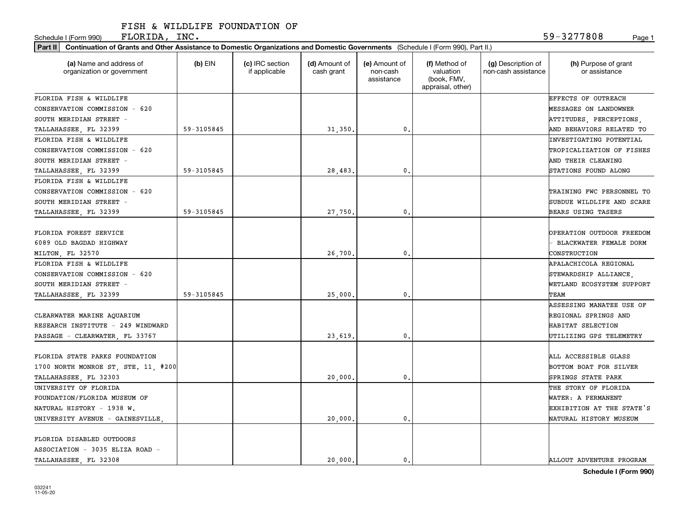Schedule I (Form 990) Page 1 FLORIDA, INC. 59-3277808

| Part II   Continuation of Grants and Other Assistance to Domestic Organizations and Domestic Governments (Schedule I (Form 990), Part II.) |            |                                  |                             |                                         |                                                                |                                           |                                       |
|--------------------------------------------------------------------------------------------------------------------------------------------|------------|----------------------------------|-----------------------------|-----------------------------------------|----------------------------------------------------------------|-------------------------------------------|---------------------------------------|
| (a) Name and address of<br>organization or government                                                                                      | $(b)$ EIN  | (c) IRC section<br>if applicable | (d) Amount of<br>cash grant | (e) Amount of<br>non-cash<br>assistance | (f) Method of<br>valuation<br>(book, FMV,<br>appraisal, other) | (g) Description of<br>non-cash assistance | (h) Purpose of grant<br>or assistance |
| FLORIDA FISH & WILDLIFE                                                                                                                    |            |                                  |                             |                                         |                                                                |                                           | <b>EFFECTS OF OUTREACH</b>            |
| CONSERVATION COMMISSION - 620                                                                                                              |            |                                  |                             |                                         |                                                                |                                           | <b>MESSAGES ON LANDOWNER</b>          |
| SOUTH MERIDIAN STREET -                                                                                                                    |            |                                  |                             |                                         |                                                                |                                           | ATTITUDES, PERCEPTIONS,               |
| TALLAHASSEE, FL 32399                                                                                                                      | 59-3105845 |                                  | 31,350.                     | $\mathbf{0}$ .                          |                                                                |                                           | AND BEHAVIORS RELATED TO              |
| FLORIDA FISH & WILDLIFE                                                                                                                    |            |                                  |                             |                                         |                                                                |                                           | INVESTIGATING POTENTIAL               |
| CONSERVATION COMMISSION - 620                                                                                                              |            |                                  |                             |                                         |                                                                |                                           | TROPICALIZATION OF FISHES             |
| SOUTH MERIDIAN STREET -                                                                                                                    |            |                                  |                             |                                         |                                                                |                                           | AND THEIR CLEANING                    |
| TALLAHASSEE, FL 32399                                                                                                                      | 59-3105845 |                                  | 28,483                      | $\mathbf 0$ .                           |                                                                |                                           | STATIONS FOUND ALONG                  |
| FLORIDA FISH & WILDLIFE                                                                                                                    |            |                                  |                             |                                         |                                                                |                                           |                                       |
| CONSERVATION COMMISSION - 620                                                                                                              |            |                                  |                             |                                         |                                                                |                                           | TRAINING FWC PERSONNEL TO             |
| SOUTH MERIDIAN STREET -                                                                                                                    |            |                                  |                             |                                         |                                                                |                                           | SUBDUE WILDLIFE AND SCARE             |
| TALLAHASSEE, FL 32399                                                                                                                      | 59-3105845 |                                  | 27,750                      | $\mathfrak{o}$ .                        |                                                                |                                           | BEARS USING TASERS                    |
|                                                                                                                                            |            |                                  |                             |                                         |                                                                |                                           |                                       |
| FLORIDA FOREST SERVICE                                                                                                                     |            |                                  |                             |                                         |                                                                |                                           | OPERATION OUTDOOR FREEDOM             |
| 6089 OLD BAGDAD HIGHWAY                                                                                                                    |            |                                  |                             |                                         |                                                                |                                           | BLACKWATER FEMALE DORM                |
| MILTON, FL 32570                                                                                                                           |            |                                  | 26,700                      | $\mathbf{0}$                            |                                                                |                                           | CONSTRUCTION                          |
| FLORIDA FISH & WILDLIFE                                                                                                                    |            |                                  |                             |                                         |                                                                |                                           | APALACHICOLA REGIONAL                 |
| CONSERVATION COMMISSION - 620                                                                                                              |            |                                  |                             |                                         |                                                                |                                           | STEWARDSHIP ALLIANCE.                 |
| SOUTH MERIDIAN STREET -                                                                                                                    |            |                                  |                             |                                         |                                                                |                                           | WETLAND ECOSYSTEM SUPPORT             |
| TALLAHASSEE, FL 32399                                                                                                                      | 59-3105845 |                                  | 25,000                      | 0.                                      |                                                                |                                           | ГЕАМ                                  |
|                                                                                                                                            |            |                                  |                             |                                         |                                                                |                                           | <b>ASSESSING MANATEE USE OF</b>       |
| CLEARWATER MARINE AQUARIUM                                                                                                                 |            |                                  |                             |                                         |                                                                |                                           | REGIONAL SPRINGS AND                  |
| RESEARCH INSTITUTE - 249 WINDWARD                                                                                                          |            |                                  |                             |                                         |                                                                |                                           | HABITAT SELECTION                     |
| PASSAGE - CLEARWATER, FL 33767                                                                                                             |            |                                  | 23,619                      | $\mathbf{0}$                            |                                                                |                                           | UTILIZING GPS TELEMETRY               |
|                                                                                                                                            |            |                                  |                             |                                         |                                                                |                                           |                                       |
| FLORIDA STATE PARKS FOUNDATION                                                                                                             |            |                                  |                             |                                         |                                                                |                                           | ALL ACCESSIBLE GLASS                  |
| 1700 NORTH MONROE ST, STE. 11, #200                                                                                                        |            |                                  |                             |                                         |                                                                |                                           | BOTTOM BOAT FOR SILVER                |
|                                                                                                                                            |            |                                  |                             | $\mathfrak{o}$ .                        |                                                                |                                           | SPRINGS STATE PARK                    |
| TALLAHASSEE, FL 32303                                                                                                                      |            |                                  | 20,000                      |                                         |                                                                |                                           |                                       |
| UNIVERSITY OF FLORIDA                                                                                                                      |            |                                  |                             |                                         |                                                                |                                           | THE STORY OF FLORIDA                  |
| FOUNDATION/FLORIDA MUSEUM OF                                                                                                               |            |                                  |                             |                                         |                                                                |                                           | WATER: A PERMANENT                    |
| NATURAL HISTORY - 1938 W.                                                                                                                  |            |                                  |                             |                                         |                                                                |                                           | EXHIBITION AT THE STATE'S             |
| UNIVERSITY AVENUE - GAINESVILLE                                                                                                            |            |                                  | 20,000                      | $\mathbf{0}$                            |                                                                |                                           | NATURAL HISTORY MUSEUM                |
|                                                                                                                                            |            |                                  |                             |                                         |                                                                |                                           |                                       |
| FLORIDA DISABLED OUTDOORS                                                                                                                  |            |                                  |                             |                                         |                                                                |                                           |                                       |
| ASSOCIATION - 3035 ELIZA ROAD -                                                                                                            |            |                                  |                             |                                         |                                                                |                                           |                                       |
| TALLAHASSEE FL 32308                                                                                                                       |            |                                  | 20,000.                     | $\mathbf{0}$ .                          |                                                                |                                           | ALLOUT ADVENTURE PROGRAM              |

**Schedule I (Form 990)**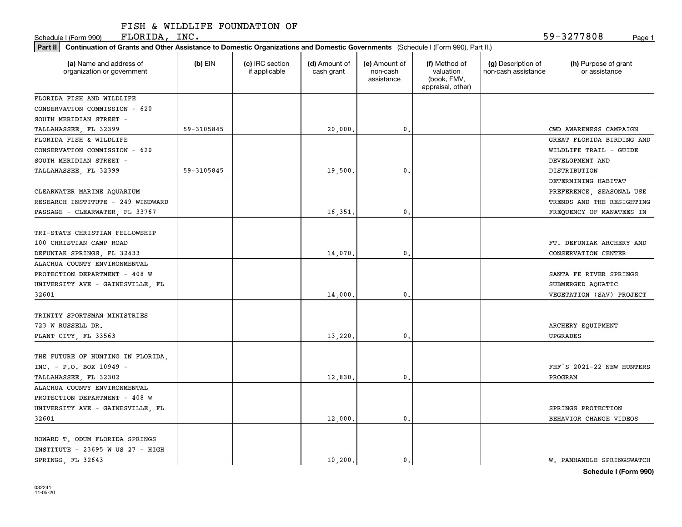Schedule I (Form 990) Page 1  $\tt FLORIDA$ , INC.  $\tt 59-3277808$ 

| Part II   Continuation of Grants and Other Assistance to Domestic Organizations and Domestic Governments (Schedule I (Form 990), Part II.) |            |                                  |                             |                                         |                                                                |                                           |                                                 |
|--------------------------------------------------------------------------------------------------------------------------------------------|------------|----------------------------------|-----------------------------|-----------------------------------------|----------------------------------------------------------------|-------------------------------------------|-------------------------------------------------|
| (a) Name and address of<br>organization or government                                                                                      | $(b)$ EIN  | (c) IRC section<br>if applicable | (d) Amount of<br>cash grant | (e) Amount of<br>non-cash<br>assistance | (f) Method of<br>valuation<br>(book, FMV,<br>appraisal, other) | (g) Description of<br>non-cash assistance | (h) Purpose of grant<br>or assistance           |
| FLORIDA FISH AND WILDLIFE                                                                                                                  |            |                                  |                             |                                         |                                                                |                                           |                                                 |
| CONSERVATION COMMISSION - 620                                                                                                              |            |                                  |                             |                                         |                                                                |                                           |                                                 |
| SOUTH MERIDIAN STREET -                                                                                                                    |            |                                  |                             |                                         |                                                                |                                           |                                                 |
| TALLAHASSEE, FL 32399                                                                                                                      | 59-3105845 |                                  | 20,000,                     | $\mathbf{0}$                            |                                                                |                                           | CWD AWARENESS CAMPAIGN                          |
| FLORIDA FISH & WILDLIFE                                                                                                                    |            |                                  |                             |                                         |                                                                |                                           | GREAT FLORIDA BIRDING AND                       |
| CONSERVATION COMMISSION - 620                                                                                                              |            |                                  |                             |                                         |                                                                |                                           | WILDLIFE TRAIL - GUIDE                          |
| SOUTH MERIDIAN STREET -                                                                                                                    |            |                                  |                             |                                         |                                                                |                                           | DEVELOPMENT AND                                 |
| TALLAHASSEE, FL 32399                                                                                                                      | 59-3105845 |                                  | 19,500                      | $\mathbf{0}$                            |                                                                |                                           | DISTRIBUTION                                    |
|                                                                                                                                            |            |                                  |                             |                                         |                                                                |                                           | DETERMINING HABITAT                             |
| CLEARWATER MARINE AQUARIUM                                                                                                                 |            |                                  |                             |                                         |                                                                |                                           | PREFERENCE, SEASONAL USE                        |
| RESEARCH INSTITUTE - 249 WINDWARD                                                                                                          |            |                                  |                             |                                         |                                                                |                                           | TRENDS AND THE RESIGHTING                       |
| PASSAGE - CLEARWATER, FL 33767                                                                                                             |            |                                  | 16,351                      | $\mathfrak o$ .                         |                                                                |                                           | FREQUENCY OF MANATEES IN                        |
| TRI-STATE CHRISTIAN FELLOWSHIP<br>100 CHRISTIAN CAMP ROAD<br>DEFUNIAK SPRINGS, FL 32433                                                    |            |                                  | 14,070                      | $\mathbf{0}$                            |                                                                |                                           | FT. DEFUNIAK ARCHERY AND<br>CONSERVATION CENTER |
| ALACHUA COUNTY ENVIRONMENTAL                                                                                                               |            |                                  |                             |                                         |                                                                |                                           |                                                 |
| PROTECTION DEPARTMENT - 408 W                                                                                                              |            |                                  |                             |                                         |                                                                |                                           | SANTA FE RIVER SPRINGS                          |
| UNIVERSITY AVE - GAINESVILLE, FL                                                                                                           |            |                                  |                             |                                         |                                                                |                                           | SUBMERGED AQUATIC                               |
| 32601                                                                                                                                      |            |                                  | 14,000                      | 0                                       |                                                                |                                           | VEGETATION (SAV) PROJECT                        |
| TRINITY SPORTSMAN MINISTRIES<br>723 W RUSSELL DR.<br>PLANT CITY, FL 33563                                                                  |            |                                  | 13,220                      | $\mathbf{0}$                            |                                                                |                                           | ARCHERY EQUIPMENT<br><b>UPGRADES</b>            |
| THE FUTURE OF HUNTING IN FLORIDA.<br>$INC. - P.0. BOX 10949 -$<br>TALLAHASSEE, FL 32302                                                    |            |                                  | 12,830                      | $\mathfrak{o}$ .                        |                                                                |                                           | FHF'S 2021-22 NEW HUNTERS<br>PROGRAM            |
| ALACHUA COUNTY ENVIRONMENTAL<br>PROTECTION DEPARTMENT - 408 W<br>UNIVERSITY AVE - GAINESVILLE, FL<br>32601                                 |            |                                  | 12,000.                     | $\mathfrak o$ .                         |                                                                |                                           | SPRINGS PROTECTION<br>BEHAVIOR CHANGE VIDEOS    |
| HOWARD T. ODUM FLORIDA SPRINGS<br>INSTITUTE - 23695 W US 27 - HIGH                                                                         |            |                                  |                             |                                         |                                                                |                                           |                                                 |
| SPRINGS, FL 32643                                                                                                                          |            |                                  | 10.200.                     | $\mathbf{0}$ .                          |                                                                |                                           | W. PANHANDLE SPRINGSWATCH                       |

**Schedule I (Form 990)**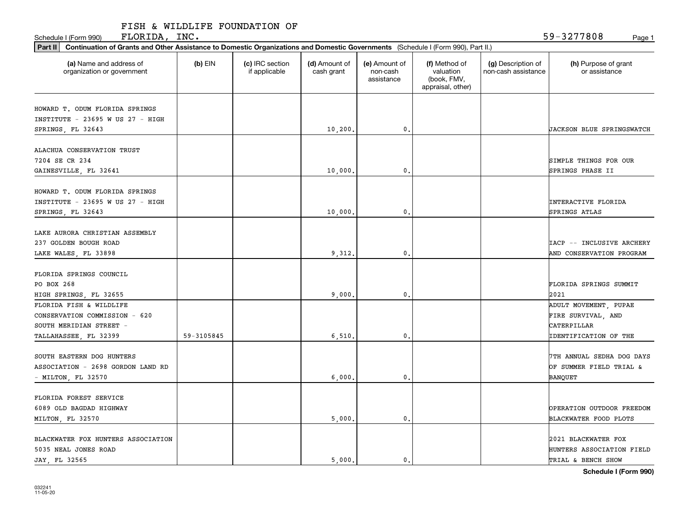Schedule I (Form 990) Page 1 FLORIDA, INC.

| Part II   Continuation of Grants and Other Assistance to Domestic Organizations and Domestic Governments (Schedule I (Form 990), Part II.) |            |                                  |                             |                                         |                                                                |                                           |                                       |
|--------------------------------------------------------------------------------------------------------------------------------------------|------------|----------------------------------|-----------------------------|-----------------------------------------|----------------------------------------------------------------|-------------------------------------------|---------------------------------------|
| (a) Name and address of<br>organization or government                                                                                      | $(b)$ EIN  | (c) IRC section<br>if applicable | (d) Amount of<br>cash grant | (e) Amount of<br>non-cash<br>assistance | (f) Method of<br>valuation<br>(book, FMV,<br>appraisal, other) | (g) Description of<br>non-cash assistance | (h) Purpose of grant<br>or assistance |
| HOWARD T. ODUM FLORIDA SPRINGS                                                                                                             |            |                                  |                             |                                         |                                                                |                                           |                                       |
| INSTITUTE - 23695 W US 27 - HIGH                                                                                                           |            |                                  |                             |                                         |                                                                |                                           |                                       |
| SPRINGS, FL 32643                                                                                                                          |            |                                  | 10, 200.                    | 0.                                      |                                                                |                                           | <b>JACKSON BLUE SPRINGSWATCH</b>      |
|                                                                                                                                            |            |                                  |                             |                                         |                                                                |                                           |                                       |
| ALACHUA CONSERVATION TRUST                                                                                                                 |            |                                  |                             |                                         |                                                                |                                           |                                       |
| 7204 SE CR 234                                                                                                                             |            |                                  |                             |                                         |                                                                |                                           | SIMPLE THINGS FOR OUR                 |
| GAINESVILLE, FL 32641                                                                                                                      |            |                                  | 10,000.                     | 0.                                      |                                                                |                                           | SPRINGS PHASE II                      |
|                                                                                                                                            |            |                                  |                             |                                         |                                                                |                                           |                                       |
| HOWARD T. ODUM FLORIDA SPRINGS                                                                                                             |            |                                  |                             |                                         |                                                                |                                           |                                       |
| INSTITUTE - 23695 W US 27 - HIGH                                                                                                           |            |                                  |                             |                                         |                                                                |                                           | <b>INTERACTIVE FLORIDA</b>            |
| SPRINGS, FL 32643                                                                                                                          |            |                                  | 10,000,                     | $\mathbf{0}$ .                          |                                                                |                                           | SPRINGS ATLAS                         |
| LAKE AURORA CHRISTIAN ASSEMBLY                                                                                                             |            |                                  |                             |                                         |                                                                |                                           |                                       |
| 237 GOLDEN BOUGH ROAD                                                                                                                      |            |                                  |                             |                                         |                                                                |                                           | IACP -- INCLUSIVE ARCHERY             |
|                                                                                                                                            |            |                                  |                             | 0.                                      |                                                                |                                           | AND CONSERVATION PROGRAM              |
| LAKE WALES, FL 33898                                                                                                                       |            |                                  | 9,312.                      |                                         |                                                                |                                           |                                       |
| FLORIDA SPRINGS COUNCIL                                                                                                                    |            |                                  |                             |                                         |                                                                |                                           |                                       |
| PO BOX 268                                                                                                                                 |            |                                  |                             |                                         |                                                                |                                           | FLORIDA SPRINGS SUMMIT                |
| HIGH SPRINGS, FL 32655                                                                                                                     |            |                                  | 9,000.                      | $\mathbf{0}$                            |                                                                |                                           | 2021                                  |
| FLORIDA FISH & WILDLIFE                                                                                                                    |            |                                  |                             |                                         |                                                                |                                           | ADULT MOVEMENT, PUPAE                 |
| CONSERVATION COMMISSION - 620                                                                                                              |            |                                  |                             |                                         |                                                                |                                           | FIRE SURVIVAL, AND                    |
| SOUTH MERIDIAN STREET -                                                                                                                    |            |                                  |                             |                                         |                                                                |                                           | CATERPILLAR                           |
| TALLAHASSEE, FL 32399                                                                                                                      | 59-3105845 |                                  | 6, 510.                     | 0.                                      |                                                                |                                           | <b>IDENTIFICATION OF THE</b>          |
|                                                                                                                                            |            |                                  |                             |                                         |                                                                |                                           |                                       |
| SOUTH EASTERN DOG HUNTERS                                                                                                                  |            |                                  |                             |                                         |                                                                |                                           | 7TH ANNUAL SEDHA DOG DAYS             |
| ASSOCIATION - 2698 GORDON LAND RD                                                                                                          |            |                                  |                             |                                         |                                                                |                                           | OF SUMMER FIELD TRIAL &               |
| $-$ MILTON, FL 32570                                                                                                                       |            |                                  | 6,000                       | 0.                                      |                                                                |                                           | BANQUET                               |
|                                                                                                                                            |            |                                  |                             |                                         |                                                                |                                           |                                       |
| FLORIDA FOREST SERVICE                                                                                                                     |            |                                  |                             |                                         |                                                                |                                           |                                       |
| 6089 OLD BAGDAD HIGHWAY                                                                                                                    |            |                                  |                             |                                         |                                                                |                                           | OPERATION OUTDOOR FREEDOM             |
| MILTON, FL 32570                                                                                                                           |            |                                  | 5,000.                      | $\mathbf{0}$ .                          |                                                                |                                           | BLACKWATER FOOD PLOTS                 |
|                                                                                                                                            |            |                                  |                             |                                         |                                                                |                                           |                                       |
| BLACKWATER FOX HUNTERS ASSOCIATION                                                                                                         |            |                                  |                             |                                         |                                                                |                                           | 2021 BLACKWATER FOX                   |
| 5035 NEAL JONES ROAD                                                                                                                       |            |                                  |                             |                                         |                                                                |                                           | HUNTERS ASSOCIATION FIELD             |
| JAY FL 32565                                                                                                                               |            |                                  | 5.000.                      | $\mathbf{0}$ .                          |                                                                |                                           | TRIAL & BENCH SHOW                    |

**Schedule I (Form 990)**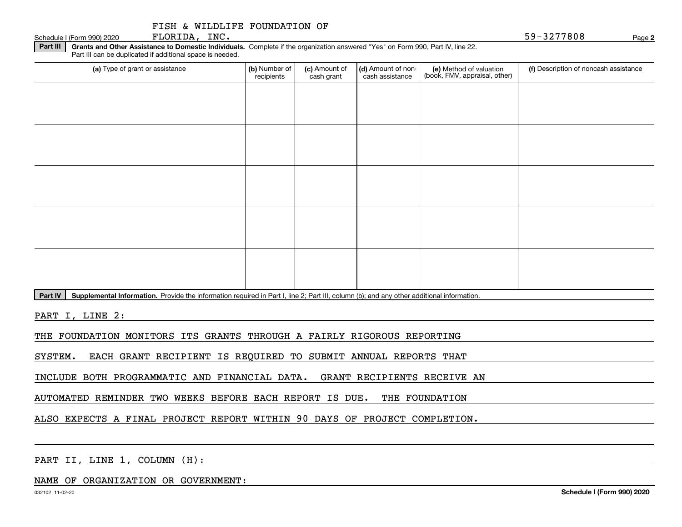| FISH & WILDLIFE FOUNDATION OF |  |  |
|-------------------------------|--|--|
|                               |  |  |

Schedule I (Form 990) 2020 **PLORIDA, INC.**  $\blacksquare$ FLORIDA, INC.

**2**

**Part III | Grants and Other Assistance to Domestic Individuals. Complete if the organization answered "Yes" on Form 990, Part IV, line 22.** Part III can be duplicated if additional space is needed.

| (a) Type of grant or assistance | (b) Number of<br>recipients | (c) Amount of<br>cash grant | (d) Amount of non-<br>cash assistance | (e) Method of valuation<br>(book, FMV, appraisal, other) | (f) Description of noncash assistance |
|---------------------------------|-----------------------------|-----------------------------|---------------------------------------|----------------------------------------------------------|---------------------------------------|
|                                 |                             |                             |                                       |                                                          |                                       |
|                                 |                             |                             |                                       |                                                          |                                       |
|                                 |                             |                             |                                       |                                                          |                                       |
|                                 |                             |                             |                                       |                                                          |                                       |
|                                 |                             |                             |                                       |                                                          |                                       |
|                                 |                             |                             |                                       |                                                          |                                       |
|                                 |                             |                             |                                       |                                                          |                                       |
|                                 |                             |                             |                                       |                                                          |                                       |
|                                 |                             |                             |                                       |                                                          |                                       |
|                                 |                             |                             |                                       |                                                          |                                       |

Part IV | Supplemental Information. Provide the information required in Part I, line 2; Part III, column (b); and any other additional information.

PART I, LINE 2:

THE FOUNDATION MONITORS ITS GRANTS THROUGH A FAIRLY RIGOROUS REPORTING

SYSTEM. EACH GRANT RECIPIENT IS REQUIRED TO SUBMIT ANNUAL REPORTS THAT

INCLUDE BOTH PROGRAMMATIC AND FINANCIAL DATA. GRANT RECIPIENTS RECEIVE AN

AUTOMATED REMINDER TWO WEEKS BEFORE EACH REPORT IS DUE. THE FOUNDATION

ALSO EXPECTS A FINAL PROJECT REPORT WITHIN 90 DAYS OF PROJECT COMPLETION.

PART II, LINE 1, COLUMN (H):

NAME OF ORGANIZATION OR GOVERNMENT: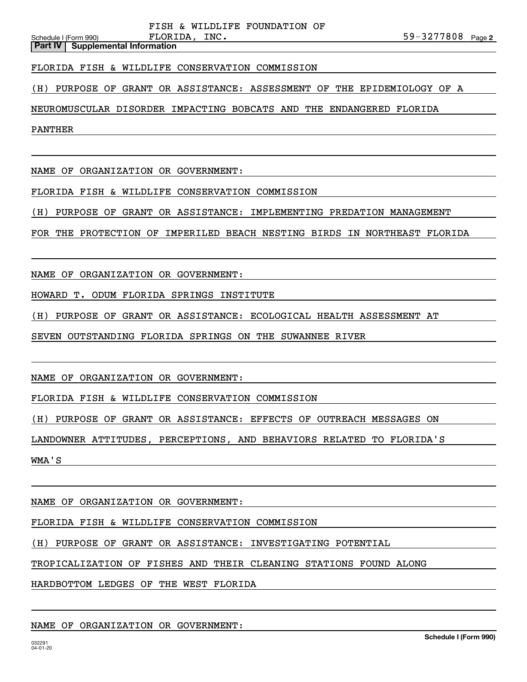**Part IV Supplemental Information**

FLORIDA FISH & WILDLIFE CONSERVATION COMMISSION

(H) PURPOSE OF GRANT OR ASSISTANCE: ASSESSMENT OF THE EPIDEMIOLOGY OF A

NEUROMUSCULAR DISORDER IMPACTING BOBCATS AND THE ENDANGERED FLORIDA

PANTHER

NAME OF ORGANIZATION OR GOVERNMENT:

FLORIDA FISH & WILDLIFE CONSERVATION COMMISSION

(H) PURPOSE OF GRANT OR ASSISTANCE: IMPLEMENTING PREDATION MANAGEMENT

FOR THE PROTECTION OF IMPERILED BEACH NESTING BIRDS IN NORTHEAST FLORIDA

NAME OF ORGANIZATION OR GOVERNMENT:

HOWARD T. ODUM FLORIDA SPRINGS INSTITUTE

(H) PURPOSE OF GRANT OR ASSISTANCE: ECOLOGICAL HEALTH ASSESSMENT AT

SEVEN OUTSTANDING FLORIDA SPRINGS ON THE SUWANNEE RIVER

NAME OF ORGANIZATION OR GOVERNMENT:

FLORIDA FISH & WILDLIFE CONSERVATION COMMISSION

(H) PURPOSE OF GRANT OR ASSISTANCE: EFFECTS OF OUTREACH MESSAGES ON

LANDOWNER ATTITUDES, PERCEPTIONS, AND BEHAVIORS RELATED TO FLORIDA'S

WMA'S

NAME OF ORGANIZATION OR GOVERNMENT:

FLORIDA FISH & WILDLIFE CONSERVATION COMMISSION

(H) PURPOSE OF GRANT OR ASSISTANCE: INVESTIGATING POTENTIAL

TROPICALIZATION OF FISHES AND THEIR CLEANING STATIONS FOUND ALONG

HARDBOTTOM LEDGES OF THE WEST FLORIDA

NAME OF ORGANIZATION OR GOVERNMENT: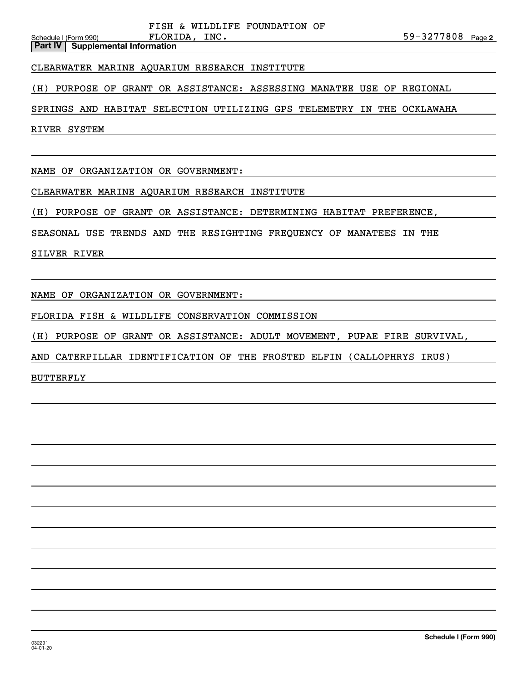**Part IV Supplemental Information**

### CLEARWATER MARINE AQUARIUM RESEARCH INSTITUTE

(H) PURPOSE OF GRANT OR ASSISTANCE: ASSESSING MANATEE USE OF REGIONAL

SPRINGS AND HABITAT SELECTION UTILIZING GPS TELEMETRY IN THE OCKLAWAHA

RIVER SYSTEM

NAME OF ORGANIZATION OR GOVERNMENT:

CLEARWATER MARINE AQUARIUM RESEARCH INSTITUTE

(H) PURPOSE OF GRANT OR ASSISTANCE: DETERMINING HABITAT PREFERENCE,

SEASONAL USE TRENDS AND THE RESIGHTING FREQUENCY OF MANATEES IN THE

SILVER RIVER

NAME OF ORGANIZATION OR GOVERNMENT:

FLORIDA FISH & WILDLIFE CONSERVATION COMMISSION

(H) PURPOSE OF GRANT OR ASSISTANCE: ADULT MOVEMENT, PUPAE FIRE SURVIVAL,

AND CATERPILLAR IDENTIFICATION OF THE FROSTED ELFIN (CALLOPHRYS IRUS)

BUTTERFLY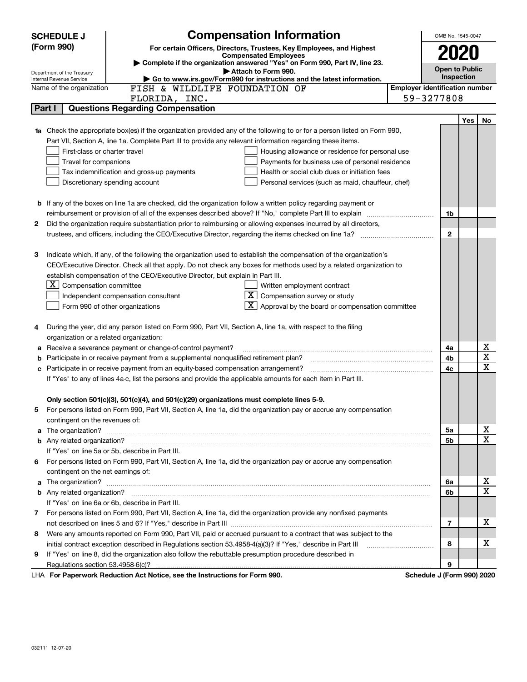|    | <b>SCHEDULE J</b>                       | <b>Compensation Information</b>                                                                                                                                                                                                      | OMB No. 1545-0047                     |            |             |
|----|-----------------------------------------|--------------------------------------------------------------------------------------------------------------------------------------------------------------------------------------------------------------------------------------|---------------------------------------|------------|-------------|
|    | (Form 990)                              | For certain Officers, Directors, Trustees, Key Employees, and Highest                                                                                                                                                                |                                       |            |             |
|    |                                         | <b>Compensated Employees</b>                                                                                                                                                                                                         | 2020                                  |            |             |
|    | Department of the Treasury              | Complete if the organization answered "Yes" on Form 990, Part IV, line 23.<br>Attach to Form 990.                                                                                                                                    | <b>Open to Public</b>                 |            |             |
|    | Internal Revenue Service                | Go to www.irs.gov/Form990 for instructions and the latest information.                                                                                                                                                               |                                       | Inspection |             |
|    | Name of the organization                | FISH & WILDLIFE FOUNDATION OF                                                                                                                                                                                                        | <b>Employer identification number</b> |            |             |
|    |                                         | FLORIDA, INC.                                                                                                                                                                                                                        | 59-3277808                            |            |             |
|    | Part I                                  | <b>Questions Regarding Compensation</b>                                                                                                                                                                                              |                                       |            |             |
|    |                                         |                                                                                                                                                                                                                                      |                                       | Yes        | No          |
| 1a |                                         | Check the appropriate box(es) if the organization provided any of the following to or for a person listed on Form 990,                                                                                                               |                                       |            |             |
|    |                                         | Part VII, Section A, line 1a. Complete Part III to provide any relevant information regarding these items.                                                                                                                           |                                       |            |             |
|    | First-class or charter travel           | Housing allowance or residence for personal use                                                                                                                                                                                      |                                       |            |             |
|    | Travel for companions                   | Payments for business use of personal residence                                                                                                                                                                                      |                                       |            |             |
|    |                                         | Health or social club dues or initiation fees<br>Tax indemnification and gross-up payments                                                                                                                                           |                                       |            |             |
|    |                                         | Discretionary spending account<br>Personal services (such as maid, chauffeur, chef)                                                                                                                                                  |                                       |            |             |
|    |                                         |                                                                                                                                                                                                                                      |                                       |            |             |
|    |                                         | <b>b</b> If any of the boxes on line 1a are checked, did the organization follow a written policy regarding payment or                                                                                                               |                                       |            |             |
|    |                                         | reimbursement or provision of all of the expenses described above? If "No," complete Part III to explain                                                                                                                             | 1b                                    |            |             |
| 2  |                                         | Did the organization require substantiation prior to reimbursing or allowing expenses incurred by all directors,                                                                                                                     |                                       |            |             |
|    |                                         |                                                                                                                                                                                                                                      | $\mathbf{2}$                          |            |             |
|    |                                         |                                                                                                                                                                                                                                      |                                       |            |             |
| з  |                                         | Indicate which, if any, of the following the organization used to establish the compensation of the organization's                                                                                                                   |                                       |            |             |
|    |                                         | CEO/Executive Director. Check all that apply. Do not check any boxes for methods used by a related organization to                                                                                                                   |                                       |            |             |
|    |                                         | establish compensation of the CEO/Executive Director, but explain in Part III.                                                                                                                                                       |                                       |            |             |
|    | $X$ Compensation committee              | Written employment contract                                                                                                                                                                                                          |                                       |            |             |
|    |                                         | $\lfloor \underline{X} \rfloor$ Compensation survey or study<br>Independent compensation consultant                                                                                                                                  |                                       |            |             |
|    |                                         | $\lfloor x \rfloor$ Approval by the board or compensation committee<br>Form 990 of other organizations                                                                                                                               |                                       |            |             |
|    |                                         |                                                                                                                                                                                                                                      |                                       |            |             |
| 4  |                                         | During the year, did any person listed on Form 990, Part VII, Section A, line 1a, with respect to the filing                                                                                                                         |                                       |            |             |
|    | organization or a related organization: |                                                                                                                                                                                                                                      |                                       |            |             |
| а  |                                         | Receive a severance payment or change-of-control payment?                                                                                                                                                                            | 4a                                    |            | х<br>X      |
| b  |                                         | Participate in or receive payment from a supplemental nonqualified retirement plan?                                                                                                                                                  | 4b                                    |            | $\mathbf x$ |
| c  |                                         | Participate in or receive payment from an equity-based compensation arrangement?                                                                                                                                                     | 4с                                    |            |             |
|    |                                         | If "Yes" to any of lines 4a-c, list the persons and provide the applicable amounts for each item in Part III.                                                                                                                        |                                       |            |             |
|    |                                         |                                                                                                                                                                                                                                      |                                       |            |             |
|    |                                         | Only section 501(c)(3), 501(c)(4), and 501(c)(29) organizations must complete lines 5-9.<br>For persons listed on Form 990, Part VII, Section A, line 1a, did the organization pay or accrue any compensation                        |                                       |            |             |
|    | contingent on the revenues of:          |                                                                                                                                                                                                                                      |                                       |            |             |
|    |                                         |                                                                                                                                                                                                                                      |                                       |            | х           |
| a  |                                         | The organization? <b>With the contract of the contract of the contract of the contract of the contract of the contract of the contract of the contract of the contract of the contract of the contract of the contract of the co</b> | 5a<br>5b                              |            | X           |
|    |                                         | If "Yes" on line 5a or 5b, describe in Part III.                                                                                                                                                                                     |                                       |            |             |
| 6  |                                         | For persons listed on Form 990, Part VII, Section A, line 1a, did the organization pay or accrue any compensation                                                                                                                    |                                       |            |             |
|    | contingent on the net earnings of:      |                                                                                                                                                                                                                                      |                                       |            |             |
|    |                                         |                                                                                                                                                                                                                                      |                                       |            | х           |
| a  |                                         |                                                                                                                                                                                                                                      | 6a<br>6b                              |            | $\mathbf X$ |
|    |                                         | If "Yes" on line 6a or 6b, describe in Part III.                                                                                                                                                                                     |                                       |            |             |
|    |                                         |                                                                                                                                                                                                                                      |                                       |            |             |
| 7  |                                         | For persons listed on Form 990, Part VII, Section A, line 1a, did the organization provide any nonfixed payments                                                                                                                     | $\overline{7}$                        |            | х           |
|    |                                         |                                                                                                                                                                                                                                      |                                       |            |             |
| 8  |                                         | Were any amounts reported on Form 990, Part VII, paid or accrued pursuant to a contract that was subject to the                                                                                                                      | 8                                     |            | х           |
|    |                                         | initial contract exception described in Regulations section 53.4958-4(a)(3)? If "Yes," describe in Part III                                                                                                                          |                                       |            |             |
| 9  |                                         | If "Yes" on line 8, did the organization also follow the rebuttable presumption procedure described in                                                                                                                               | 9                                     |            |             |
|    |                                         | LHA For Departments Reduction Act Notice, and the Instructions for Form 000                                                                                                                                                          | Schodule I (Farm 000) 2020            |            |             |

LHA For Paperwork Reduction Act Notice, see the Instructions for Form 990. Schedule J (Form 990) 2020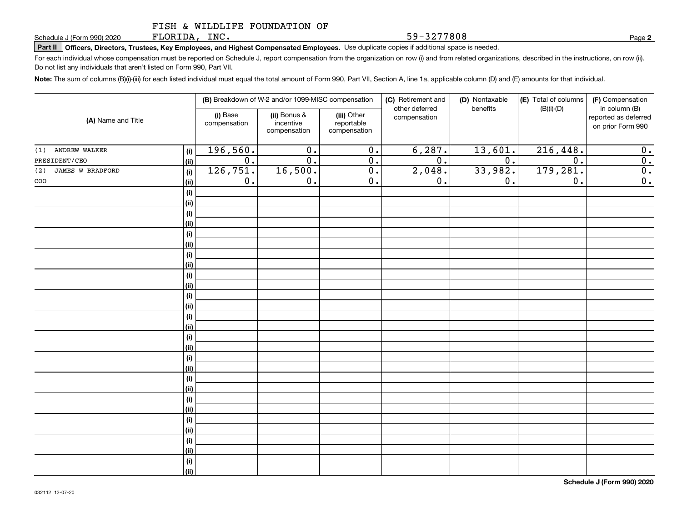FLORIDA, INC.

**Part II Officers, Directors, Trustees, Key Employees, and Highest Compensated Employees.**  Schedule J (Form 990) 2020 Page Use duplicate copies if additional space is needed.

For each individual whose compensation must be reported on Schedule J, report compensation from the organization on row (i) and from related organizations, described in the instructions, on row (ii). Do not list any individuals that aren't listed on Form 990, Part VII.

**Note:**  The sum of columns (B)(i)-(iii) for each listed individual must equal the total amount of Form 990, Part VII, Section A, line 1a, applicable column (D) and (E) amounts for that individual.

|                                |             |                          | (B) Breakdown of W-2 and/or 1099-MISC compensation |                                           | (C) Retirement and<br>other deferred | (D) Nontaxable<br>benefits | (E) Total of columns<br>$(B)(i)-(D)$ | (F) Compensation<br>in column (B)         |
|--------------------------------|-------------|--------------------------|----------------------------------------------------|-------------------------------------------|--------------------------------------|----------------------------|--------------------------------------|-------------------------------------------|
| (A) Name and Title             |             | (i) Base<br>compensation | (ii) Bonus &<br>incentive<br>compensation          | (iii) Other<br>reportable<br>compensation | compensation                         |                            |                                      | reported as deferred<br>on prior Form 990 |
| (1) ANDREW WALKER              | (i)         | 196,560.                 | $\overline{0}$ .                                   | $\overline{0}$ .                          | 6,287.                               | 13,601.                    | 216,448.                             | 0.                                        |
| PRESIDENT/CEO                  | (ii)        | 0.                       | $\overline{0}$ .                                   | $\overline{0}$ .                          | $\overline{0}$ .                     | $\overline{0}$ .           | $\overline{0}$ .                     | $\overline{0}$ .                          |
| <b>JAMES W BRADFORD</b><br>(2) | (i)         | 126,751.                 | 16,500.                                            | $\overline{0}$ .                          | 2,048.                               | 33,982.                    | 179,281.                             | $\overline{0}$ .                          |
| $\rm{co}$                      | (ii)        | 0.                       | $\overline{0}$ .                                   | $\overline{0}$ .                          | 0.                                   | $0$ .                      | $\overline{0}$ .                     | $\overline{0}$ .                          |
|                                | (i)         |                          |                                                    |                                           |                                      |                            |                                      |                                           |
|                                | (ii)        |                          |                                                    |                                           |                                      |                            |                                      |                                           |
|                                | (i)         |                          |                                                    |                                           |                                      |                            |                                      |                                           |
|                                | (ii)        |                          |                                                    |                                           |                                      |                            |                                      |                                           |
|                                | $(\sf{i})$  |                          |                                                    |                                           |                                      |                            |                                      |                                           |
|                                | (ii)        |                          |                                                    |                                           |                                      |                            |                                      |                                           |
|                                | (i)         |                          |                                                    |                                           |                                      |                            |                                      |                                           |
|                                | (ii)        |                          |                                                    |                                           |                                      |                            |                                      |                                           |
|                                | (i)         |                          |                                                    |                                           |                                      |                            |                                      |                                           |
|                                | (ii)        |                          |                                                    |                                           |                                      |                            |                                      |                                           |
|                                | (i)         |                          |                                                    |                                           |                                      |                            |                                      |                                           |
|                                | (ii)<br>(i) |                          |                                                    |                                           |                                      |                            |                                      |                                           |
|                                | (ii)        |                          |                                                    |                                           |                                      |                            |                                      |                                           |
|                                | (i)         |                          |                                                    |                                           |                                      |                            |                                      |                                           |
|                                | (ii)        |                          |                                                    |                                           |                                      |                            |                                      |                                           |
|                                | (i)         |                          |                                                    |                                           |                                      |                            |                                      |                                           |
|                                | (ii)        |                          |                                                    |                                           |                                      |                            |                                      |                                           |
|                                | (i)         |                          |                                                    |                                           |                                      |                            |                                      |                                           |
|                                | (ii)        |                          |                                                    |                                           |                                      |                            |                                      |                                           |
|                                | (i)         |                          |                                                    |                                           |                                      |                            |                                      |                                           |
|                                | (ii)        |                          |                                                    |                                           |                                      |                            |                                      |                                           |
|                                | (i)         |                          |                                                    |                                           |                                      |                            |                                      |                                           |
|                                | (ii)        |                          |                                                    |                                           |                                      |                            |                                      |                                           |
|                                | (i)         |                          |                                                    |                                           |                                      |                            |                                      |                                           |
|                                | (ii)        |                          |                                                    |                                           |                                      |                            |                                      |                                           |
|                                | (i)         |                          |                                                    |                                           |                                      |                            |                                      |                                           |
|                                | (ii)        |                          |                                                    |                                           |                                      |                            |                                      |                                           |

**2**

59-3277808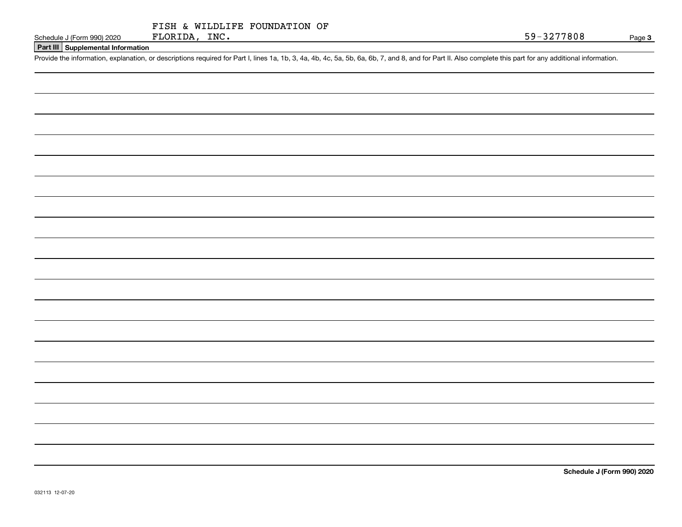|               |  | FISH & WILDLIFE FOUNDATION OF |  |
|---------------|--|-------------------------------|--|
| FLORIDA, INC. |  |                               |  |

### **Part III Supplemental Information**

Schedule J (Form 990) 2020 FLORIDA, INC.<br>Part III Supplemental Information<br>Provide the information, explanation, or descriptions required for Part I, lines 1a, 1b, 3, 4a, 4b, 4c, 5a, 5b, 6a, 6b, 7, and 8, and for Part II.

**Schedule J (Form 990) 2020**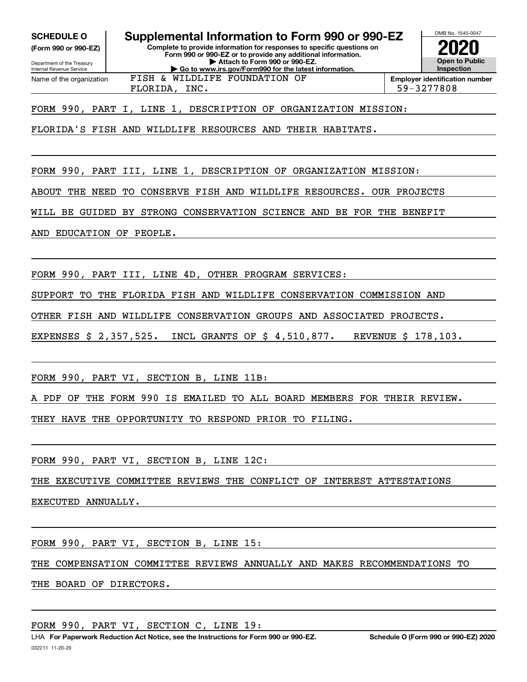**(Form 990 or 990-EZ)**

Department of the Treasury Internal Revenue Service Name of the organization

**Complete to provide information for responses to specific questions on Form 990 or 990-EZ or to provide any additional information. | Attach to Form 990 or 990-EZ. SCHEDULE O Supplemental Information to Form 990 or 990-EZ**

**| Go to www.irs.gov/Form990 for the latest information.**



FLORIDA, INC. 59-3277808

FORM 990, PART I, LINE 1, DESCRIPTION OF ORGANIZATION MISSION:

FISH & WILDLIFE FOUNDATION OF

FLORIDA'S FISH AND WILDLIFE RESOURCES AND THEIR HABITATS.

FORM 990, PART III, LINE 1, DESCRIPTION OF ORGANIZATION MISSION:

ABOUT THE NEED TO CONSERVE FISH AND WILDLIFE RESOURCES. OUR PROJECTS

WILL BE GUIDED BY STRONG CONSERVATION SCIENCE AND BE FOR THE BENEFIT

AND EDUCATION OF PEOPLE.

FORM 990, PART III, LINE 4D, OTHER PROGRAM SERVICES:

SUPPORT TO THE FLORIDA FISH AND WILDLIFE CONSERVATION COMMISSION AND

OTHER FISH AND WILDLIFE CONSERVATION GROUPS AND ASSOCIATED PROJECTS.

EXPENSES \$ 2,357,525. INCL GRANTS OF \$ 4,510,877. REVENUE \$ 178,103.

FORM 990, PART VI, SECTION B, LINE 11B:

A PDF OF THE FORM 990 IS EMAILED TO ALL BOARD MEMBERS FOR THEIR REVIEW.

THEY HAVE THE OPPORTUNITY TO RESPOND PRIOR TO FILING.

FORM 990, PART VI, SECTION B, LINE 12C:

THE EXECUTIVE COMMITTEE REVIEWS THE CONFLICT OF INTEREST ATTESTATIONS

EXECUTED ANNUALLY.

FORM 990, PART VI, SECTION B, LINE 15:

THE COMPENSATION COMMITTEE REVIEWS ANNUALLY AND MAKES RECOMMENDATIONS TO

THE BOARD OF DIRECTORS.

FORM 990, PART VI, SECTION C, LINE 19: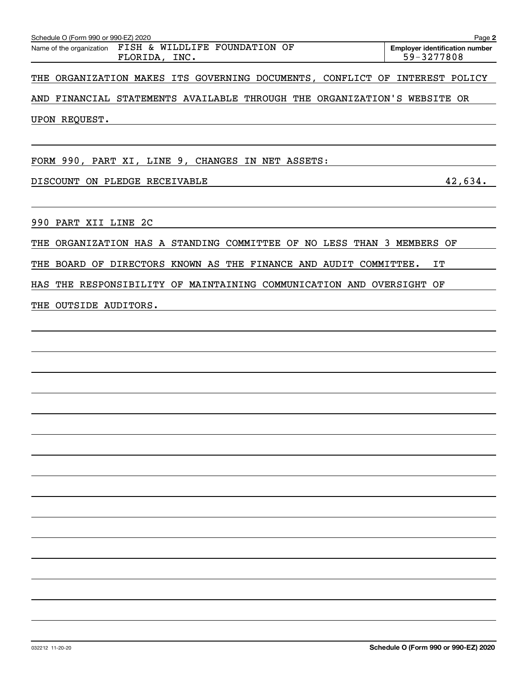| FISH & WILDLIFE FOUNDATION OF<br>Name of the organization<br><b>Employer identification number</b><br>59-3277808<br>FLORIDA, INC.<br>THE ORGANIZATION MAKES ITS GOVERNING DOCUMENTS, CONFLICT OF INTEREST POLICY<br>AND FINANCIAL STATEMENTS AVAILABLE THROUGH THE ORGANIZATION'S WEBSITE OR<br>42,634.<br>THE ORGANIZATION HAS A STANDING COMMITTEE OF NO LESS THAN 3 MEMBERS OF<br>THE BOARD OF DIRECTORS KNOWN AS THE FINANCE AND AUDIT COMMITTEE.<br>IT<br>HAS THE RESPONSIBILITY OF MAINTAINING COMMUNICATION AND OVERSIGHT OF | Schedule O (Form 990 or 990-EZ) 2020              | Page 2 |
|-------------------------------------------------------------------------------------------------------------------------------------------------------------------------------------------------------------------------------------------------------------------------------------------------------------------------------------------------------------------------------------------------------------------------------------------------------------------------------------------------------------------------------------|---------------------------------------------------|--------|
|                                                                                                                                                                                                                                                                                                                                                                                                                                                                                                                                     |                                                   |        |
|                                                                                                                                                                                                                                                                                                                                                                                                                                                                                                                                     |                                                   |        |
|                                                                                                                                                                                                                                                                                                                                                                                                                                                                                                                                     |                                                   |        |
|                                                                                                                                                                                                                                                                                                                                                                                                                                                                                                                                     | UPON REQUEST.                                     |        |
|                                                                                                                                                                                                                                                                                                                                                                                                                                                                                                                                     |                                                   |        |
|                                                                                                                                                                                                                                                                                                                                                                                                                                                                                                                                     | FORM 990, PART XI, LINE 9, CHANGES IN NET ASSETS: |        |
|                                                                                                                                                                                                                                                                                                                                                                                                                                                                                                                                     | DISCOUNT ON PLEDGE RECEIVABLE                     |        |
|                                                                                                                                                                                                                                                                                                                                                                                                                                                                                                                                     | 990 PART XII LINE 2C                              |        |
|                                                                                                                                                                                                                                                                                                                                                                                                                                                                                                                                     |                                                   |        |
|                                                                                                                                                                                                                                                                                                                                                                                                                                                                                                                                     |                                                   |        |
|                                                                                                                                                                                                                                                                                                                                                                                                                                                                                                                                     |                                                   |        |
|                                                                                                                                                                                                                                                                                                                                                                                                                                                                                                                                     | THE OUTSIDE AUDITORS.                             |        |
|                                                                                                                                                                                                                                                                                                                                                                                                                                                                                                                                     |                                                   |        |
|                                                                                                                                                                                                                                                                                                                                                                                                                                                                                                                                     |                                                   |        |
|                                                                                                                                                                                                                                                                                                                                                                                                                                                                                                                                     |                                                   |        |
|                                                                                                                                                                                                                                                                                                                                                                                                                                                                                                                                     |                                                   |        |
|                                                                                                                                                                                                                                                                                                                                                                                                                                                                                                                                     |                                                   |        |
|                                                                                                                                                                                                                                                                                                                                                                                                                                                                                                                                     |                                                   |        |
|                                                                                                                                                                                                                                                                                                                                                                                                                                                                                                                                     |                                                   |        |
|                                                                                                                                                                                                                                                                                                                                                                                                                                                                                                                                     |                                                   |        |
|                                                                                                                                                                                                                                                                                                                                                                                                                                                                                                                                     |                                                   |        |
|                                                                                                                                                                                                                                                                                                                                                                                                                                                                                                                                     |                                                   |        |
|                                                                                                                                                                                                                                                                                                                                                                                                                                                                                                                                     |                                                   |        |
|                                                                                                                                                                                                                                                                                                                                                                                                                                                                                                                                     |                                                   |        |
|                                                                                                                                                                                                                                                                                                                                                                                                                                                                                                                                     |                                                   |        |
|                                                                                                                                                                                                                                                                                                                                                                                                                                                                                                                                     |                                                   |        |
|                                                                                                                                                                                                                                                                                                                                                                                                                                                                                                                                     |                                                   |        |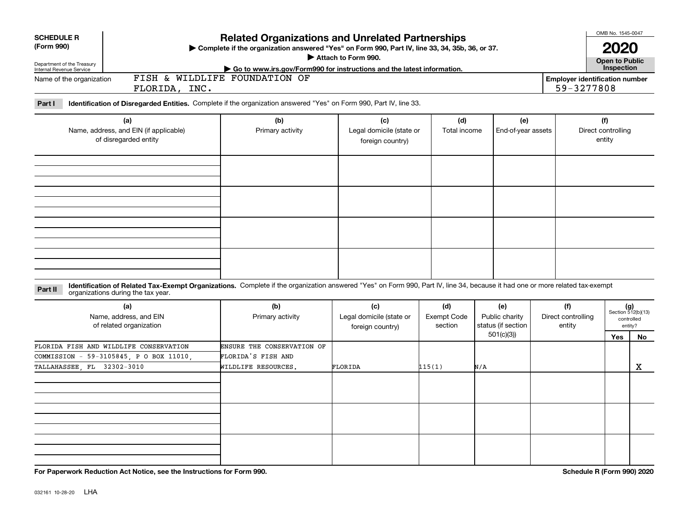| <b>SCHEDULE R</b><br>(Form 990)<br>Department of the Treasury<br>Internal Revenue Service |                                                                                   | <b>Related Organizations and Unrelated Partnerships</b><br>Complete if the organization answered "Yes" on Form 990, Part IV, line 33, 34, 35b, 36, or 37.<br>Attach to Form 990.<br>Go to www.irs.gov/Form990 for instructions and the latest information. |                                                     |                                      |                                                          |                                     |                                                                   |            |                                                            |  |  |  |
|-------------------------------------------------------------------------------------------|-----------------------------------------------------------------------------------|------------------------------------------------------------------------------------------------------------------------------------------------------------------------------------------------------------------------------------------------------------|-----------------------------------------------------|--------------------------------------|----------------------------------------------------------|-------------------------------------|-------------------------------------------------------------------|------------|------------------------------------------------------------|--|--|--|
| Name of the organization                                                                  | FLORIDA, INC.                                                                     | FISH & WILDLIFE FOUNDATION OF                                                                                                                                                                                                                              |                                                     |                                      |                                                          |                                     | Inspection<br><b>Employer identification number</b><br>59-3277808 |            |                                                            |  |  |  |
| Part I                                                                                    |                                                                                   | Identification of Disregarded Entities. Complete if the organization answered "Yes" on Form 990, Part IV, line 33.                                                                                                                                         |                                                     |                                      |                                                          |                                     |                                                                   |            |                                                            |  |  |  |
| (a)<br>Name, address, and EIN (if applicable)<br>of disregarded entity                    |                                                                                   | (b)<br>Primary activity                                                                                                                                                                                                                                    | (c)<br>Legal domicile (state or<br>foreign country) | (d)<br>Total income                  | (e)<br>End-of-year assets                                |                                     | (f)<br>Direct controlling<br>entity                               |            |                                                            |  |  |  |
|                                                                                           |                                                                                   |                                                                                                                                                                                                                                                            |                                                     |                                      |                                                          |                                     |                                                                   |            |                                                            |  |  |  |
|                                                                                           |                                                                                   |                                                                                                                                                                                                                                                            |                                                     |                                      |                                                          |                                     |                                                                   |            |                                                            |  |  |  |
| Part II                                                                                   | organizations during the tax year.                                                | Identification of Related Tax-Exempt Organizations. Complete if the organization answered "Yes" on Form 990, Part IV, line 34, because it had one or more related tax-exempt                                                                               |                                                     |                                      |                                                          |                                     |                                                                   |            |                                                            |  |  |  |
|                                                                                           | (a)<br>Name, address, and EIN<br>of related organization                          | (b)<br>Primary activity                                                                                                                                                                                                                                    | (c)<br>Legal domicile (state or<br>foreign country) | (d)<br><b>Exempt Code</b><br>section | (e)<br>Public charity<br>status (if section<br>501(c)(3) | (f)<br>Direct controlling<br>entity |                                                                   | <b>Yes</b> | $(g)$<br>Section 512(b)(13)<br>controlled<br>entity?<br>No |  |  |  |
| TALLAHASSEE FL 32302-3010                                                                 | FLORIDA FISH AND WILDLIFE CONSERVATION<br>COMMISSION - 59-3105845, P O BOX 11010, | ENSURE THE CONSERVATION OF<br>FLORIDA'S FISH AND<br>WILDLIFE RESOURCES.                                                                                                                                                                                    | FLORIDA                                             | 115(1)                               | N/A                                                      |                                     |                                                                   |            | X                                                          |  |  |  |
|                                                                                           |                                                                                   |                                                                                                                                                                                                                                                            |                                                     |                                      |                                                          |                                     |                                                                   |            |                                                            |  |  |  |
|                                                                                           |                                                                                   |                                                                                                                                                                                                                                                            |                                                     |                                      |                                                          |                                     |                                                                   |            |                                                            |  |  |  |
|                                                                                           |                                                                                   |                                                                                                                                                                                                                                                            |                                                     |                                      |                                                          |                                     |                                                                   |            |                                                            |  |  |  |

**For Paperwork Reduction Act Notice, see the Instructions for Form 990. Schedule R (Form 990) 2020**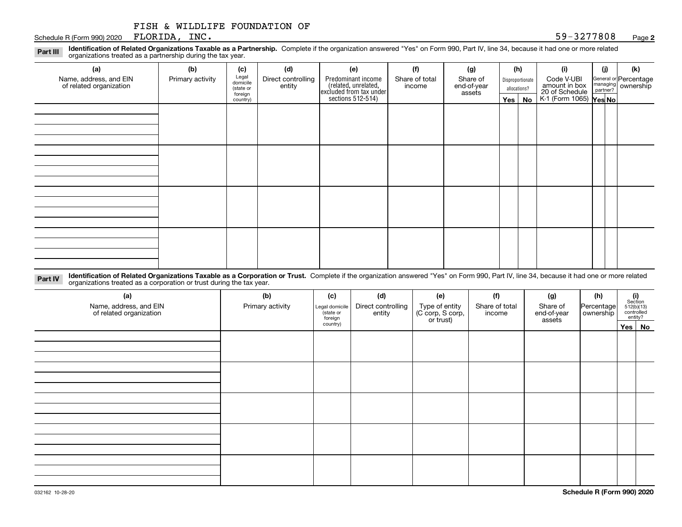#### Schedule R (Form 990) 2020 Page FLORIDA, INC.

**Identification of Related Organizations Taxable as a Partnership.** Complete if the organization answered "Yes" on Form 990, Part IV, line 34, because it had one or more related **Part III** organizations treated as a partnership during the tax year.

| (a)                                               | (b)              | (c)                  | (d)                          | (e)                                                                 | (f)                      | (g)                     |         | (h)              | (i)                                      | (j) | (k)                                                     |
|---------------------------------------------------|------------------|----------------------|------------------------------|---------------------------------------------------------------------|--------------------------|-------------------------|---------|------------------|------------------------------------------|-----|---------------------------------------------------------|
| Name, address, and EIN<br>of related organization | Primary activity | Legal<br>domicile    | Direct controlling<br>entity | Predominant income                                                  | Share of total<br>income | Share of<br>end-of-year |         | Disproportionate | Code V-UBI<br>amount in box              |     | General or Percentage<br>managing ownership<br>partner? |
|                                                   |                  | (state or<br>foreign |                              | related, unrelated,<br>excluded from tax under<br>sections 512-514) |                          | assets                  |         | allocations?     | 20 of Schedule<br>K-1 (Form 1065) Yes No |     |                                                         |
|                                                   |                  | country)             |                              |                                                                     |                          |                         | Yes $ $ | No               |                                          |     |                                                         |
|                                                   |                  |                      |                              |                                                                     |                          |                         |         |                  |                                          |     |                                                         |
|                                                   |                  |                      |                              |                                                                     |                          |                         |         |                  |                                          |     |                                                         |
|                                                   |                  |                      |                              |                                                                     |                          |                         |         |                  |                                          |     |                                                         |
|                                                   |                  |                      |                              |                                                                     |                          |                         |         |                  |                                          |     |                                                         |
|                                                   |                  |                      |                              |                                                                     |                          |                         |         |                  |                                          |     |                                                         |
|                                                   |                  |                      |                              |                                                                     |                          |                         |         |                  |                                          |     |                                                         |
|                                                   |                  |                      |                              |                                                                     |                          |                         |         |                  |                                          |     |                                                         |
|                                                   |                  |                      |                              |                                                                     |                          |                         |         |                  |                                          |     |                                                         |
|                                                   |                  |                      |                              |                                                                     |                          |                         |         |                  |                                          |     |                                                         |
|                                                   |                  |                      |                              |                                                                     |                          |                         |         |                  |                                          |     |                                                         |
|                                                   |                  |                      |                              |                                                                     |                          |                         |         |                  |                                          |     |                                                         |
|                                                   |                  |                      |                              |                                                                     |                          |                         |         |                  |                                          |     |                                                         |
|                                                   |                  |                      |                              |                                                                     |                          |                         |         |                  |                                          |     |                                                         |
|                                                   |                  |                      |                              |                                                                     |                          |                         |         |                  |                                          |     |                                                         |
|                                                   |                  |                      |                              |                                                                     |                          |                         |         |                  |                                          |     |                                                         |
|                                                   |                  |                      |                              |                                                                     |                          |                         |         |                  |                                          |     |                                                         |
|                                                   |                  |                      |                              |                                                                     |                          |                         |         |                  |                                          |     |                                                         |

**Identification of Related Organizations Taxable as a Corporation or Trust.** Complete if the organization answered "Yes" on Form 990, Part IV, line 34, because it had one or more related **Part IV** organizations treated as a corporation or trust during the tax year.

| (a)<br>Name, address, and EIN<br>of related organization | (b)<br>Primary activity | (c)<br>Legal domicile<br>(state or<br>foreign | (d)<br>Direct controlling<br>entity | (e)<br>Type of entity<br>(C corp, S corp,<br>or trust) | (f)<br>Share of total<br>income | (g)<br>Share of<br>end-of-year<br>assets | (h)<br>Percentage<br>ownership | $\begin{array}{c} \textbf{(i)}\\ \text{Section}\\ 512 \text{(b)} \text{(13)}\\ \text{controlled}\\ \text{entity?} \end{array}$ |
|----------------------------------------------------------|-------------------------|-----------------------------------------------|-------------------------------------|--------------------------------------------------------|---------------------------------|------------------------------------------|--------------------------------|--------------------------------------------------------------------------------------------------------------------------------|
|                                                          |                         | country)                                      |                                     |                                                        |                                 |                                          |                                | Yes No                                                                                                                         |
|                                                          |                         |                                               |                                     |                                                        |                                 |                                          |                                |                                                                                                                                |
|                                                          |                         |                                               |                                     |                                                        |                                 |                                          |                                |                                                                                                                                |
|                                                          |                         |                                               |                                     |                                                        |                                 |                                          |                                |                                                                                                                                |
|                                                          |                         |                                               |                                     |                                                        |                                 |                                          |                                |                                                                                                                                |
|                                                          |                         |                                               |                                     |                                                        |                                 |                                          |                                |                                                                                                                                |
|                                                          |                         |                                               |                                     |                                                        |                                 |                                          |                                |                                                                                                                                |
|                                                          |                         |                                               |                                     |                                                        |                                 |                                          |                                |                                                                                                                                |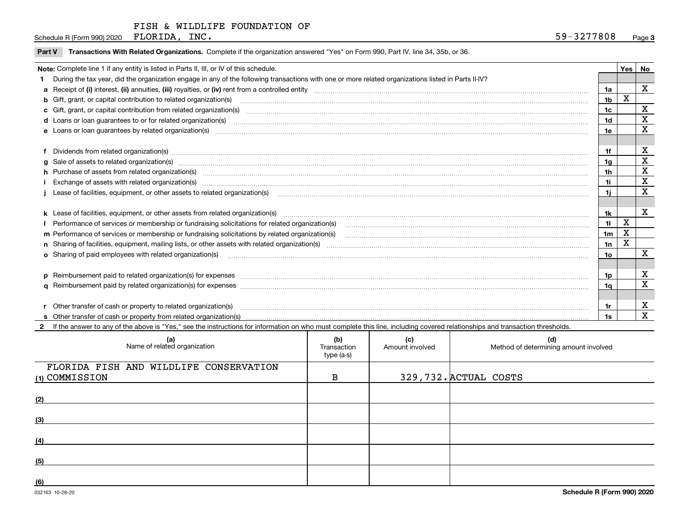Schedule R (Form 990) 2020  $\cdot$  FLORIDA, INC. FLORIDA, INC.

|  | Part V Transactions With Related Organizations. Complete if the organization answered "Yes" on Form 990, Part IV, line 34, 35b, or 36 |  |  |
|--|---------------------------------------------------------------------------------------------------------------------------------------|--|--|
|--|---------------------------------------------------------------------------------------------------------------------------------------|--|--|

| Note: Complete line 1 if any entity is listed in Parts II, III, or IV of this schedule.                                                                                                                                        |                |   |   |  |  |  |
|--------------------------------------------------------------------------------------------------------------------------------------------------------------------------------------------------------------------------------|----------------|---|---|--|--|--|
| During the tax year, did the organization engage in any of the following transactions with one or more related organizations listed in Parts II-IV?                                                                            |                |   |   |  |  |  |
|                                                                                                                                                                                                                                | 1a             |   | X |  |  |  |
| <b>b</b> Gift, grant, or capital contribution to related organization(s)                                                                                                                                                       | 1 <sub>b</sub> | Χ |   |  |  |  |
| c Gift, grant, or capital contribution from related organization(s)                                                                                                                                                            | 1c             |   | X |  |  |  |
|                                                                                                                                                                                                                                | 1d             |   | x |  |  |  |
| e Loans or loan quarantees by related organization(s)                                                                                                                                                                          | 1e             |   | X |  |  |  |
|                                                                                                                                                                                                                                |                |   |   |  |  |  |
| f Dividends from related organization(s) manufactured contains and contained a series of the contact of the contact of the contact of the contact of the contact of the contact of the contact of the contact of the contact o | 1f             |   | х |  |  |  |
| g Sale of assets to related organization(s) www.assettion.com/www.assettion.com/www.assettion.com/www.assettion.com/www.assettion.com/www.assettion.com/www.assettion.com/www.assettion.com/www.assettion.com/www.assettion.co | 1a             |   | X |  |  |  |
| h Purchase of assets from related organization(s) manufactured and content to the content of the content of the content of the content of the content of the content of the content of the content of the content of the conte | 1h             |   | X |  |  |  |
| Exchange of assets with related organization(s) www.andronomagnetic material contract and contract and contract and contract and contract and contract and contract and contract and contract and contract and contract and co | 1i.            |   | X |  |  |  |
| Lease of facilities, equipment, or other assets to related organization(s)                                                                                                                                                     | 1i.            |   | X |  |  |  |
|                                                                                                                                                                                                                                |                |   |   |  |  |  |
|                                                                                                                                                                                                                                | 1k             |   | X |  |  |  |
| Performance of services or membership or fundraising solicitations for related organization(s)                                                                                                                                 | 11             | X |   |  |  |  |
| m Performance of services or membership or fundraising solicitations by related organization(s)                                                                                                                                | 1 <sub>m</sub> | X |   |  |  |  |
|                                                                                                                                                                                                                                | 1n             | X |   |  |  |  |
| <b>o</b> Sharing of paid employees with related organization(s)                                                                                                                                                                | 1o             |   | X |  |  |  |
|                                                                                                                                                                                                                                |                |   |   |  |  |  |
| p Reimbursement paid to related organization(s) for expenses [1111] content to content the content of the content of the content of the content of the content of the content of the content of the content of the content of  | 1p             |   | х |  |  |  |
|                                                                                                                                                                                                                                | 1a             |   | X |  |  |  |
|                                                                                                                                                                                                                                |                |   |   |  |  |  |
| r Other transfer of cash or property to related organization(s)                                                                                                                                                                | 1r             |   | х |  |  |  |
|                                                                                                                                                                                                                                |                |   | X |  |  |  |

**2** If the answer to any of the above is "Yes," see the instructions for information on who must complete this line, including covered relationships and transaction thresholds.

| (a)<br>Name of related organization                      | (b)<br>Transaction<br>type (a-s) | (c)<br>Amount involved | (d)<br>Method of determining amount involved |
|----------------------------------------------------------|----------------------------------|------------------------|----------------------------------------------|
| FLORIDA FISH AND WILDLIFE CONSERVATION<br>(1) COMMISSION | B                                |                        | 329,732. ACTUAL COSTS                        |
| (2)                                                      |                                  |                        |                                              |
| (3)                                                      |                                  |                        |                                              |
| (4)                                                      |                                  |                        |                                              |
| (5)                                                      |                                  |                        |                                              |
| (6)                                                      |                                  |                        |                                              |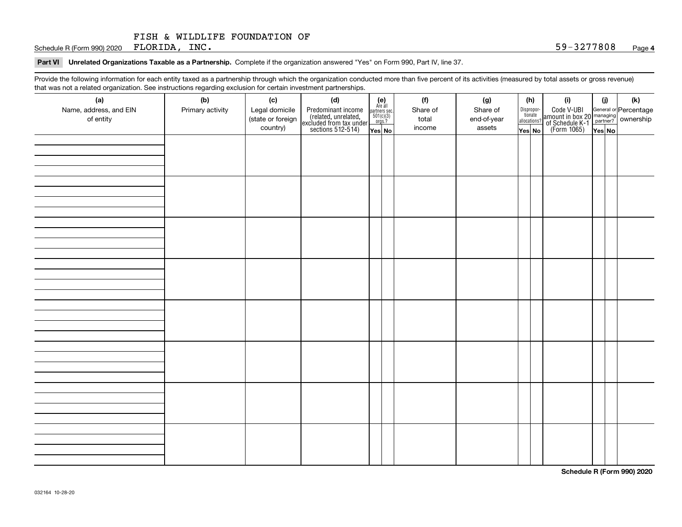Schedule R (Form 990) 2020 Page FLORIDA, INC. 59-3277808

#### **Part VI Unrelated Organizations Taxable as a Partnership. Complete if the organization answered "Yes" on Form 990, Part IV, line 37.**

Provide the following information for each entity taxed as a partnership through which the organization conducted more than five percent of its activities (measured by total assets or gross revenue) that was not a related organization. See instructions regarding exclusion for certain investment partnerships.

| that was not a related erganization. See includitions regarding excludion for contain invectment partnerompe.<br>(a) | (b)              | (c)               | (d)                                                                                        |                                                                                                                  | (f)      | (g)         | (h)                              |  | (i)                                                                                          | (i)    | (k) |  |
|----------------------------------------------------------------------------------------------------------------------|------------------|-------------------|--------------------------------------------------------------------------------------------|------------------------------------------------------------------------------------------------------------------|----------|-------------|----------------------------------|--|----------------------------------------------------------------------------------------------|--------|-----|--|
| Name, address, and EIN                                                                                               | Primary activity | Legal domicile    |                                                                                            | $\begin{array}{c} \textbf{(e)}\\ \text{Are all} \\ \text{partners sec.}\\ 501(c)(3)\\ \text{orgs.?} \end{array}$ | Share of | Share of    |                                  |  |                                                                                              |        |     |  |
| of entity                                                                                                            |                  | (state or foreign | Predominant income<br>(related, unrelated,<br>excluded from tax under<br>sections 512-514) |                                                                                                                  | total    | end-of-year | Disproportionate<br>allocations? |  | Code V-UBI<br>amount in box 20 managing<br>of Schedule K-1 partner?<br>(Form 1065)<br>ves No |        |     |  |
|                                                                                                                      |                  | country)          |                                                                                            |                                                                                                                  | income   | assets      |                                  |  |                                                                                              |        |     |  |
|                                                                                                                      |                  |                   |                                                                                            | Yes No                                                                                                           |          |             | Yes No                           |  |                                                                                              | Yes No |     |  |
|                                                                                                                      |                  |                   |                                                                                            |                                                                                                                  |          |             |                                  |  |                                                                                              |        |     |  |
|                                                                                                                      |                  |                   |                                                                                            |                                                                                                                  |          |             |                                  |  |                                                                                              |        |     |  |
|                                                                                                                      |                  |                   |                                                                                            |                                                                                                                  |          |             |                                  |  |                                                                                              |        |     |  |
|                                                                                                                      |                  |                   |                                                                                            |                                                                                                                  |          |             |                                  |  |                                                                                              |        |     |  |
|                                                                                                                      |                  |                   |                                                                                            |                                                                                                                  |          |             |                                  |  |                                                                                              |        |     |  |
|                                                                                                                      |                  |                   |                                                                                            |                                                                                                                  |          |             |                                  |  |                                                                                              |        |     |  |
|                                                                                                                      |                  |                   |                                                                                            |                                                                                                                  |          |             |                                  |  |                                                                                              |        |     |  |
|                                                                                                                      |                  |                   |                                                                                            |                                                                                                                  |          |             |                                  |  |                                                                                              |        |     |  |
|                                                                                                                      |                  |                   |                                                                                            |                                                                                                                  |          |             |                                  |  |                                                                                              |        |     |  |
|                                                                                                                      |                  |                   |                                                                                            |                                                                                                                  |          |             |                                  |  |                                                                                              |        |     |  |
|                                                                                                                      |                  |                   |                                                                                            |                                                                                                                  |          |             |                                  |  |                                                                                              |        |     |  |
|                                                                                                                      |                  |                   |                                                                                            |                                                                                                                  |          |             |                                  |  |                                                                                              |        |     |  |
|                                                                                                                      |                  |                   |                                                                                            |                                                                                                                  |          |             |                                  |  |                                                                                              |        |     |  |
|                                                                                                                      |                  |                   |                                                                                            |                                                                                                                  |          |             |                                  |  |                                                                                              |        |     |  |
|                                                                                                                      |                  |                   |                                                                                            |                                                                                                                  |          |             |                                  |  |                                                                                              |        |     |  |
|                                                                                                                      |                  |                   |                                                                                            |                                                                                                                  |          |             |                                  |  |                                                                                              |        |     |  |
|                                                                                                                      |                  |                   |                                                                                            |                                                                                                                  |          |             |                                  |  |                                                                                              |        |     |  |
|                                                                                                                      |                  |                   |                                                                                            |                                                                                                                  |          |             |                                  |  |                                                                                              |        |     |  |
|                                                                                                                      |                  |                   |                                                                                            |                                                                                                                  |          |             |                                  |  |                                                                                              |        |     |  |
|                                                                                                                      |                  |                   |                                                                                            |                                                                                                                  |          |             |                                  |  |                                                                                              |        |     |  |
|                                                                                                                      |                  |                   |                                                                                            |                                                                                                                  |          |             |                                  |  |                                                                                              |        |     |  |
|                                                                                                                      |                  |                   |                                                                                            |                                                                                                                  |          |             |                                  |  |                                                                                              |        |     |  |
|                                                                                                                      |                  |                   |                                                                                            |                                                                                                                  |          |             |                                  |  |                                                                                              |        |     |  |
|                                                                                                                      |                  |                   |                                                                                            |                                                                                                                  |          |             |                                  |  |                                                                                              |        |     |  |
|                                                                                                                      |                  |                   |                                                                                            |                                                                                                                  |          |             |                                  |  |                                                                                              |        |     |  |
|                                                                                                                      |                  |                   |                                                                                            |                                                                                                                  |          |             |                                  |  |                                                                                              |        |     |  |
|                                                                                                                      |                  |                   |                                                                                            |                                                                                                                  |          |             |                                  |  |                                                                                              |        |     |  |
|                                                                                                                      |                  |                   |                                                                                            |                                                                                                                  |          |             |                                  |  |                                                                                              |        |     |  |
|                                                                                                                      |                  |                   |                                                                                            |                                                                                                                  |          |             |                                  |  |                                                                                              |        |     |  |
|                                                                                                                      |                  |                   |                                                                                            |                                                                                                                  |          |             |                                  |  |                                                                                              |        |     |  |
|                                                                                                                      |                  |                   |                                                                                            |                                                                                                                  |          |             |                                  |  |                                                                                              |        |     |  |
|                                                                                                                      |                  |                   |                                                                                            |                                                                                                                  |          |             |                                  |  |                                                                                              |        |     |  |
|                                                                                                                      |                  |                   |                                                                                            |                                                                                                                  |          |             |                                  |  |                                                                                              |        |     |  |
|                                                                                                                      |                  |                   |                                                                                            |                                                                                                                  |          |             |                                  |  |                                                                                              |        |     |  |

**Schedule R (Form 990) 2020**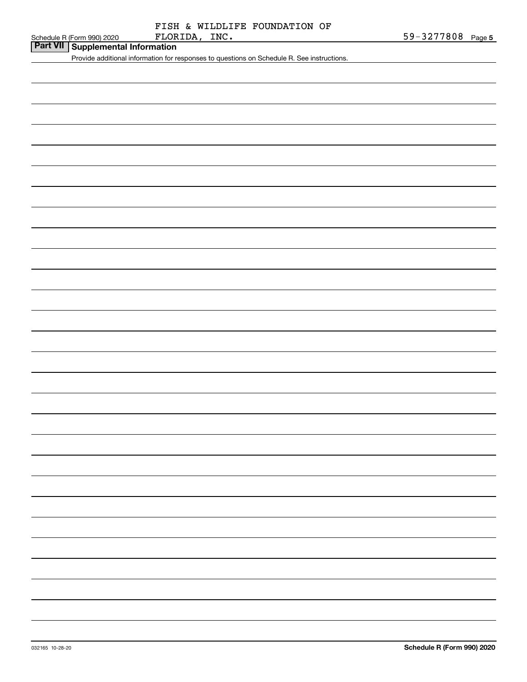# FLORIDA, INC. FISH & WILDLIFE FOUNDATION OF

# **Part VII Supplemental Information**

Provide additional information for responses to questions on Schedule R. See instructions.

| 032165 10-28-20 |
|-----------------|
|                 |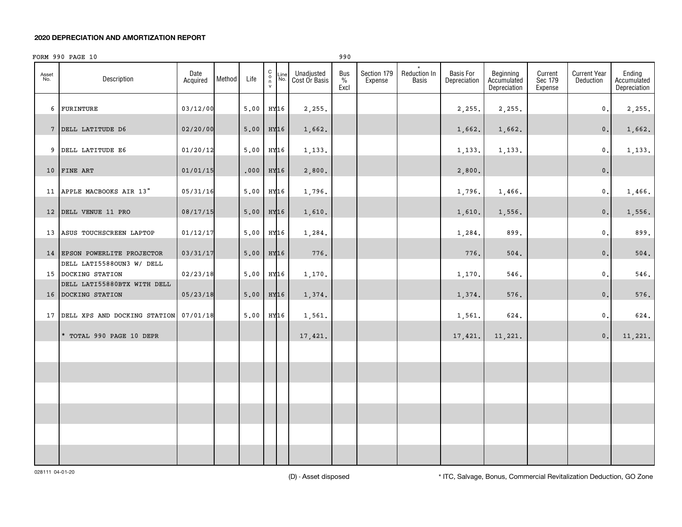#### **2020 DEPRECIATION AND AMORTIZATION REPORT**

|              | FORM 990 PAGE 10                                  |                  |        |        |                                                                    |                             | 990                 |                        |                              |                                  |                                          |                               |                                  |                                       |
|--------------|---------------------------------------------------|------------------|--------|--------|--------------------------------------------------------------------|-----------------------------|---------------------|------------------------|------------------------------|----------------------------------|------------------------------------------|-------------------------------|----------------------------------|---------------------------------------|
| Asset<br>No. | Description                                       | Date<br>Acquired | Method | Life   | $\begin{smallmatrix} 0 \\ 0 \\ 7 \end{smallmatrix}$<br>Line<br>No. | Unadjusted<br>Cost Or Basis | Bus<br>$\%$<br>Excl | Section 179<br>Expense | Reduction In<br><b>Basis</b> | <b>Basis For</b><br>Depreciation | Beginning<br>Accumulated<br>Depreciation | Current<br>Sec 179<br>Expense | <b>Current Year</b><br>Deduction | Ending<br>Accumulated<br>Depreciation |
|              | 6 FURINTURE                                       | 03/12/00         |        | 5.00   | HY16                                                               | 2,255.                      |                     |                        |                              | 2,255.                           | 2,255.                                   |                               | $\mathbf{0}$ .                   | 2,255.                                |
|              | 7 DELL LATITUDE D6                                | 02/20/00         |        | 5.00   | HY16                                                               | 1,662.                      |                     |                        |                              | 1,662.                           | 1,662.                                   |                               | 0.                               | 1,662.                                |
|              | 9 DELL LATITUDE E6                                | 01/20/12         |        | 5.00   | HY16                                                               | 1,133.                      |                     |                        |                              | 1,133.                           | 1,133.                                   |                               | $\mathbf{0}$ .                   | 1,133.                                |
|              | 10 FINE ART                                       | 01/01/15         |        | .000   | HY16                                                               | 2,800.                      |                     |                        |                              | 2,800.                           |                                          |                               | 0.                               |                                       |
|              | 11 APPLE MACBOOKS AIR 13"                         | 05/31/16         |        | 5,00   | HY16                                                               | 1,796.                      |                     |                        |                              | 1,796.                           | 1,466.                                   |                               | $\mathbf{0}$ .                   | 1,466.                                |
|              | 12 DELL VENUE 11 PRO                              | 08/17/15         |        | 5,00   | HY16                                                               | 1,610.                      |                     |                        |                              | 1,610.                           | 1,556.                                   |                               | 0.                               | 1,556.                                |
|              | 13 ASUS TOUCHSCREEN LAPTOP                        | 01/12/17         |        | 5,00   | HY16                                                               | 1,284.                      |                     |                        |                              | 1,284.                           | 899.                                     |                               | $\mathbf{0}$ .                   | 899.                                  |
|              | 14 EPSON POWERLITE PROJECTOR                      | 03/31/17         |        | $5.00$ | HY16                                                               | 776.                        |                     |                        |                              | 776.                             | 504.                                     |                               | 0.                               | 504.                                  |
|              | DELL LATI5588OUN3 W/ DELL<br>15 DOCKING STATION   | 02/23/18         |        | 5.00   | HY16                                                               | 1,170.                      |                     |                        |                              | 1,170.                           | 546.                                     |                               | $\mathbf{0}$ .                   | 546.                                  |
|              | DELL LATI55880BTX WITH DELL<br>16 DOCKING STATION | 05/23/18         |        | 5.00   | HY16                                                               | 1,374.                      |                     |                        |                              | 1,374.                           | 576.                                     |                               | 0.                               | 576.                                  |
|              | 17 DELL XPS AND DOCKING STATION 07/01/18          |                  |        | 5,00   | HY16                                                               | 1,561.                      |                     |                        |                              | 1,561.                           | 624.                                     |                               | $\mathsf{0}\,$ .                 | 624.                                  |
|              | * TOTAL 990 PAGE 10 DEPR                          |                  |        |        |                                                                    | 17,421.                     |                     |                        |                              | 17,421.                          | 11,221.                                  |                               | 0.                               | 11,221.                               |
|              |                                                   |                  |        |        |                                                                    |                             |                     |                        |                              |                                  |                                          |                               |                                  |                                       |
|              |                                                   |                  |        |        |                                                                    |                             |                     |                        |                              |                                  |                                          |                               |                                  |                                       |
|              |                                                   |                  |        |        |                                                                    |                             |                     |                        |                              |                                  |                                          |                               |                                  |                                       |
|              |                                                   |                  |        |        |                                                                    |                             |                     |                        |                              |                                  |                                          |                               |                                  |                                       |
|              |                                                   |                  |        |        |                                                                    |                             |                     |                        |                              |                                  |                                          |                               |                                  |                                       |
|              |                                                   |                  |        |        |                                                                    |                             |                     |                        |                              |                                  |                                          |                               |                                  |                                       |

(D) - Asset disposed \* ITC, Salvage, Bonus, Commercial Revitalization Deduction, GO Zone